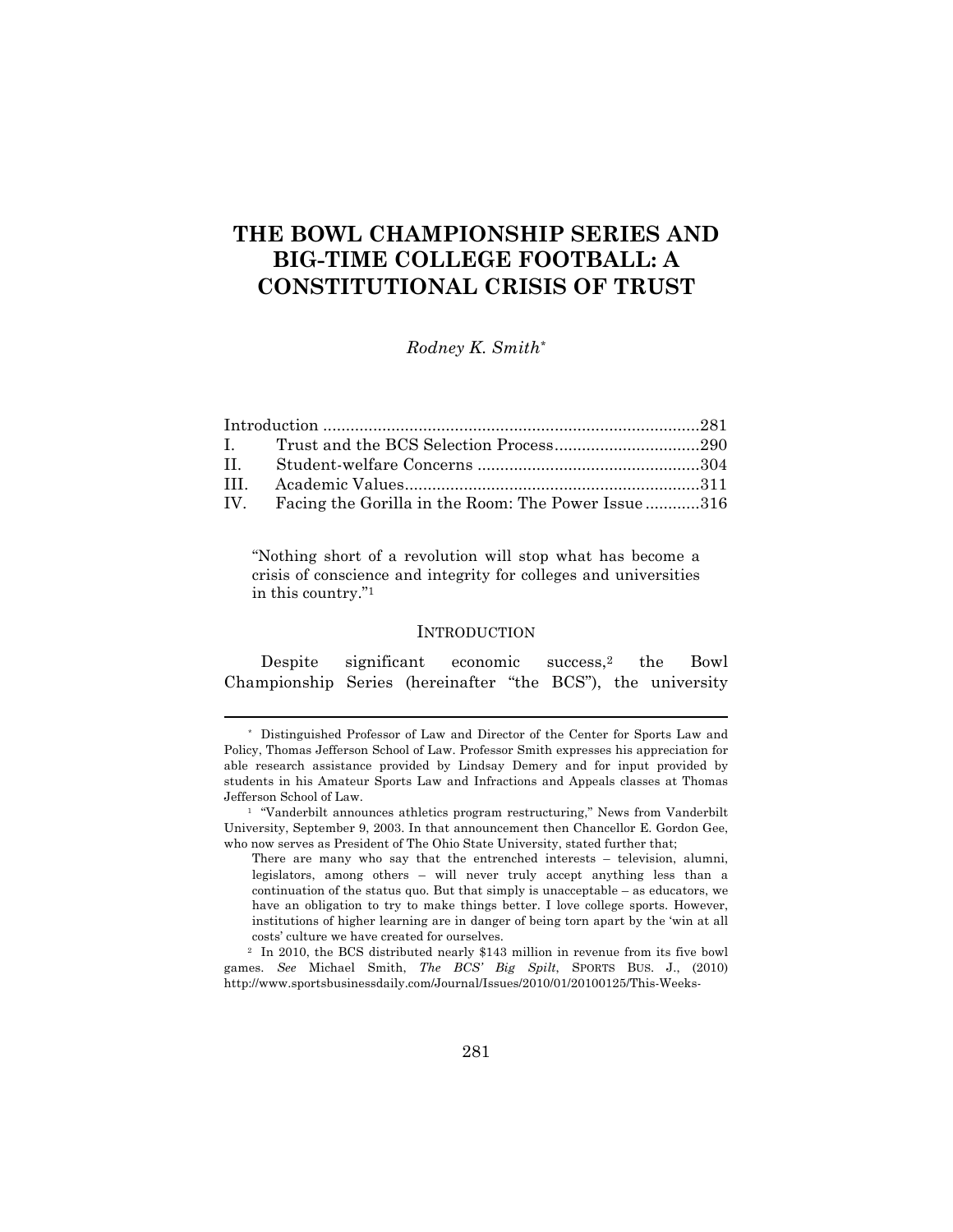# **THE BOWL CHAMPIONSHIP SERIES AND BIG-TIME COLLEGE FOOTBALL: A CONSTITUTIONAL CRISIS OF TRUST**

*Rodney K. Smith\**

| IV. Facing the Gorilla in the Room: The Power Issue316 |  |
|--------------------------------------------------------|--|

"Nothing short of a revolution will stop what has become a crisis of conscience and integrity for colleges and universities in this country."1

## **INTRODUCTION**

Despite significant economic success,2 the Bowl Championship Series (hereinafter "the BCS"), the university

<sup>\*</sup> Distinguished Professor of Law and Director of the Center for Sports Law and Policy, Thomas Jefferson School of Law. Professor Smith expresses his appreciation for able research assistance provided by Lindsay Demery and for input provided by students in his Amateur Sports Law and Infractions and Appeals classes at Thomas Jefferson School of Law.

<sup>&</sup>lt;sup>1</sup> "Vanderbilt announces athletics program restructuring," News from Vanderbilt University, September 9, 2003. In that announcement then Chancellor E. Gordon Gee, who now serves as President of The Ohio State University, stated further that;

There are many who say that the entrenched interests – television, alumni, legislators, among others – will never truly accept anything less than a continuation of the status quo. But that simply is unacceptable – as educators, we have an obligation to try to make things better. I love college sports. However, institutions of higher learning are in danger of being torn apart by the 'win at all costs' culture we have created for ourselves.

<sup>2</sup> In 2010, the BCS distributed nearly \$143 million in revenue from its five bowl games. *See* Michael Smith, *The BCS' Big Spilt*, SPORTS BUS. J., (2010) http://www.sportsbusinessdaily.com/Journal/Issues/2010/01/20100125/This-Weeks-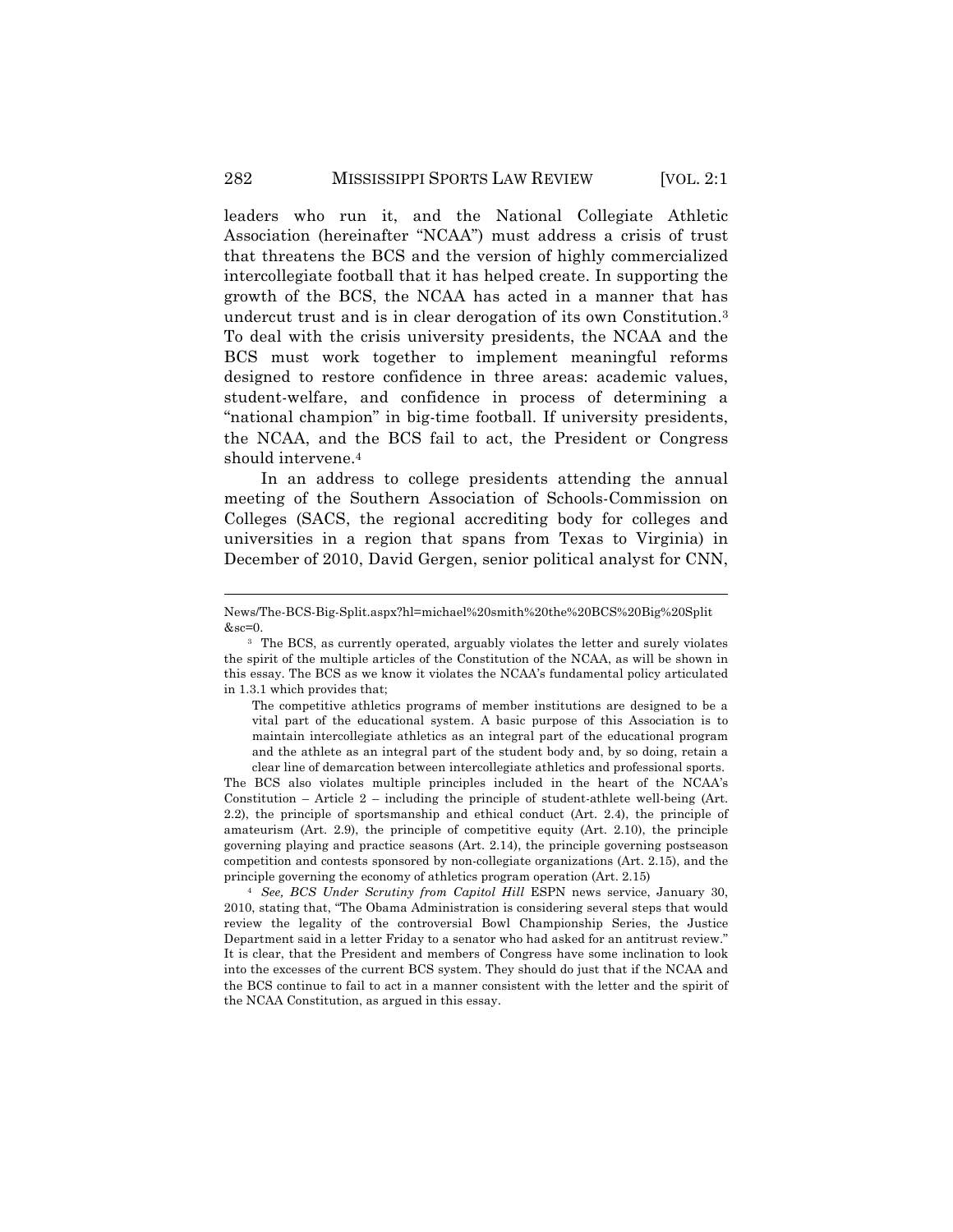leaders who run it, and the National Collegiate Athletic Association (hereinafter "NCAA") must address a crisis of trust that threatens the BCS and the version of highly commercialized intercollegiate football that it has helped create. In supporting the growth of the BCS, the NCAA has acted in a manner that has undercut trust and is in clear derogation of its own Constitution.3 To deal with the crisis university presidents, the NCAA and the BCS must work together to implement meaningful reforms designed to restore confidence in three areas: academic values, student-welfare, and confidence in process of determining a "national champion" in big-time football. If university presidents, the NCAA, and the BCS fail to act, the President or Congress should intervene.4

In an address to college presidents attending the annual meeting of the Southern Association of Schools-Commission on Colleges (SACS, the regional accrediting body for colleges and universities in a region that spans from Texas to Virginia) in December of 2010, David Gergen, senior political analyst for CNN,

!!!!!!!!!!!!!!!!!!!!!!!!!!!!!!!!!!!!!!!!!!!!!!!!!!!!!!!!!!!!!!!!!!!!!!!!!!!!!!!!!!!!!!!!!!!!!!!!!!!!!!!!!!!!!!!!!!!!!!!!!!!!!!!!!!!!!!!

The BCS also violates multiple principles included in the heart of the NCAA's Constitution – Article  $2$  – including the principle of student-athlete well-being (Art. 2.2), the principle of sportsmanship and ethical conduct (Art. 2.4), the principle of amateurism (Art. 2.9), the principle of competitive equity (Art. 2.10), the principle governing playing and practice seasons (Art. 2.14), the principle governing postseason competition and contests sponsored by non-collegiate organizations (Art. 2.15), and the principle governing the economy of athletics program operation (Art. 2.15)

<sup>4</sup> *See, BCS Under Scrutiny from Capitol Hill* ESPN news service, January 30, 2010, stating that, "The Obama Administration is considering several steps that would review the legality of the controversial Bowl Championship Series, the Justice Department said in a letter Friday to a senator who had asked for an antitrust review." It is clear, that the President and members of Congress have some inclination to look into the excesses of the current BCS system. They should do just that if the NCAA and the BCS continue to fail to act in a manner consistent with the letter and the spirit of the NCAA Constitution, as argued in this essay.

News/The-BCS-Big-Split.aspx?hl=michael%20smith%20the%20BCS%20Big%20Split  $&sec=0.$ 

<sup>3</sup> The BCS, as currently operated, arguably violates the letter and surely violates the spirit of the multiple articles of the Constitution of the NCAA, as will be shown in this essay. The BCS as we know it violates the NCAA's fundamental policy articulated in 1.3.1 which provides that;

The competitive athletics programs of member institutions are designed to be a vital part of the educational system. A basic purpose of this Association is to maintain intercollegiate athletics as an integral part of the educational program and the athlete as an integral part of the student body and, by so doing, retain a clear line of demarcation between intercollegiate athletics and professional sports.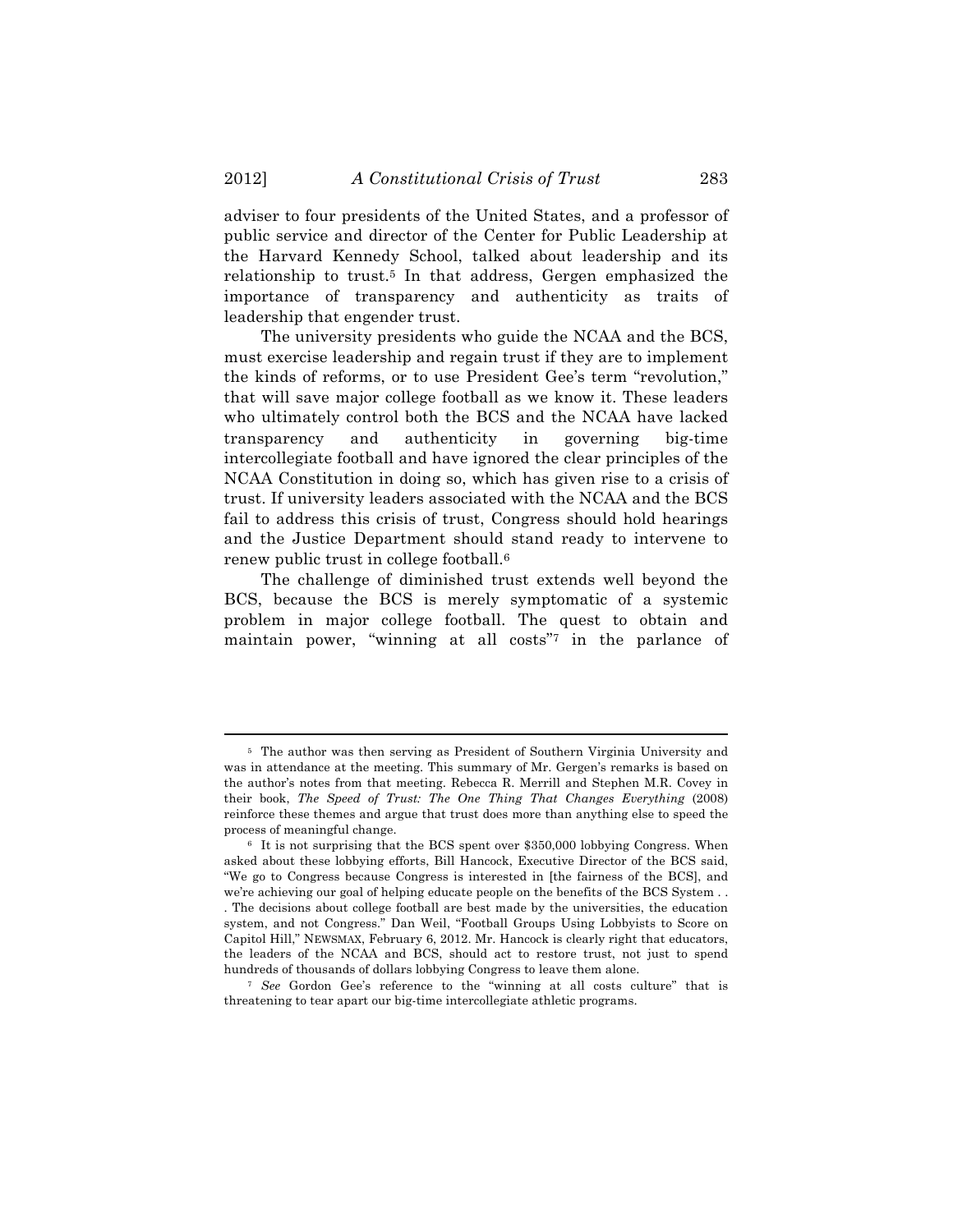adviser to four presidents of the United States, and a professor of public service and director of the Center for Public Leadership at the Harvard Kennedy School, talked about leadership and its relationship to trust.5 In that address, Gergen emphasized the importance of transparency and authenticity as traits of leadership that engender trust.

The university presidents who guide the NCAA and the BCS, must exercise leadership and regain trust if they are to implement the kinds of reforms, or to use President Gee's term "revolution," that will save major college football as we know it. These leaders who ultimately control both the BCS and the NCAA have lacked transparency and authenticity in governing big-time intercollegiate football and have ignored the clear principles of the NCAA Constitution in doing so, which has given rise to a crisis of trust. If university leaders associated with the NCAA and the BCS fail to address this crisis of trust, Congress should hold hearings and the Justice Department should stand ready to intervene to renew public trust in college football.6

The challenge of diminished trust extends well beyond the BCS, because the BCS is merely symptomatic of a systemic problem in major college football. The quest to obtain and maintain power, "winning at all costs"7 in the parlance of

<sup>5</sup> The author was then serving as President of Southern Virginia University and was in attendance at the meeting. This summary of Mr. Gergen's remarks is based on the author's notes from that meeting. Rebecca R. Merrill and Stephen M.R. Covey in their book, *The Speed of Trust: The One Thing That Changes Everything* (2008) reinforce these themes and argue that trust does more than anything else to speed the process of meaningful change.

<sup>6</sup> It is not surprising that the BCS spent over \$350,000 lobbying Congress. When asked about these lobbying efforts, Bill Hancock, Executive Director of the BCS said, "We go to Congress because Congress is interested in [the fairness of the BCS], and we're achieving our goal of helping educate people on the benefits of the BCS System . . . The decisions about college football are best made by the universities, the education system, and not Congress." Dan Weil, "Football Groups Using Lobbyists to Score on Capitol Hill," NEWSMAX, February 6, 2012. Mr. Hancock is clearly right that educators, the leaders of the NCAA and BCS, should act to restore trust, not just to spend hundreds of thousands of dollars lobbying Congress to leave them alone.

<sup>7</sup> *See* Gordon Gee's reference to the "winning at all costs culture" that is threatening to tear apart our big-time intercollegiate athletic programs.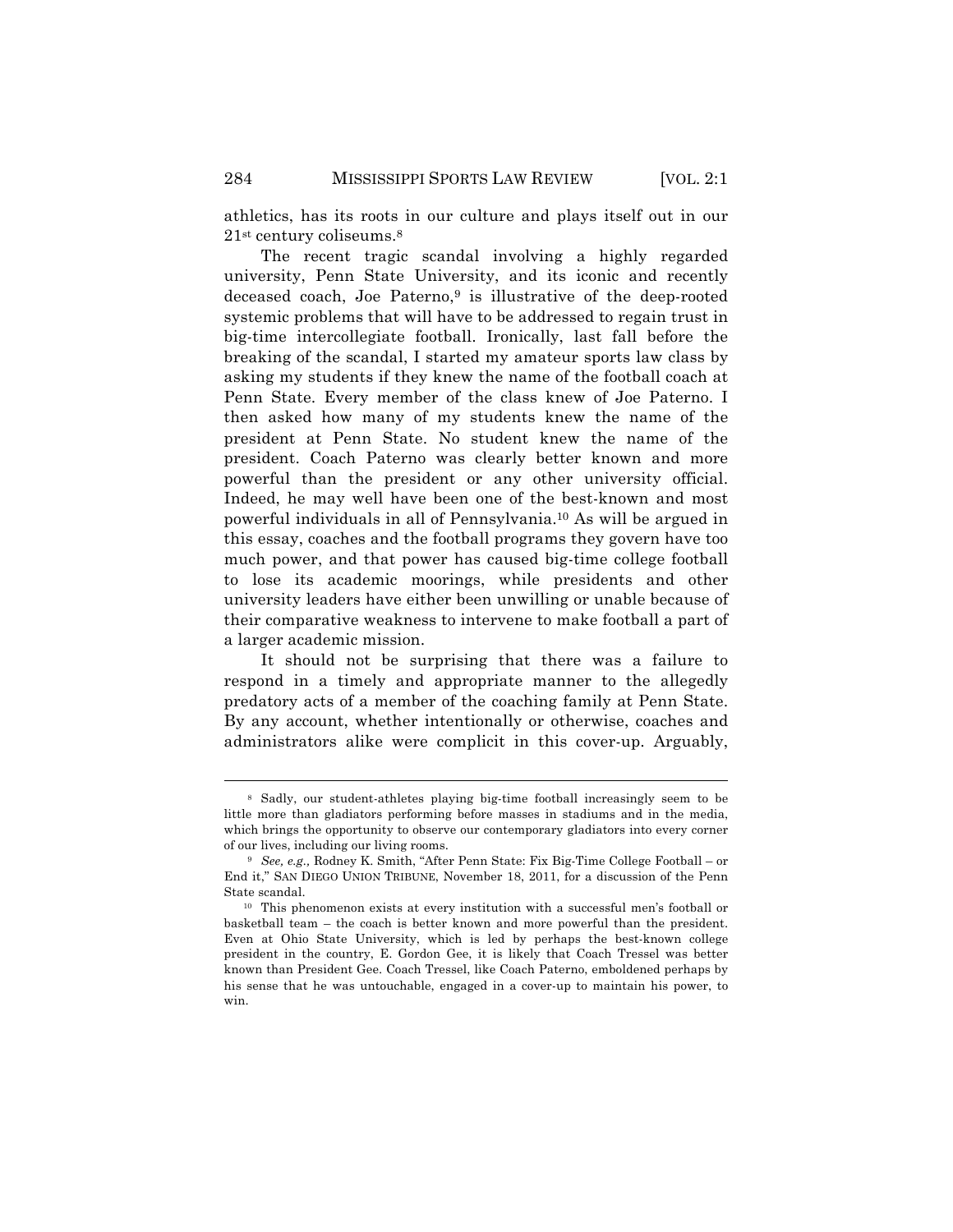athletics, has its roots in our culture and plays itself out in our 21st century coliseums.8

The recent tragic scandal involving a highly regarded university, Penn State University, and its iconic and recently deceased coach, Joe Paterno,<sup>9</sup> is illustrative of the deep-rooted systemic problems that will have to be addressed to regain trust in big-time intercollegiate football. Ironically, last fall before the breaking of the scandal, I started my amateur sports law class by asking my students if they knew the name of the football coach at Penn State. Every member of the class knew of Joe Paterno. I then asked how many of my students knew the name of the president at Penn State. No student knew the name of the president. Coach Paterno was clearly better known and more powerful than the president or any other university official. Indeed, he may well have been one of the best-known and most powerful individuals in all of Pennsylvania.10 As will be argued in this essay, coaches and the football programs they govern have too much power, and that power has caused big-time college football to lose its academic moorings, while presidents and other university leaders have either been unwilling or unable because of their comparative weakness to intervene to make football a part of a larger academic mission.

It should not be surprising that there was a failure to respond in a timely and appropriate manner to the allegedly predatory acts of a member of the coaching family at Penn State. By any account, whether intentionally or otherwise, coaches and administrators alike were complicit in this cover-up. Arguably,

<sup>8</sup> Sadly, our student-athletes playing big-time football increasingly seem to be little more than gladiators performing before masses in stadiums and in the media, which brings the opportunity to observe our contemporary gladiators into every corner of our lives, including our living rooms.

<sup>9</sup> *See, e.g.,* Rodney K. Smith, "After Penn State: Fix Big-Time College Football – or End it," SAN DIEGO UNION TRIBUNE, November 18, 2011, for a discussion of the Penn State scandal.

<sup>10</sup> This phenomenon exists at every institution with a successful men's football or basketball team – the coach is better known and more powerful than the president. Even at Ohio State University, which is led by perhaps the best-known college president in the country, E. Gordon Gee, it is likely that Coach Tressel was better known than President Gee. Coach Tressel, like Coach Paterno, emboldened perhaps by his sense that he was untouchable, engaged in a cover-up to maintain his power, to win.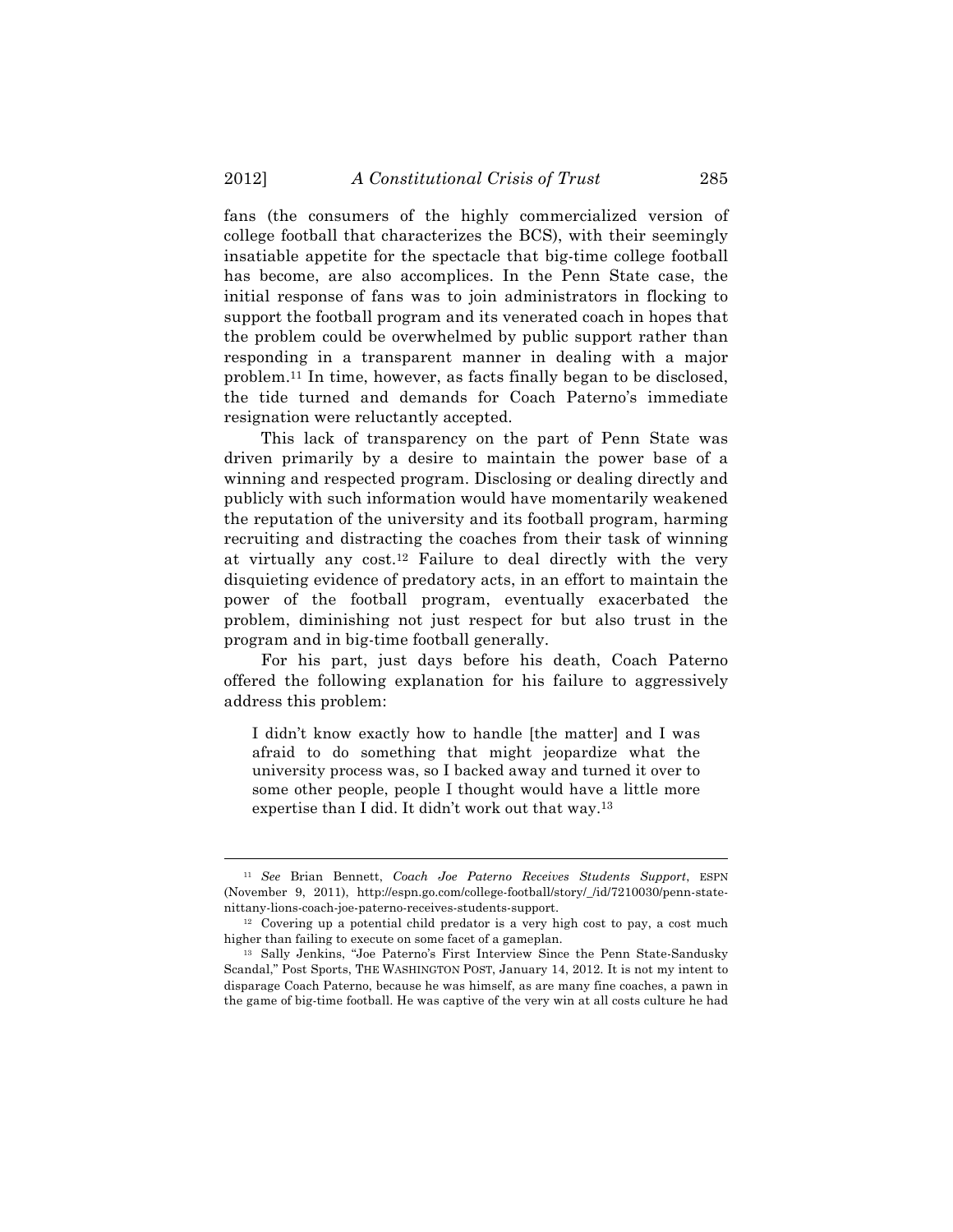fans (the consumers of the highly commercialized version of college football that characterizes the BCS), with their seemingly insatiable appetite for the spectacle that big-time college football has become, are also accomplices. In the Penn State case, the initial response of fans was to join administrators in flocking to support the football program and its venerated coach in hopes that the problem could be overwhelmed by public support rather than responding in a transparent manner in dealing with a major problem.11 In time, however, as facts finally began to be disclosed, the tide turned and demands for Coach Paterno's immediate resignation were reluctantly accepted.

This lack of transparency on the part of Penn State was driven primarily by a desire to maintain the power base of a winning and respected program. Disclosing or dealing directly and publicly with such information would have momentarily weakened the reputation of the university and its football program, harming recruiting and distracting the coaches from their task of winning at virtually any cost.12 Failure to deal directly with the very disquieting evidence of predatory acts, in an effort to maintain the power of the football program, eventually exacerbated the problem, diminishing not just respect for but also trust in the program and in big-time football generally.

For his part, just days before his death, Coach Paterno offered the following explanation for his failure to aggressively address this problem:

I didn't know exactly how to handle [the matter] and I was afraid to do something that might jeopardize what the university process was, so I backed away and turned it over to some other people, people I thought would have a little more expertise than I did. It didn't work out that way.13

<sup>11</sup> *See* Brian Bennett, *Coach Joe Paterno Receives Students Support*, ESPN (November 9, 2011), http://espn.go.com/college-football/story/\_/id/7210030/penn-statenittany-lions-coach-joe-paterno-receives-students-support.

<sup>12</sup> Covering up a potential child predator is a very high cost to pay, a cost much higher than failing to execute on some facet of a gameplan.

<sup>13</sup> Sally Jenkins, "Joe Paterno's First Interview Since the Penn State-Sandusky Scandal," Post Sports, THE WASHINGTON POST, January 14, 2012. It is not my intent to disparage Coach Paterno, because he was himself, as are many fine coaches, a pawn in the game of big-time football. He was captive of the very win at all costs culture he had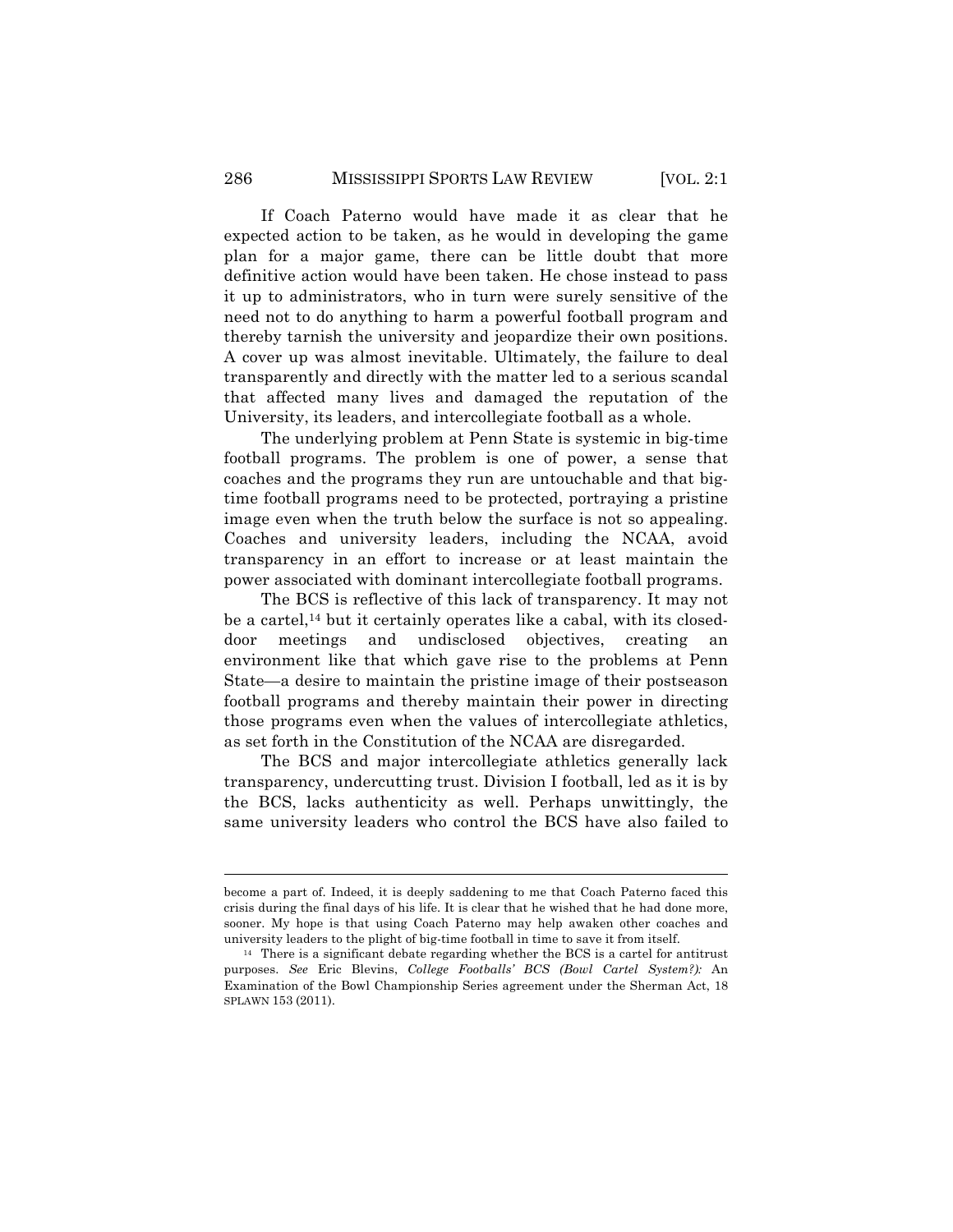If Coach Paterno would have made it as clear that he expected action to be taken, as he would in developing the game plan for a major game, there can be little doubt that more definitive action would have been taken. He chose instead to pass it up to administrators, who in turn were surely sensitive of the need not to do anything to harm a powerful football program and thereby tarnish the university and jeopardize their own positions. A cover up was almost inevitable. Ultimately, the failure to deal transparently and directly with the matter led to a serious scandal that affected many lives and damaged the reputation of the University, its leaders, and intercollegiate football as a whole.

The underlying problem at Penn State is systemic in big-time football programs. The problem is one of power, a sense that coaches and the programs they run are untouchable and that bigtime football programs need to be protected, portraying a pristine image even when the truth below the surface is not so appealing. Coaches and university leaders, including the NCAA, avoid transparency in an effort to increase or at least maintain the power associated with dominant intercollegiate football programs.

The BCS is reflective of this lack of transparency. It may not be a cartel,14 but it certainly operates like a cabal, with its closeddoor meetings and undisclosed objectives, creating an environment like that which gave rise to the problems at Penn State—a desire to maintain the pristine image of their postseason football programs and thereby maintain their power in directing those programs even when the values of intercollegiate athletics, as set forth in the Constitution of the NCAA are disregarded.

The BCS and major intercollegiate athletics generally lack transparency, undercutting trust. Division I football, led as it is by the BCS, lacks authenticity as well. Perhaps unwittingly, the same university leaders who control the BCS have also failed to

become a part of. Indeed, it is deeply saddening to me that Coach Paterno faced this crisis during the final days of his life. It is clear that he wished that he had done more, sooner. My hope is that using Coach Paterno may help awaken other coaches and university leaders to the plight of big-time football in time to save it from itself.

<sup>14</sup> There is a significant debate regarding whether the BCS is a cartel for antitrust purposes. *See* Eric Blevins, *College Footballs' BCS (Bowl Cartel System?):* An Examination of the Bowl Championship Series agreement under the Sherman Act, 18 SPLAWN 153 (2011).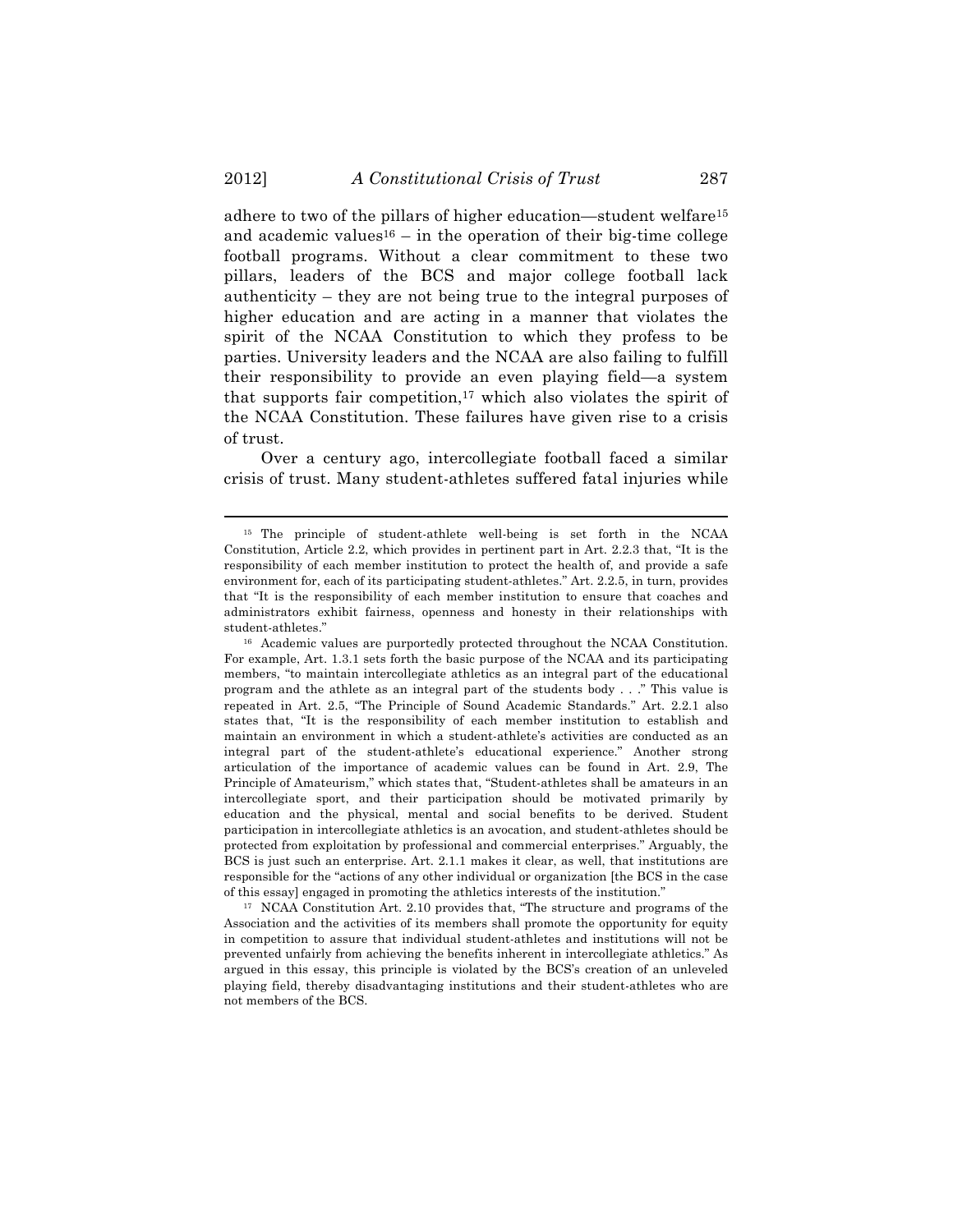adhere to two of the pillars of higher education—student welfare15 and academic values<sup>16</sup> – in the operation of their big-time college football programs. Without a clear commitment to these two pillars, leaders of the BCS and major college football lack authenticity – they are not being true to the integral purposes of higher education and are acting in a manner that violates the spirit of the NCAA Constitution to which they profess to be parties. University leaders and the NCAA are also failing to fulfill their responsibility to provide an even playing field—a system that supports fair competition,<sup>17</sup> which also violates the spirit of the NCAA Constitution. These failures have given rise to a crisis of trust.

Over a century ago, intercollegiate football faced a similar crisis of trust. Many student-athletes suffered fatal injuries while

!!!!!!!!!!!!!!!!!!!!!!!!!!!!!!!!!!!!!!!!!!!!!!!!!!!!!!!!!!!!!!!!!!!!!!!!!!!!!!!!!!!!!!!!!!!!!!!!!!!!!!!!!!!!!!!!!!!!!!!!!!!!!!!!!!!!!!!

<sup>17</sup> NCAA Constitution Art. 2.10 provides that, "The structure and programs of the Association and the activities of its members shall promote the opportunity for equity in competition to assure that individual student-athletes and institutions will not be prevented unfairly from achieving the benefits inherent in intercollegiate athletics." As argued in this essay, this principle is violated by the BCS's creation of an unleveled playing field, thereby disadvantaging institutions and their student-athletes who are not members of the BCS.

<sup>15</sup> The principle of student-athlete well-being is set forth in the NCAA Constitution, Article 2.2, which provides in pertinent part in Art. 2.2.3 that, "It is the responsibility of each member institution to protect the health of, and provide a safe environment for, each of its participating student-athletes." Art. 2.2.5, in turn, provides that "It is the responsibility of each member institution to ensure that coaches and administrators exhibit fairness, openness and honesty in their relationships with student-athletes."

<sup>16</sup> Academic values are purportedly protected throughout the NCAA Constitution. For example, Art. 1.3.1 sets forth the basic purpose of the NCAA and its participating members, "to maintain intercollegiate athletics as an integral part of the educational program and the athlete as an integral part of the students body . . ." This value is repeated in Art. 2.5, "The Principle of Sound Academic Standards." Art. 2.2.1 also states that, "It is the responsibility of each member institution to establish and maintain an environment in which a student-athlete's activities are conducted as an integral part of the student-athlete's educational experience." Another strong articulation of the importance of academic values can be found in Art. 2.9, The Principle of Amateurism," which states that, "Student-athletes shall be amateurs in an intercollegiate sport, and their participation should be motivated primarily by education and the physical, mental and social benefits to be derived. Student participation in intercollegiate athletics is an avocation, and student-athletes should be protected from exploitation by professional and commercial enterprises." Arguably, the BCS is just such an enterprise. Art. 2.1.1 makes it clear, as well, that institutions are responsible for the "actions of any other individual or organization [the BCS in the case of this essay] engaged in promoting the athletics interests of the institution."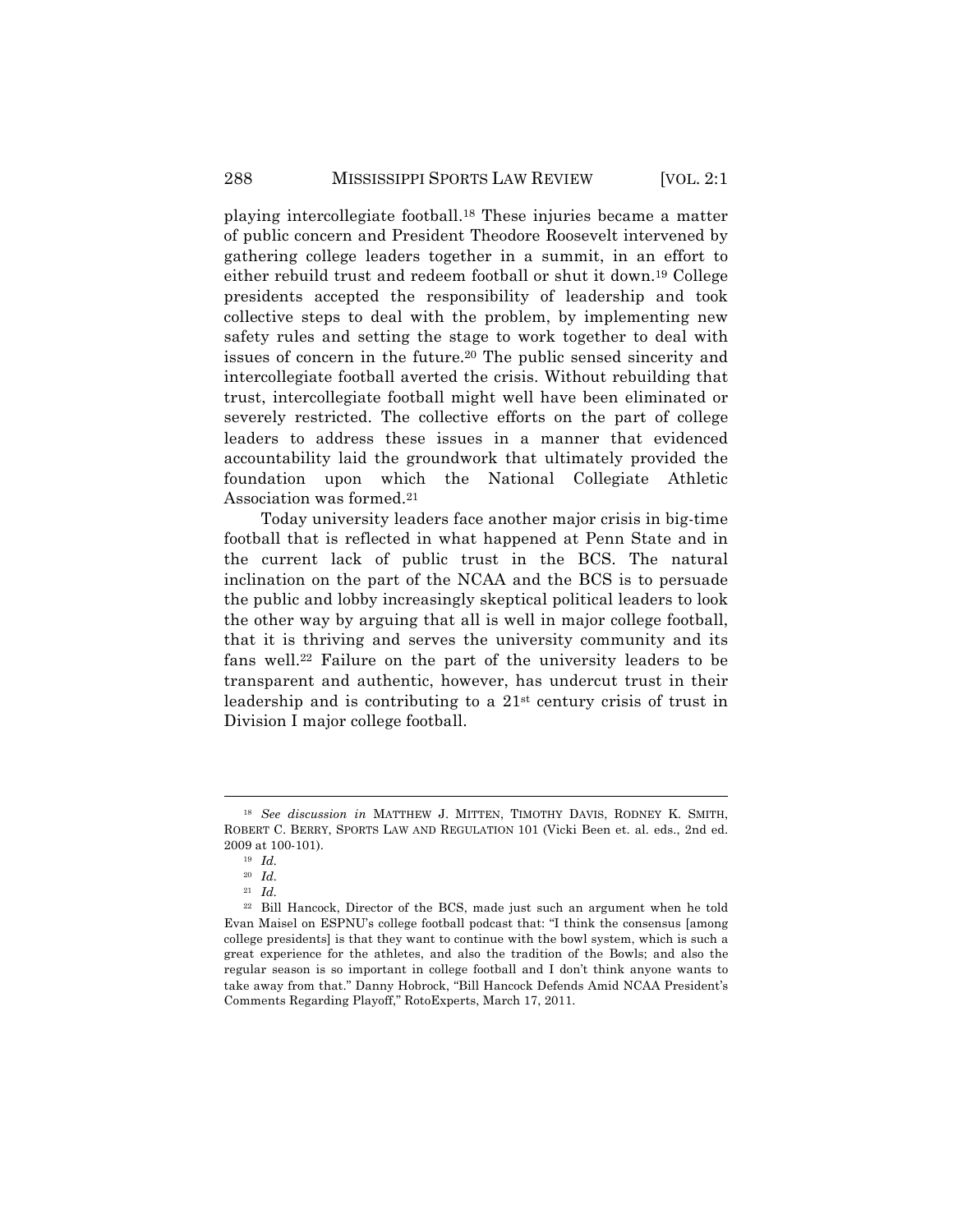playing intercollegiate football.18 These injuries became a matter of public concern and President Theodore Roosevelt intervened by gathering college leaders together in a summit, in an effort to either rebuild trust and redeem football or shut it down.19 College presidents accepted the responsibility of leadership and took collective steps to deal with the problem, by implementing new safety rules and setting the stage to work together to deal with issues of concern in the future.20 The public sensed sincerity and intercollegiate football averted the crisis. Without rebuilding that trust, intercollegiate football might well have been eliminated or severely restricted. The collective efforts on the part of college leaders to address these issues in a manner that evidenced accountability laid the groundwork that ultimately provided the foundation upon which the National Collegiate Athletic Association was formed.21

Today university leaders face another major crisis in big-time football that is reflected in what happened at Penn State and in the current lack of public trust in the BCS. The natural inclination on the part of the NCAA and the BCS is to persuade the public and lobby increasingly skeptical political leaders to look the other way by arguing that all is well in major college football, that it is thriving and serves the university community and its fans well.22 Failure on the part of the university leaders to be transparent and authentic, however, has undercut trust in their leadership and is contributing to a 21st century crisis of trust in Division I major college football.

<sup>18</sup> *See discussion in* MATTHEW J. MITTEN, TIMOTHY DAVIS, RODNEY K. SMITH, ROBERT C. BERRY, SPORTS LAW AND REGULATION 101 (Vicki Been et. al. eds., 2nd ed. 2009 at 100-101).

<sup>19</sup> *Id.*

<sup>20</sup> *Id.*

<sup>21</sup> *Id.*

<sup>22</sup> Bill Hancock, Director of the BCS, made just such an argument when he told Evan Maisel on ESPNU's college football podcast that: "I think the consensus [among college presidents] is that they want to continue with the bowl system, which is such a great experience for the athletes, and also the tradition of the Bowls; and also the regular season is so important in college football and I don't think anyone wants to take away from that." Danny Hobrock, "Bill Hancock Defends Amid NCAA President's Comments Regarding Playoff," RotoExperts, March 17, 2011.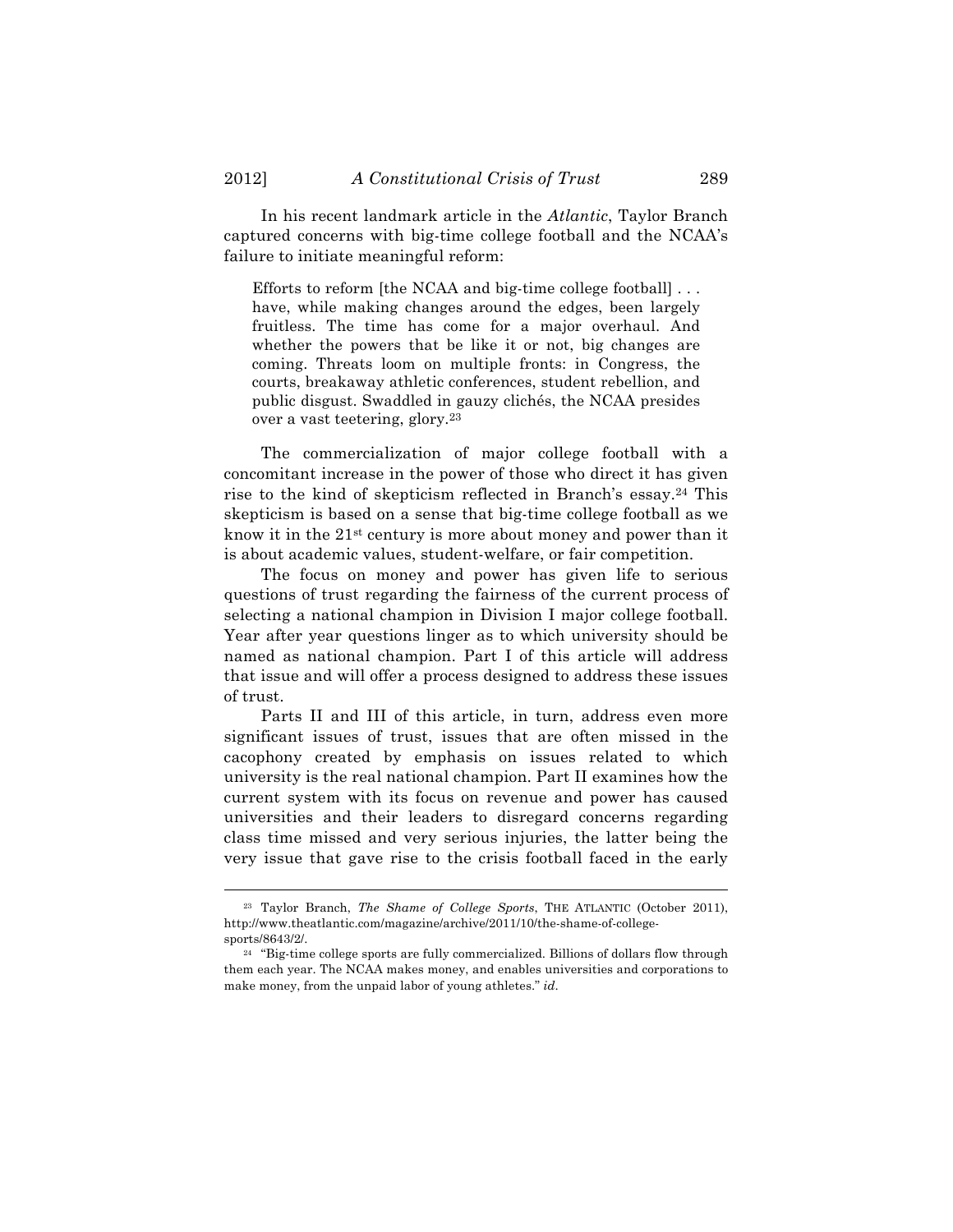In his recent landmark article in the *Atlantic*, Taylor Branch captured concerns with big-time college football and the NCAA's failure to initiate meaningful reform:

Efforts to reform [the NCAA and big-time college football] . . . have, while making changes around the edges, been largely fruitless. The time has come for a major overhaul. And whether the powers that be like it or not, big changes are coming. Threats loom on multiple fronts: in Congress, the courts, breakaway athletic conferences, student rebellion, and public disgust. Swaddled in gauzy clichés, the NCAA presides over a vast teetering, glory.23

The commercialization of major college football with a concomitant increase in the power of those who direct it has given rise to the kind of skepticism reflected in Branch's essay.24 This skepticism is based on a sense that big-time college football as we know it in the 21st century is more about money and power than it is about academic values, student-welfare, or fair competition.

The focus on money and power has given life to serious questions of trust regarding the fairness of the current process of selecting a national champion in Division I major college football. Year after year questions linger as to which university should be named as national champion. Part I of this article will address that issue and will offer a process designed to address these issues of trust.

Parts II and III of this article, in turn, address even more significant issues of trust, issues that are often missed in the cacophony created by emphasis on issues related to which university is the real national champion. Part II examines how the current system with its focus on revenue and power has caused universities and their leaders to disregard concerns regarding class time missed and very serious injuries, the latter being the very issue that gave rise to the crisis football faced in the early

<sup>23</sup> Taylor Branch, *The Shame of College Sports*, THE ATLANTIC (October 2011), http://www.theatlantic.com/magazine/archive/2011/10/the-shame-of-collegesports/8643/2/.

<sup>&</sup>lt;sup>24</sup> "Big-time college sports are fully commercialized. Billions of dollars flow through them each year. The NCAA makes money, and enables universities and corporations to make money, from the unpaid labor of young athletes." *id*.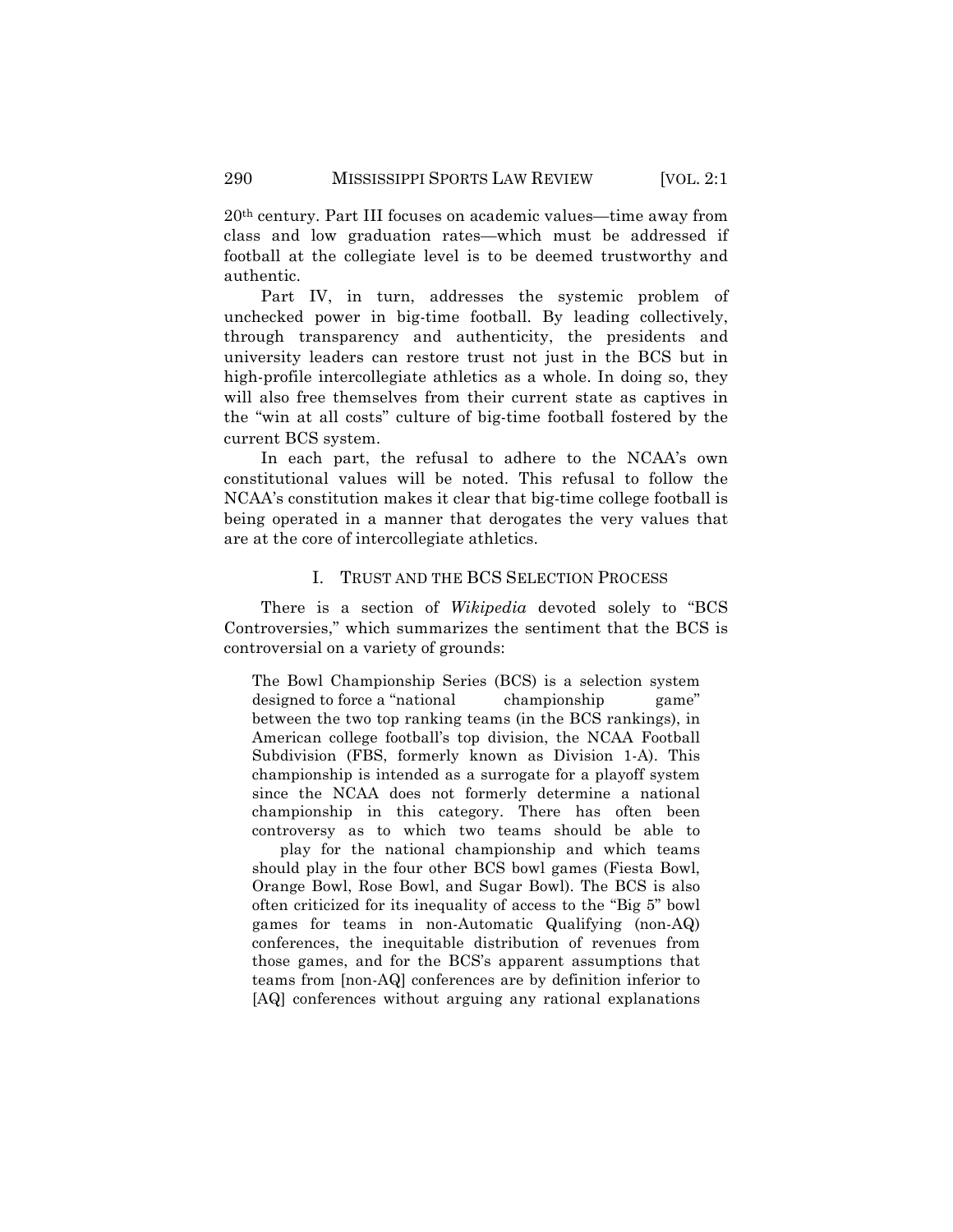20th century. Part III focuses on academic values—time away from class and low graduation rates—which must be addressed if football at the collegiate level is to be deemed trustworthy and authentic.

Part IV, in turn, addresses the systemic problem of unchecked power in big-time football. By leading collectively, through transparency and authenticity, the presidents and university leaders can restore trust not just in the BCS but in high-profile intercollegiate athletics as a whole. In doing so, they will also free themselves from their current state as captives in the "win at all costs" culture of big-time football fostered by the current BCS system.

In each part, the refusal to adhere to the NCAA's own constitutional values will be noted. This refusal to follow the NCAA's constitution makes it clear that big-time college football is being operated in a manner that derogates the very values that are at the core of intercollegiate athletics.

### I. TRUST AND THE BCS SELECTION PROCESS

There is a section of *Wikipedia* devoted solely to "BCS Controversies," which summarizes the sentiment that the BCS is controversial on a variety of grounds:

The Bowl Championship Series (BCS) is a selection system designed to force a "national championship game" between the two top ranking teams (in the BCS rankings), in American college football's top division, the NCAA Football Subdivision (FBS, formerly known as Division 1-A). This championship is intended as a surrogate for a playoff system since the NCAA does not formerly determine a national championship in this category. There has often been controversy as to which two teams should be able to

play for the national championship and which teams should play in the four other BCS bowl games (Fiesta Bowl, Orange Bowl, Rose Bowl, and Sugar Bowl). The BCS is also often criticized for its inequality of access to the "Big 5" bowl games for teams in non-Automatic Qualifying (non-AQ) conferences, the inequitable distribution of revenues from those games, and for the BCS's apparent assumptions that teams from [non-AQ] conferences are by definition inferior to [AQ] conferences without arguing any rational explanations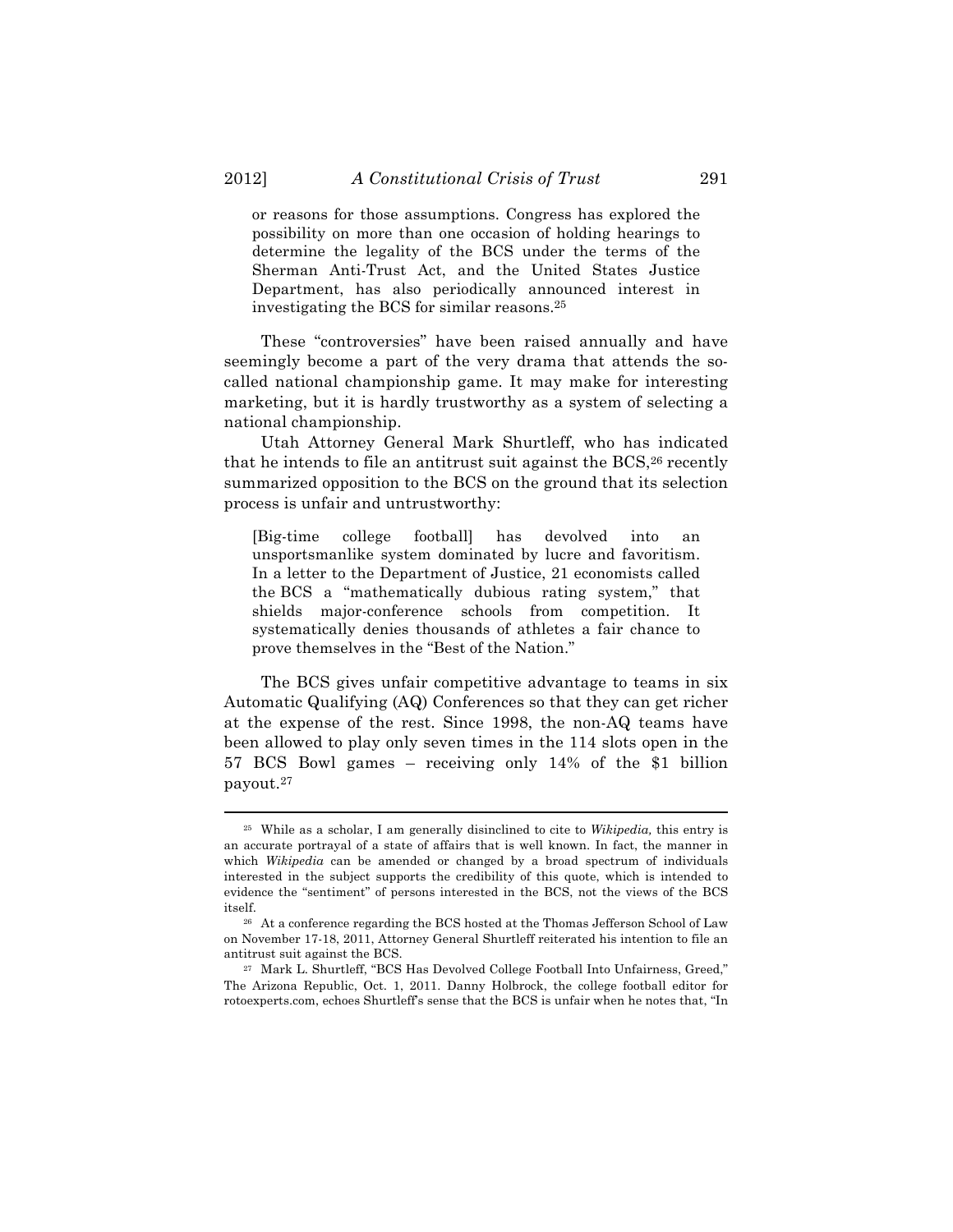or reasons for those assumptions. Congress has explored the possibility on more than one occasion of holding hearings to determine the legality of the BCS under the terms of the Sherman Anti-Trust Act, and the United States Justice Department, has also periodically announced interest in investigating the BCS for similar reasons.25

These "controversies" have been raised annually and have seemingly become a part of the very drama that attends the socalled national championship game. It may make for interesting marketing, but it is hardly trustworthy as a system of selecting a national championship.

Utah Attorney General Mark Shurtleff, who has indicated that he intends to file an antitrust suit against the BCS,<sup>26</sup> recently summarized opposition to the BCS on the ground that its selection process is unfair and untrustworthy:

[Big-time college football] has devolved into an unsportsmanlike system dominated by lucre and favoritism. In a letter to the Department of Justice, 21 economists called the BCS a "mathematically dubious rating system," that shields major-conference schools from competition. It systematically denies thousands of athletes a fair chance to prove themselves in the "Best of the Nation."

The BCS gives unfair competitive advantage to teams in six Automatic Qualifying (AQ) Conferences so that they can get richer at the expense of the rest. Since 1998, the non-AQ teams have been allowed to play only seven times in the 114 slots open in the 57 BCS Bowl games – receiving only 14% of the \$1 billion payout.27

<sup>25</sup> While as a scholar, I am generally disinclined to cite to *Wikipedia,* this entry is an accurate portrayal of a state of affairs that is well known. In fact, the manner in which *Wikipedia* can be amended or changed by a broad spectrum of individuals interested in the subject supports the credibility of this quote, which is intended to evidence the "sentiment" of persons interested in the BCS, not the views of the BCS itself.

<sup>26</sup> At a conference regarding the BCS hosted at the Thomas Jefferson School of Law on November 17-18, 2011, Attorney General Shurtleff reiterated his intention to file an antitrust suit against the BCS.

<sup>27</sup> Mark L. Shurtleff, "BCS Has Devolved College Football Into Unfairness, Greed," The Arizona Republic, Oct. 1, 2011. Danny Holbrock, the college football editor for rotoexperts.com, echoes Shurtleff's sense that the BCS is unfair when he notes that, "In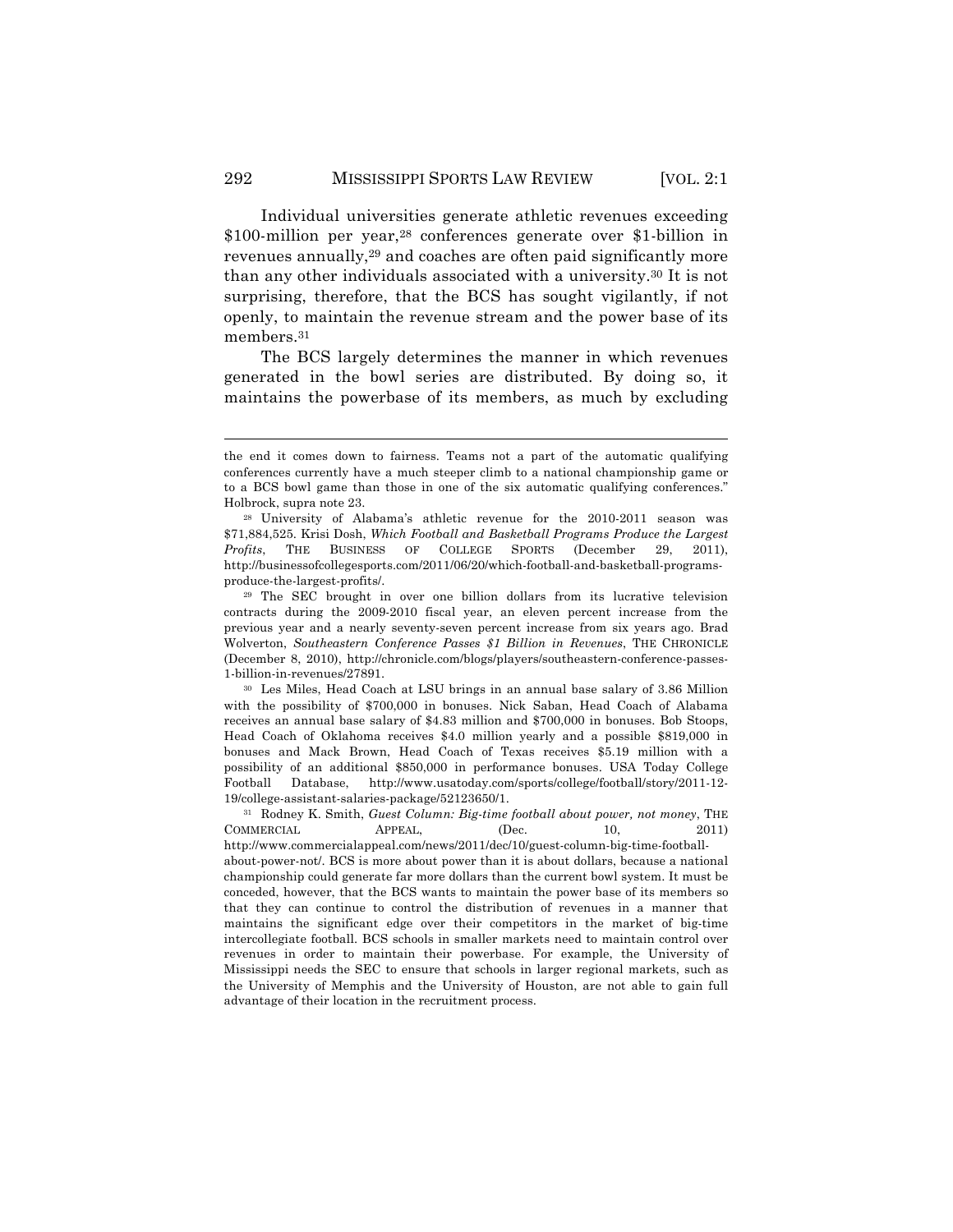Individual universities generate athletic revenues exceeding \$100-million per year,28 conferences generate over \$1-billion in revenues annually,29 and coaches are often paid significantly more than any other individuals associated with a university.30 It is not surprising, therefore, that the BCS has sought vigilantly, if not openly, to maintain the revenue stream and the power base of its members.31

The BCS largely determines the manner in which revenues generated in the bowl series are distributed. By doing so, it maintains the powerbase of its members, as much by excluding

!!!!!!!!!!!!!!!!!!!!!!!!!!!!!!!!!!!!!!!!!!!!!!!!!!!!!!!!!!!!!!!!!!!!!!!!!!!!!!!!!!!!!!!!!!!!!!!!!!!!!!!!!!!!!!!!!!!!!!!!!!!!!!!!!!!!!!!

<sup>30</sup> Les Miles, Head Coach at LSU brings in an annual base salary of 3.86 Million with the possibility of \$700,000 in bonuses. Nick Saban, Head Coach of Alabama receives an annual base salary of \$4.83 million and \$700,000 in bonuses. Bob Stoops, Head Coach of Oklahoma receives \$4.0 million yearly and a possible \$819,000 in bonuses and Mack Brown, Head Coach of Texas receives \$5.19 million with a possibility of an additional \$850,000 in performance bonuses. USA Today College Football Database, http://www.usatoday.com/sports/college/football/story/2011-12- 19/college-assistant-salaries-package/52123650/1.

<sup>31</sup> Rodney K. Smith, *Guest Column: Big-time football about power, not money*, THE COMMERCIAL APPEAL, (Dec. 10, 2011) http://www.commercialappeal.com/news/2011/dec/10/guest-column-big-time-footballabout-power-not/. BCS is more about power than it is about dollars, because a national championship could generate far more dollars than the current bowl system. It must be conceded, however, that the BCS wants to maintain the power base of its members so that they can continue to control the distribution of revenues in a manner that maintains the significant edge over their competitors in the market of big-time intercollegiate football. BCS schools in smaller markets need to maintain control over revenues in order to maintain their powerbase. For example, the University of Mississippi needs the SEC to ensure that schools in larger regional markets, such as the University of Memphis and the University of Houston, are not able to gain full advantage of their location in the recruitment process.

the end it comes down to fairness. Teams not a part of the automatic qualifying conferences currently have a much steeper climb to a national championship game or to a BCS bowl game than those in one of the six automatic qualifying conferences." Holbrock, supra note 23.

<sup>28</sup> University of Alabama's athletic revenue for the 2010-2011 season was \$71,884,525. Krisi Dosh, *Which Football and Basketball Programs Produce the Largest Profits*, THE BUSINESS OF COLLEGE SPORTS (December 29, 2011), http://businessofcollegesports.com/2011/06/20/which-football-and-basketball-programsproduce-the-largest-profits/.

<sup>29</sup> The SEC brought in over one billion dollars from its lucrative television contracts during the 2009-2010 fiscal year, an eleven percent increase from the previous year and a nearly seventy-seven percent increase from six years ago. Brad Wolverton, *Southeastern Conference Passes \$1 Billion in Revenues*, THE CHRONICLE (December 8, 2010), http://chronicle.com/blogs/players/southeastern-conference-passes-1-billion-in-revenues/27891.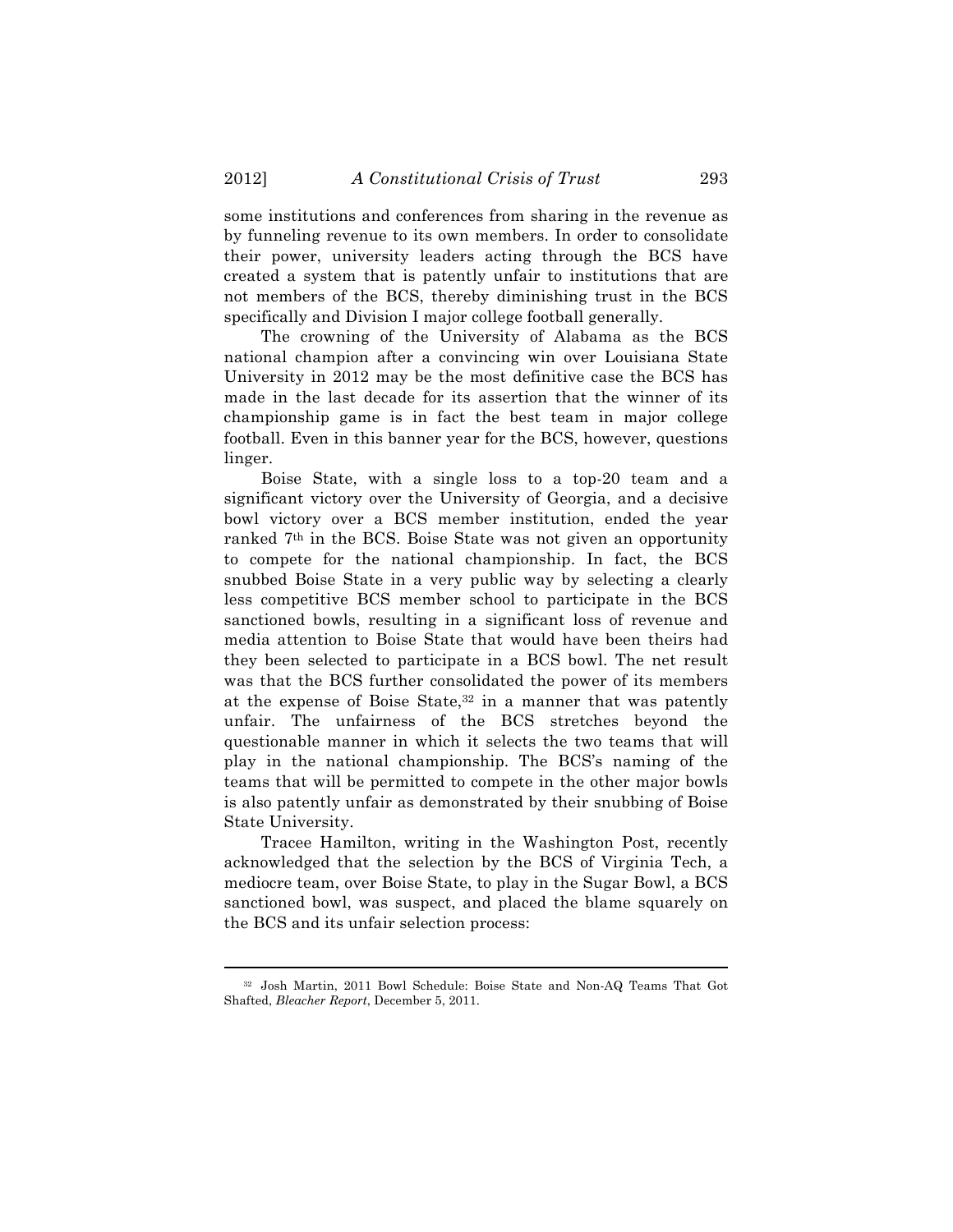some institutions and conferences from sharing in the revenue as by funneling revenue to its own members. In order to consolidate their power, university leaders acting through the BCS have created a system that is patently unfair to institutions that are not members of the BCS, thereby diminishing trust in the BCS specifically and Division I major college football generally.

The crowning of the University of Alabama as the BCS national champion after a convincing win over Louisiana State University in 2012 may be the most definitive case the BCS has made in the last decade for its assertion that the winner of its championship game is in fact the best team in major college football. Even in this banner year for the BCS, however, questions linger.

Boise State, with a single loss to a top-20 team and a significant victory over the University of Georgia, and a decisive bowl victory over a BCS member institution, ended the year ranked 7th in the BCS. Boise State was not given an opportunity to compete for the national championship. In fact, the BCS snubbed Boise State in a very public way by selecting a clearly less competitive BCS member school to participate in the BCS sanctioned bowls, resulting in a significant loss of revenue and media attention to Boise State that would have been theirs had they been selected to participate in a BCS bowl. The net result was that the BCS further consolidated the power of its members at the expense of Boise State, $32$  in a manner that was patently unfair. The unfairness of the BCS stretches beyond the questionable manner in which it selects the two teams that will play in the national championship. The BCS's naming of the teams that will be permitted to compete in the other major bowls is also patently unfair as demonstrated by their snubbing of Boise State University.

Tracee Hamilton, writing in the Washington Post, recently acknowledged that the selection by the BCS of Virginia Tech, a mediocre team, over Boise State, to play in the Sugar Bowl, a BCS sanctioned bowl, was suspect, and placed the blame squarely on the BCS and its unfair selection process:

<sup>!!!!!!!!!!!!!!!!!!!!!!!!!!!!!!!!!!!!!!!!!!!!!!!!!!!!!!!!!!!!!!!!!!!!!!!!!!!!!!!!!!!!!!!!!!!!!!!!!!!!!!!!!!!!!!!!!!!!!!!!!!!!!!!!!!!!!!!</sup> <sup>32</sup> Josh Martin, 2011 Bowl Schedule: Boise State and Non-AQ Teams That Got Shafted, *Bleacher Report*, December 5, 2011.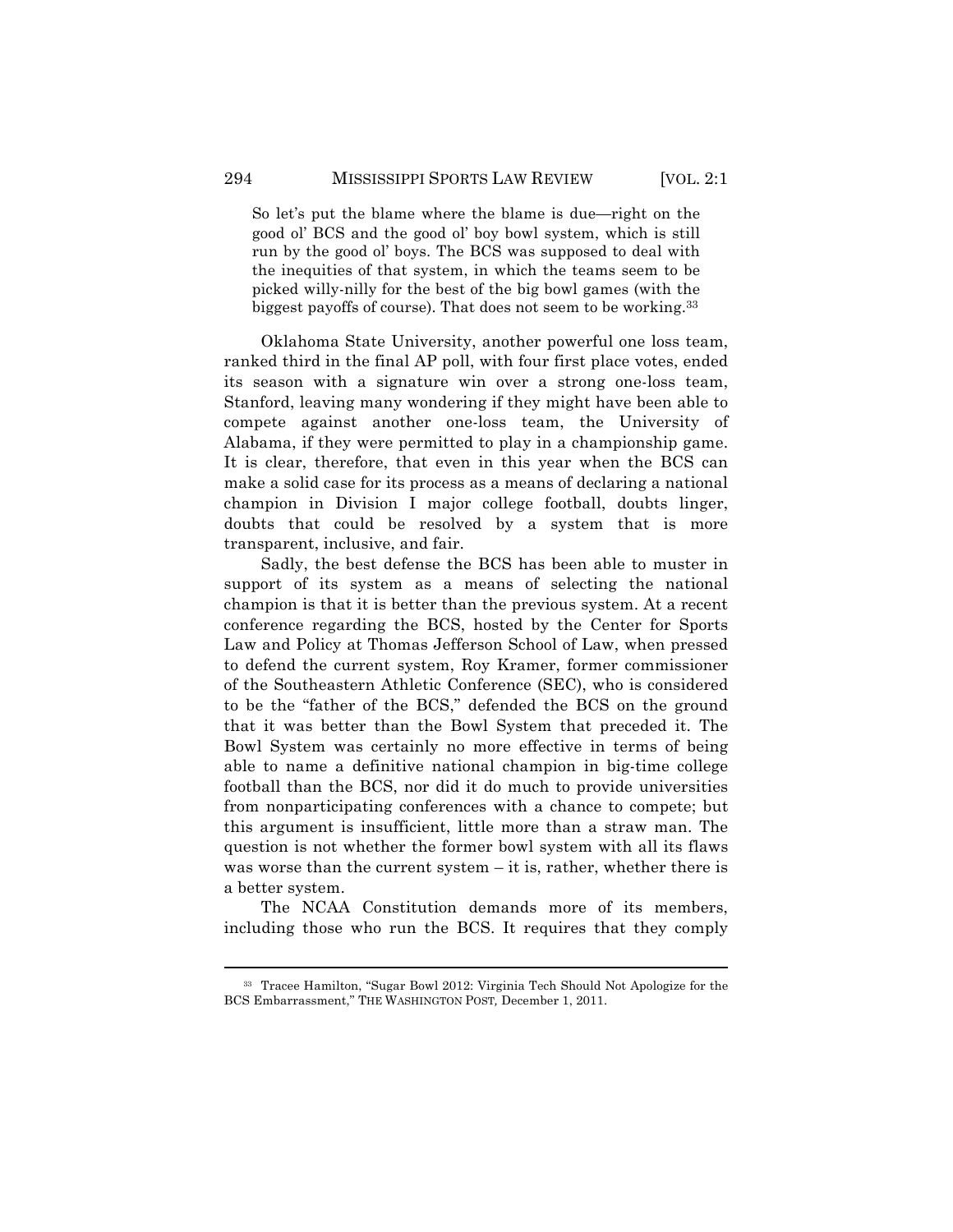So let's put the blame where the blame is due—right on the good ol' BCS and the good ol' boy bowl system, which is still run by the good ol' boys. The BCS was supposed to deal with the inequities of that system, in which the teams seem to be picked willy-nilly for the best of the big bowl games (with the biggest payoffs of course). That does not seem to be working.33

Oklahoma State University, another powerful one loss team, ranked third in the final AP poll, with four first place votes, ended its season with a signature win over a strong one-loss team, Stanford, leaving many wondering if they might have been able to compete against another one-loss team, the University of Alabama, if they were permitted to play in a championship game. It is clear, therefore, that even in this year when the BCS can make a solid case for its process as a means of declaring a national champion in Division I major college football, doubts linger, doubts that could be resolved by a system that is more transparent, inclusive, and fair.

Sadly, the best defense the BCS has been able to muster in support of its system as a means of selecting the national champion is that it is better than the previous system. At a recent conference regarding the BCS, hosted by the Center for Sports Law and Policy at Thomas Jefferson School of Law, when pressed to defend the current system, Roy Kramer, former commissioner of the Southeastern Athletic Conference (SEC), who is considered to be the "father of the BCS," defended the BCS on the ground that it was better than the Bowl System that preceded it. The Bowl System was certainly no more effective in terms of being able to name a definitive national champion in big-time college football than the BCS, nor did it do much to provide universities from nonparticipating conferences with a chance to compete; but this argument is insufficient, little more than a straw man. The question is not whether the former bowl system with all its flaws was worse than the current system – it is, rather, whether there is a better system.

The NCAA Constitution demands more of its members, including those who run the BCS. It requires that they comply

<sup>!!!!!!!!!!!!!!!!!!!!!!!!!!!!!!!!!!!!!!!!!!!!!!!!!!!!!!!!!!!!!!!!!!!!!!!!!!!!!!!!!!!!!!!!!!!!!!!!!!!!!!!!!!!!!!!!!!!!!!!!!!!!!!!!!!!!!!!</sup> <sup>33</sup> Tracee Hamilton, "Sugar Bowl 2012: Virginia Tech Should Not Apologize for the BCS Embarrassment," THE WASHINGTON POST*,* December 1, 2011.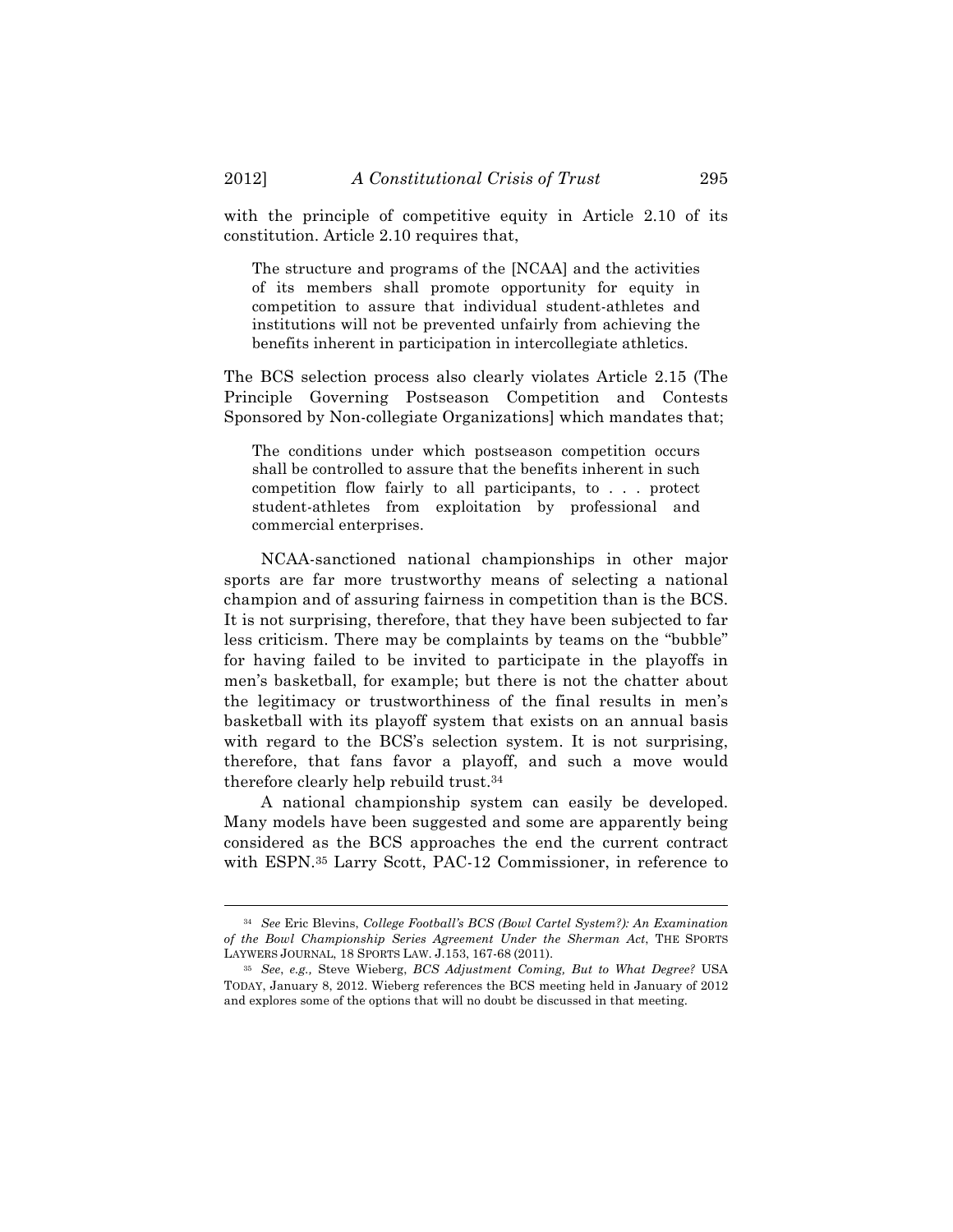with the principle of competitive equity in Article 2.10 of its constitution. Article 2.10 requires that,

The structure and programs of the [NCAA] and the activities of its members shall promote opportunity for equity in competition to assure that individual student-athletes and institutions will not be prevented unfairly from achieving the benefits inherent in participation in intercollegiate athletics.

The BCS selection process also clearly violates Article 2.15 (The Principle Governing Postseason Competition and Contests Sponsored by Non-collegiate Organizations] which mandates that;

The conditions under which postseason competition occurs shall be controlled to assure that the benefits inherent in such competition flow fairly to all participants, to . . . protect student-athletes from exploitation by professional and commercial enterprises.

NCAA-sanctioned national championships in other major sports are far more trustworthy means of selecting a national champion and of assuring fairness in competition than is the BCS. It is not surprising, therefore, that they have been subjected to far less criticism. There may be complaints by teams on the "bubble" for having failed to be invited to participate in the playoffs in men's basketball, for example; but there is not the chatter about the legitimacy or trustworthiness of the final results in men's basketball with its playoff system that exists on an annual basis with regard to the BCS's selection system. It is not surprising, therefore, that fans favor a playoff, and such a move would therefore clearly help rebuild trust.34

A national championship system can easily be developed. Many models have been suggested and some are apparently being considered as the BCS approaches the end the current contract with ESPN.35 Larry Scott, PAC-12 Commissioner, in reference to

<sup>34</sup> *See* Eric Blevins, *College Football's BCS (Bowl Cartel System?): An Examination of the Bowl Championship Series Agreement Under the Sherman Act*, THE SPORTS LAYWERS JOURNAL, 18 SPORTS LAW. J.153, 167-68 (2011).

<sup>35</sup> *See*, *e.g.,* Steve Wieberg, *BCS Adjustment Coming, But to What Degree?* USA TODAY, January 8, 2012. Wieberg references the BCS meeting held in January of 2012 and explores some of the options that will no doubt be discussed in that meeting.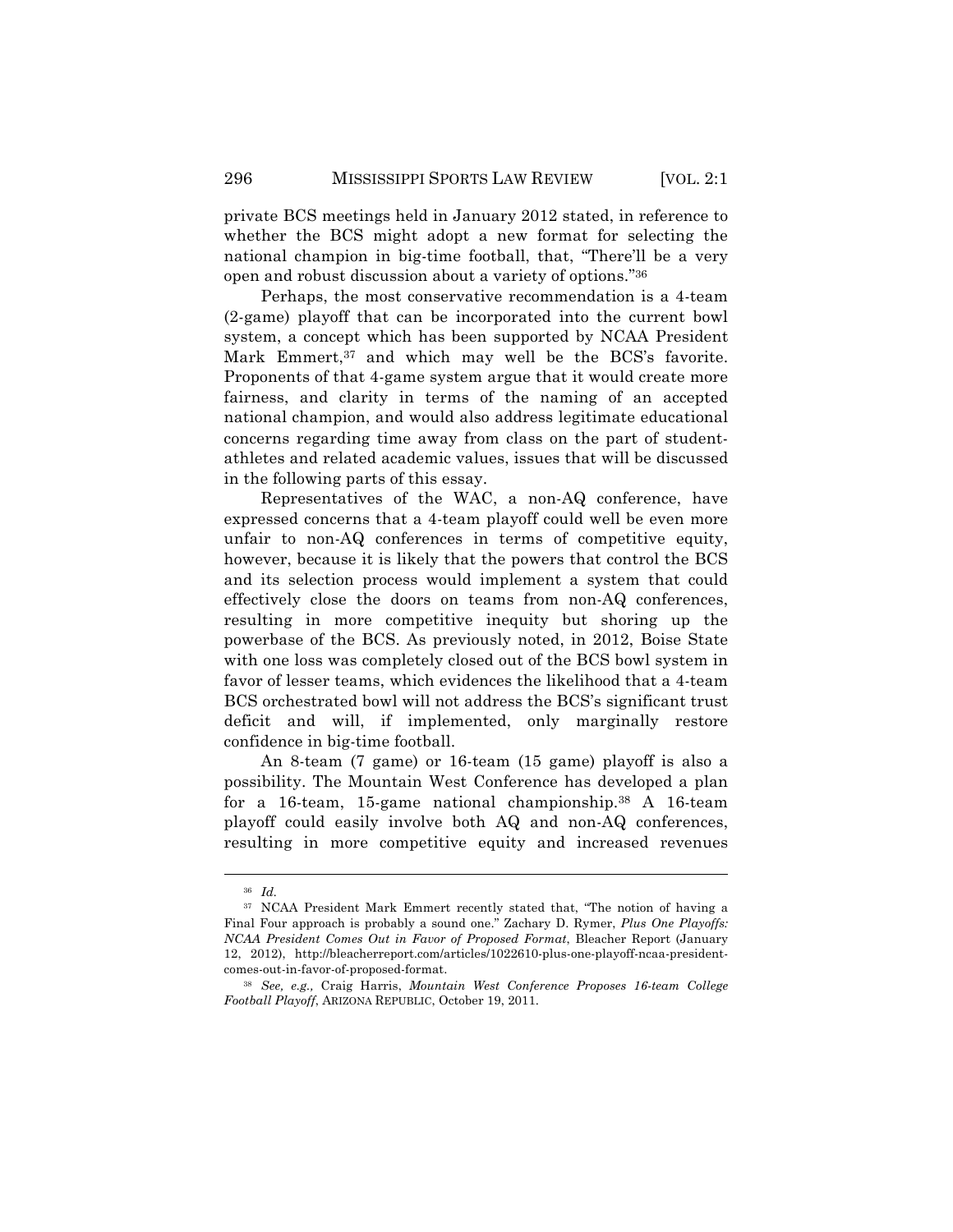private BCS meetings held in January 2012 stated, in reference to whether the BCS might adopt a new format for selecting the national champion in big-time football, that, "There'll be a very open and robust discussion about a variety of options."36

Perhaps, the most conservative recommendation is a 4-team (2-game) playoff that can be incorporated into the current bowl system, a concept which has been supported by NCAA President Mark Emmert,<sup>37</sup> and which may well be the BCS's favorite. Proponents of that 4-game system argue that it would create more fairness, and clarity in terms of the naming of an accepted national champion, and would also address legitimate educational concerns regarding time away from class on the part of studentathletes and related academic values, issues that will be discussed in the following parts of this essay.

Representatives of the WAC, a non-AQ conference, have expressed concerns that a 4-team playoff could well be even more unfair to non-AQ conferences in terms of competitive equity, however, because it is likely that the powers that control the BCS and its selection process would implement a system that could effectively close the doors on teams from non-AQ conferences, resulting in more competitive inequity but shoring up the powerbase of the BCS. As previously noted, in 2012, Boise State with one loss was completely closed out of the BCS bowl system in favor of lesser teams, which evidences the likelihood that a 4-team BCS orchestrated bowl will not address the BCS's significant trust deficit and will, if implemented, only marginally restore confidence in big-time football.

An 8-team (7 game) or 16-team (15 game) playoff is also a possibility. The Mountain West Conference has developed a plan for a 16-team, 15-game national championship.38 A 16-team playoff could easily involve both AQ and non-AQ conferences, resulting in more competitive equity and increased revenues

<sup>36</sup> *Id.*

<sup>37</sup> NCAA President Mark Emmert recently stated that, "The notion of having a Final Four approach is probably a sound one." Zachary D. Rymer, *Plus One Playoffs: NCAA President Comes Out in Favor of Proposed Format*, Bleacher Report (January 12, 2012), http://bleacherreport.com/articles/1022610-plus-one-playoff-ncaa-presidentcomes-out-in-favor-of-proposed-format.

<sup>38</sup> *See, e.g.,* Craig Harris, *Mountain West Conference Proposes 16-team College Football Playoff*, ARIZONA REPUBLIC, October 19, 2011.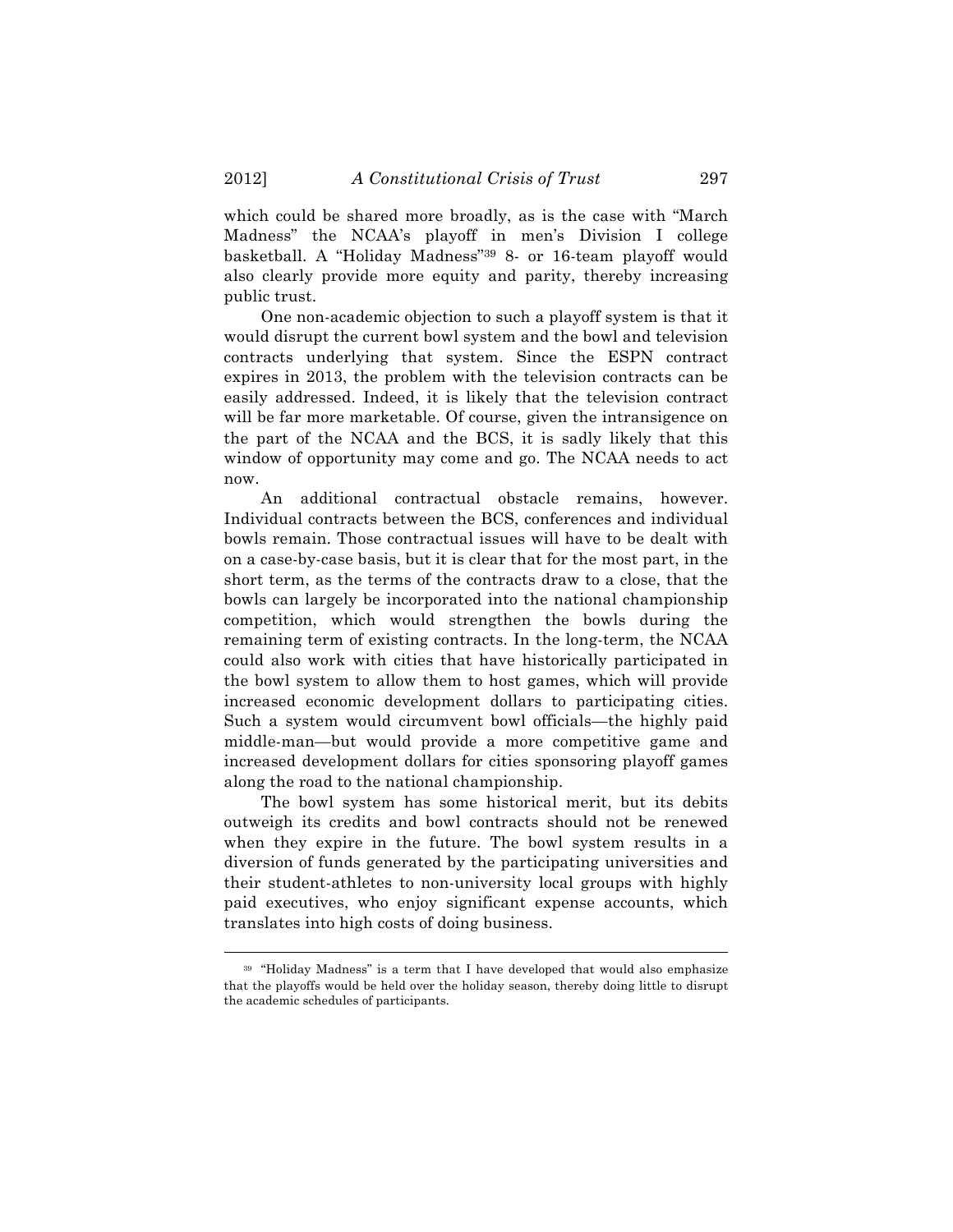which could be shared more broadly, as is the case with "March Madness" the NCAA's playoff in men's Division I college basketball. A "Holiday Madness"39 8- or 16-team playoff would also clearly provide more equity and parity, thereby increasing public trust.

One non-academic objection to such a playoff system is that it would disrupt the current bowl system and the bowl and television contracts underlying that system. Since the ESPN contract expires in 2013, the problem with the television contracts can be easily addressed. Indeed, it is likely that the television contract will be far more marketable. Of course, given the intransigence on the part of the NCAA and the BCS, it is sadly likely that this window of opportunity may come and go. The NCAA needs to act now.

An additional contractual obstacle remains, however. Individual contracts between the BCS, conferences and individual bowls remain. Those contractual issues will have to be dealt with on a case-by-case basis, but it is clear that for the most part, in the short term, as the terms of the contracts draw to a close, that the bowls can largely be incorporated into the national championship competition, which would strengthen the bowls during the remaining term of existing contracts. In the long-term, the NCAA could also work with cities that have historically participated in the bowl system to allow them to host games, which will provide increased economic development dollars to participating cities. Such a system would circumvent bowl officials—the highly paid middle-man—but would provide a more competitive game and increased development dollars for cities sponsoring playoff games along the road to the national championship.

The bowl system has some historical merit, but its debits outweigh its credits and bowl contracts should not be renewed when they expire in the future. The bowl system results in a diversion of funds generated by the participating universities and their student-athletes to non-university local groups with highly paid executives, who enjoy significant expense accounts, which translates into high costs of doing business.

<sup>39</sup> "Holiday Madness" is a term that I have developed that would also emphasize that the playoffs would be held over the holiday season, thereby doing little to disrupt the academic schedules of participants.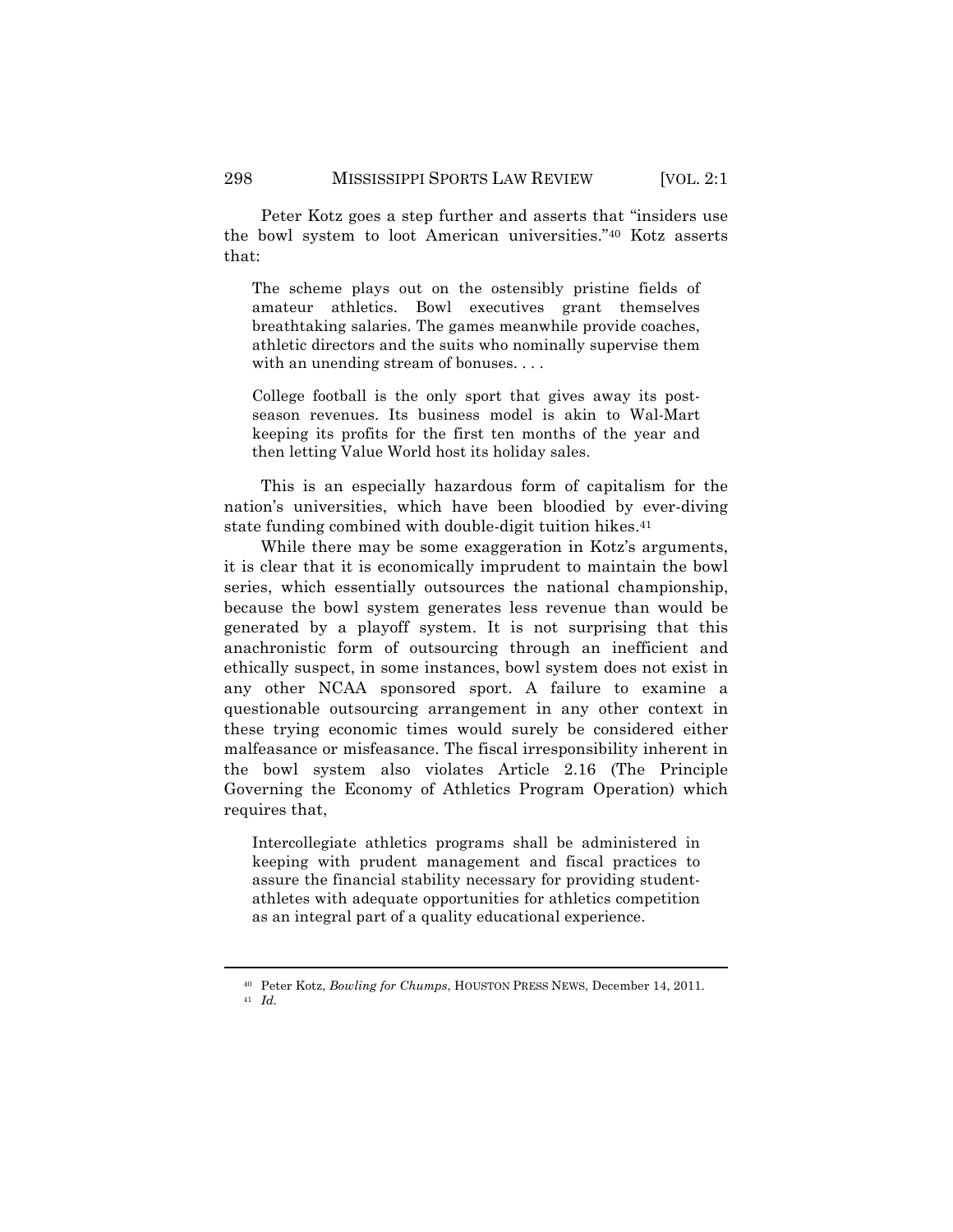Peter Kotz goes a step further and asserts that "insiders use the bowl system to loot American universities."40 Kotz asserts that:

The scheme plays out on the ostensibly pristine fields of amateur athletics. Bowl executives grant themselves breathtaking salaries. The games meanwhile provide coaches, athletic directors and the suits who nominally supervise them with an unending stream of bonuses....

College football is the only sport that gives away its postseason revenues. Its business model is akin to Wal-Mart keeping its profits for the first ten months of the year and then letting Value World host its holiday sales.

This is an especially hazardous form of capitalism for the nation's universities, which have been bloodied by ever-diving state funding combined with double-digit tuition hikes.<sup>41</sup>

While there may be some exaggeration in Kotz's arguments, it is clear that it is economically imprudent to maintain the bowl series, which essentially outsources the national championship, because the bowl system generates less revenue than would be generated by a playoff system. It is not surprising that this anachronistic form of outsourcing through an inefficient and ethically suspect, in some instances, bowl system does not exist in any other NCAA sponsored sport. A failure to examine a questionable outsourcing arrangement in any other context in these trying economic times would surely be considered either malfeasance or misfeasance. The fiscal irresponsibility inherent in the bowl system also violates Article 2.16 (The Principle Governing the Economy of Athletics Program Operation) which requires that,

Intercollegiate athletics programs shall be administered in keeping with prudent management and fiscal practices to assure the financial stability necessary for providing studentathletes with adequate opportunities for athletics competition as an integral part of a quality educational experience.

<sup>!!!!!!!!!!!!!!!!!!!!!!!!!!!!!!!!!!!!!!!!!!!!!!!!!!!!!!!!!!!!!!!!!!!!!!!!!!!!!!!!!!!!!!!!!!!!!!!!!!!!!!!!!!!!!!!!!!!!!!!!!!!!!!!!!!!!!!!</sup> <sup>40</sup> Peter Kotz, *Bowling for Chumps*, HOUSTON PRESS NEWS, December 14, 2011.

<sup>41</sup> *Id.*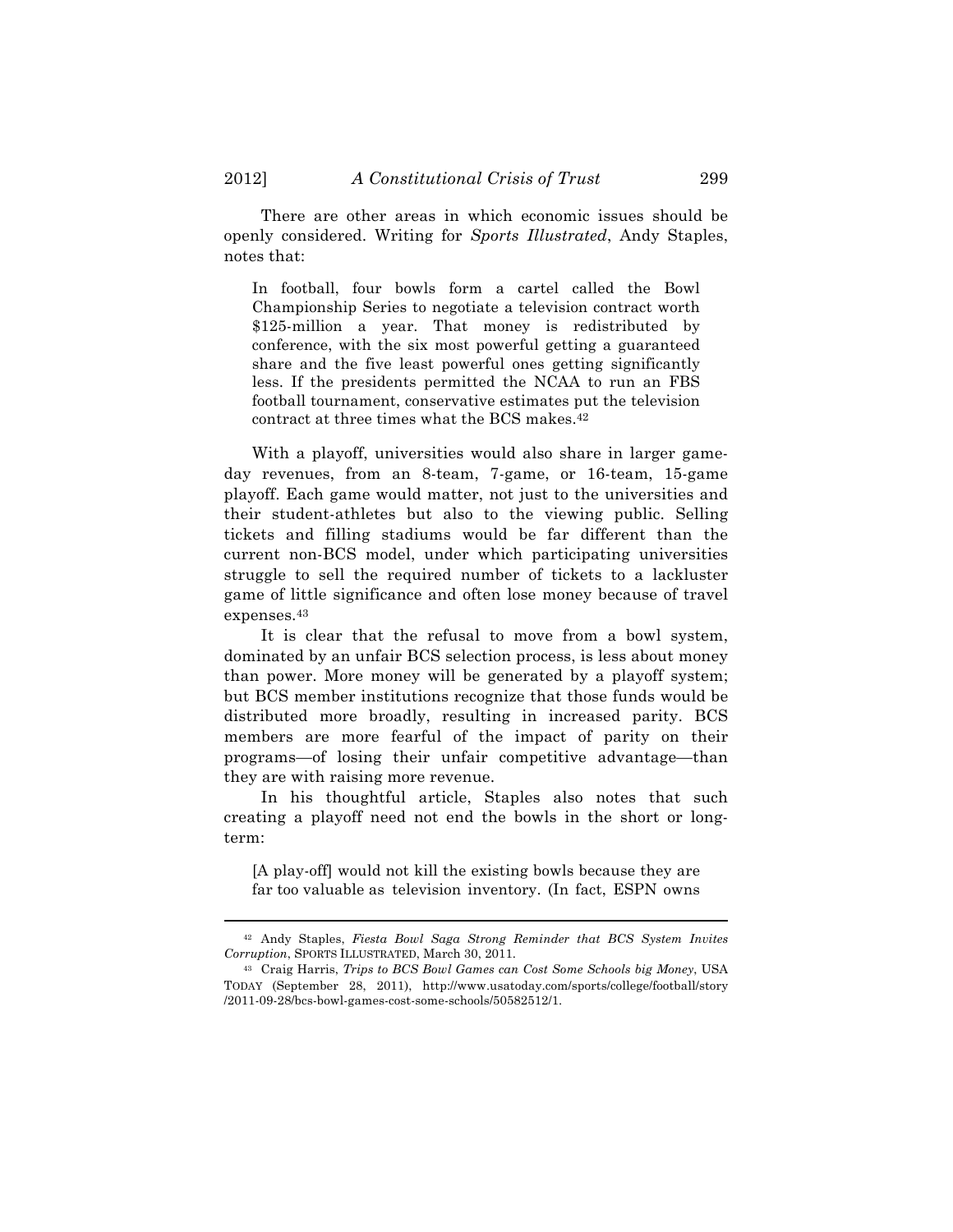There are other areas in which economic issues should be openly considered. Writing for *Sports Illustrated*, Andy Staples, notes that:

In football, four bowls form a cartel called the Bowl Championship Series to negotiate a television contract worth \$125-million a year. That money is redistributed by conference, with the six most powerful getting a guaranteed share and the five least powerful ones getting significantly less. If the presidents permitted the NCAA to run an FBS football tournament, conservative estimates put the television contract at three times what the BCS makes.42

With a playoff, universities would also share in larger gameday revenues, from an 8-team, 7-game, or 16-team, 15-game playoff. Each game would matter, not just to the universities and their student-athletes but also to the viewing public. Selling tickets and filling stadiums would be far different than the current non-BCS model, under which participating universities struggle to sell the required number of tickets to a lackluster game of little significance and often lose money because of travel expenses.43

It is clear that the refusal to move from a bowl system, dominated by an unfair BCS selection process, is less about money than power. More money will be generated by a playoff system; but BCS member institutions recognize that those funds would be distributed more broadly, resulting in increased parity. BCS members are more fearful of the impact of parity on their programs—of losing their unfair competitive advantage—than they are with raising more revenue.

In his thoughtful article, Staples also notes that such creating a playoff need not end the bowls in the short or longterm:

[A play-off] would not kill the existing bowls because they are far too valuable as television inventory. (In fact, ESPN owns

<sup>!!!!!!!!!!!!!!!!!!!!!!!!!!!!!!!!!!!!!!!!!!!!!!!!!!!!!!!!!!!!!!!!!!!!!!!!!!!!!!!!!!!!!!!!!!!!!!!!!!!!!!!!!!!!!!!!!!!!!!!!!!!!!!!!!!!!!!!</sup> <sup>42</sup> Andy Staples, *Fiesta Bowl Saga Strong Reminder that BCS System Invites Corruption*, SPORTS ILLUSTRATED, March 30, 2011.

<sup>43</sup> Craig Harris, *Trips to BCS Bowl Games can Cost Some Schools big Money*, USA TODAY (September 28, 2011), http://www.usatoday.com/sports/college/football/story /2011-09-28/bcs-bowl-games-cost-some-schools/50582512/1.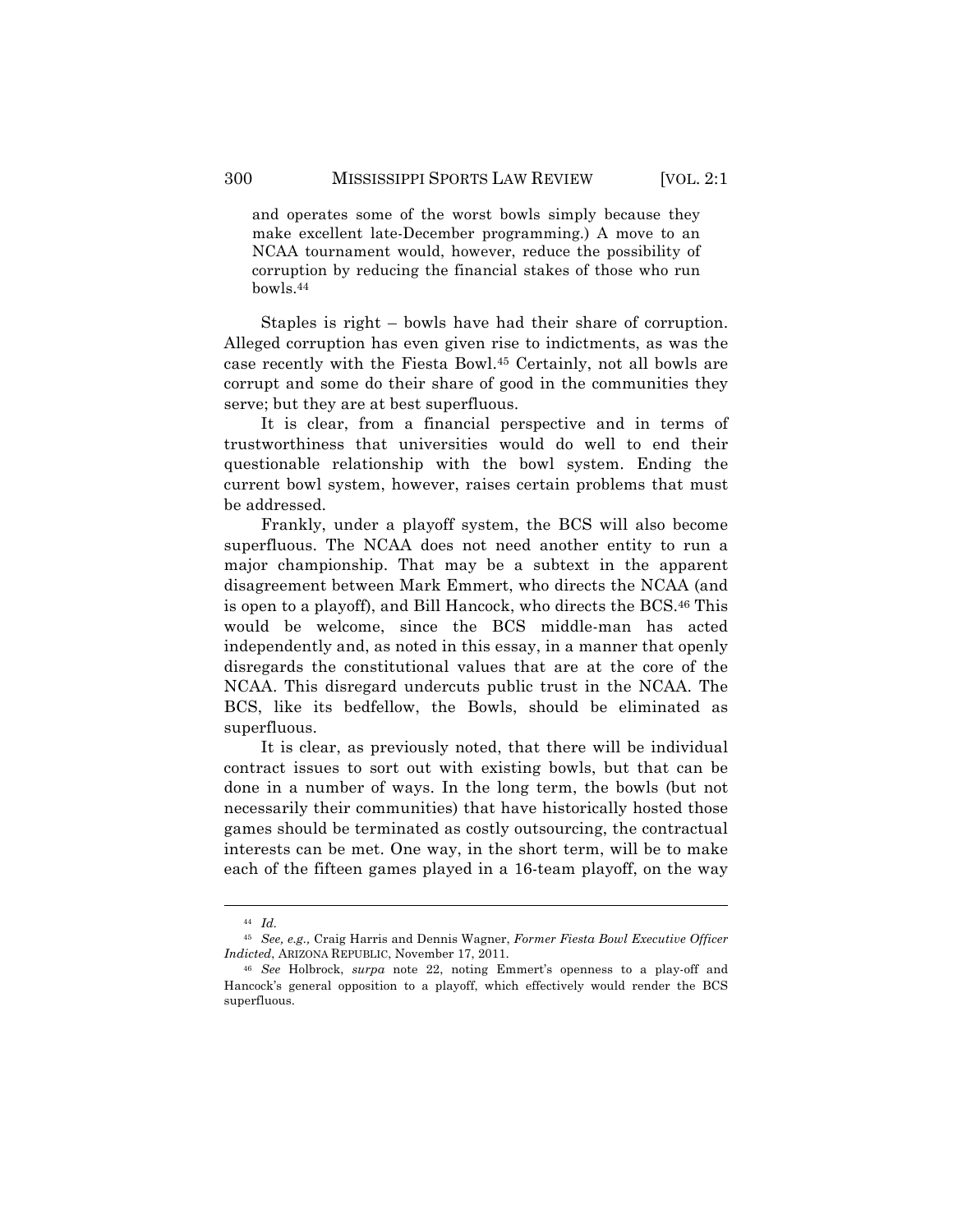and operates some of the worst bowls simply because they make excellent late-December programming.) A move to an NCAA tournament would, however, reduce the possibility of corruption by reducing the financial stakes of those who run bowls.44

Staples is right – bowls have had their share of corruption. Alleged corruption has even given rise to indictments, as was the case recently with the Fiesta Bowl.45 Certainly, not all bowls are corrupt and some do their share of good in the communities they serve; but they are at best superfluous.

It is clear, from a financial perspective and in terms of trustworthiness that universities would do well to end their questionable relationship with the bowl system. Ending the current bowl system, however, raises certain problems that must be addressed.

Frankly, under a playoff system, the BCS will also become superfluous. The NCAA does not need another entity to run a major championship. That may be a subtext in the apparent disagreement between Mark Emmert, who directs the NCAA (and is open to a playoff), and Bill Hancock, who directs the BCS.46 This would be welcome, since the BCS middle-man has acted independently and, as noted in this essay, in a manner that openly disregards the constitutional values that are at the core of the NCAA. This disregard undercuts public trust in the NCAA. The BCS, like its bedfellow, the Bowls, should be eliminated as superfluous.

It is clear, as previously noted, that there will be individual contract issues to sort out with existing bowls, but that can be done in a number of ways. In the long term, the bowls (but not necessarily their communities) that have historically hosted those games should be terminated as costly outsourcing, the contractual interests can be met. One way, in the short term, will be to make each of the fifteen games played in a 16-team playoff, on the way

<sup>44</sup> *Id.*

<sup>45</sup> *See, e.g.,* Craig Harris and Dennis Wagner, *Former Fiesta Bowl Executive Officer Indicted*, ARIZONA REPUBLIC, November 17, 2011.

<sup>46</sup> *See* Holbrock, *surpa* note 22, noting Emmert's openness to a play-off and Hancock's general opposition to a playoff, which effectively would render the BCS superfluous.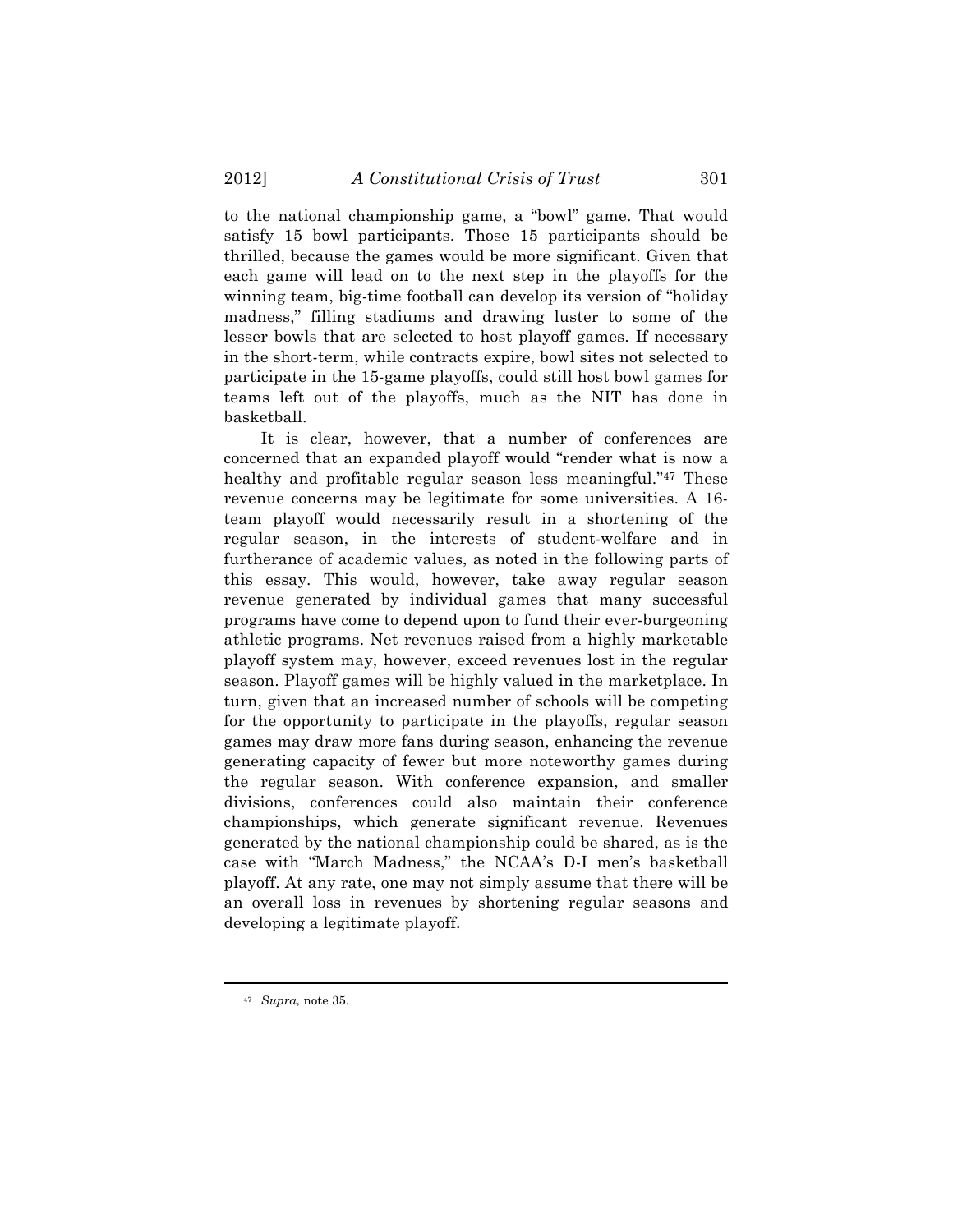to the national championship game, a "bowl" game. That would satisfy 15 bowl participants. Those 15 participants should be thrilled, because the games would be more significant. Given that each game will lead on to the next step in the playoffs for the winning team, big-time football can develop its version of "holiday madness," filling stadiums and drawing luster to some of the lesser bowls that are selected to host playoff games. If necessary in the short-term, while contracts expire, bowl sites not selected to participate in the 15-game playoffs, could still host bowl games for teams left out of the playoffs, much as the NIT has done in basketball.

It is clear, however, that a number of conferences are concerned that an expanded playoff would "render what is now a healthy and profitable regular season less meaningful."<sup>47</sup> These revenue concerns may be legitimate for some universities. A 16 team playoff would necessarily result in a shortening of the regular season, in the interests of student-welfare and in furtherance of academic values, as noted in the following parts of this essay. This would, however, take away regular season revenue generated by individual games that many successful programs have come to depend upon to fund their ever-burgeoning athletic programs. Net revenues raised from a highly marketable playoff system may, however, exceed revenues lost in the regular season. Playoff games will be highly valued in the marketplace. In turn, given that an increased number of schools will be competing for the opportunity to participate in the playoffs, regular season games may draw more fans during season, enhancing the revenue generating capacity of fewer but more noteworthy games during the regular season. With conference expansion, and smaller divisions, conferences could also maintain their conference championships, which generate significant revenue. Revenues generated by the national championship could be shared, as is the case with "March Madness," the NCAA's D-I men's basketball playoff. At any rate, one may not simply assume that there will be an overall loss in revenues by shortening regular seasons and developing a legitimate playoff.

<sup>47</sup> *Supra,* note 35.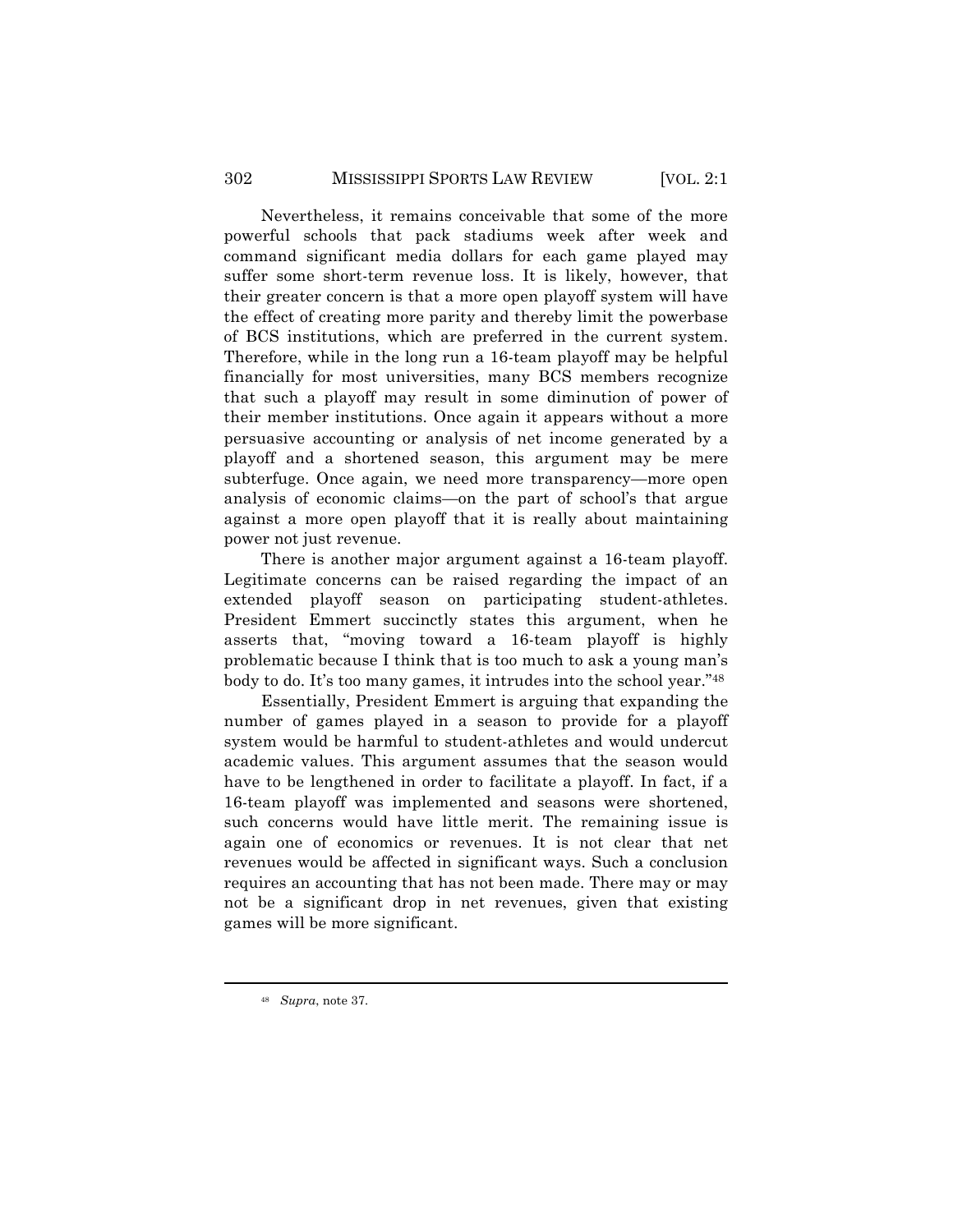Nevertheless, it remains conceivable that some of the more powerful schools that pack stadiums week after week and command significant media dollars for each game played may suffer some short-term revenue loss. It is likely, however, that their greater concern is that a more open playoff system will have the effect of creating more parity and thereby limit the powerbase of BCS institutions, which are preferred in the current system. Therefore, while in the long run a 16-team playoff may be helpful financially for most universities, many BCS members recognize that such a playoff may result in some diminution of power of their member institutions. Once again it appears without a more persuasive accounting or analysis of net income generated by a playoff and a shortened season, this argument may be mere subterfuge. Once again, we need more transparency—more open analysis of economic claims—on the part of school's that argue against a more open playoff that it is really about maintaining power not just revenue.

There is another major argument against a 16-team playoff. Legitimate concerns can be raised regarding the impact of an extended playoff season on participating student-athletes. President Emmert succinctly states this argument, when he asserts that, "moving toward a 16-team playoff is highly problematic because I think that is too much to ask a young man's body to do. It's too many games, it intrudes into the school year."48

Essentially, President Emmert is arguing that expanding the number of games played in a season to provide for a playoff system would be harmful to student-athletes and would undercut academic values. This argument assumes that the season would have to be lengthened in order to facilitate a playoff. In fact, if a 16-team playoff was implemented and seasons were shortened, such concerns would have little merit. The remaining issue is again one of economics or revenues. It is not clear that net revenues would be affected in significant ways. Such a conclusion requires an accounting that has not been made. There may or may not be a significant drop in net revenues, given that existing games will be more significant.

<sup>48</sup> *Supra*, note 37.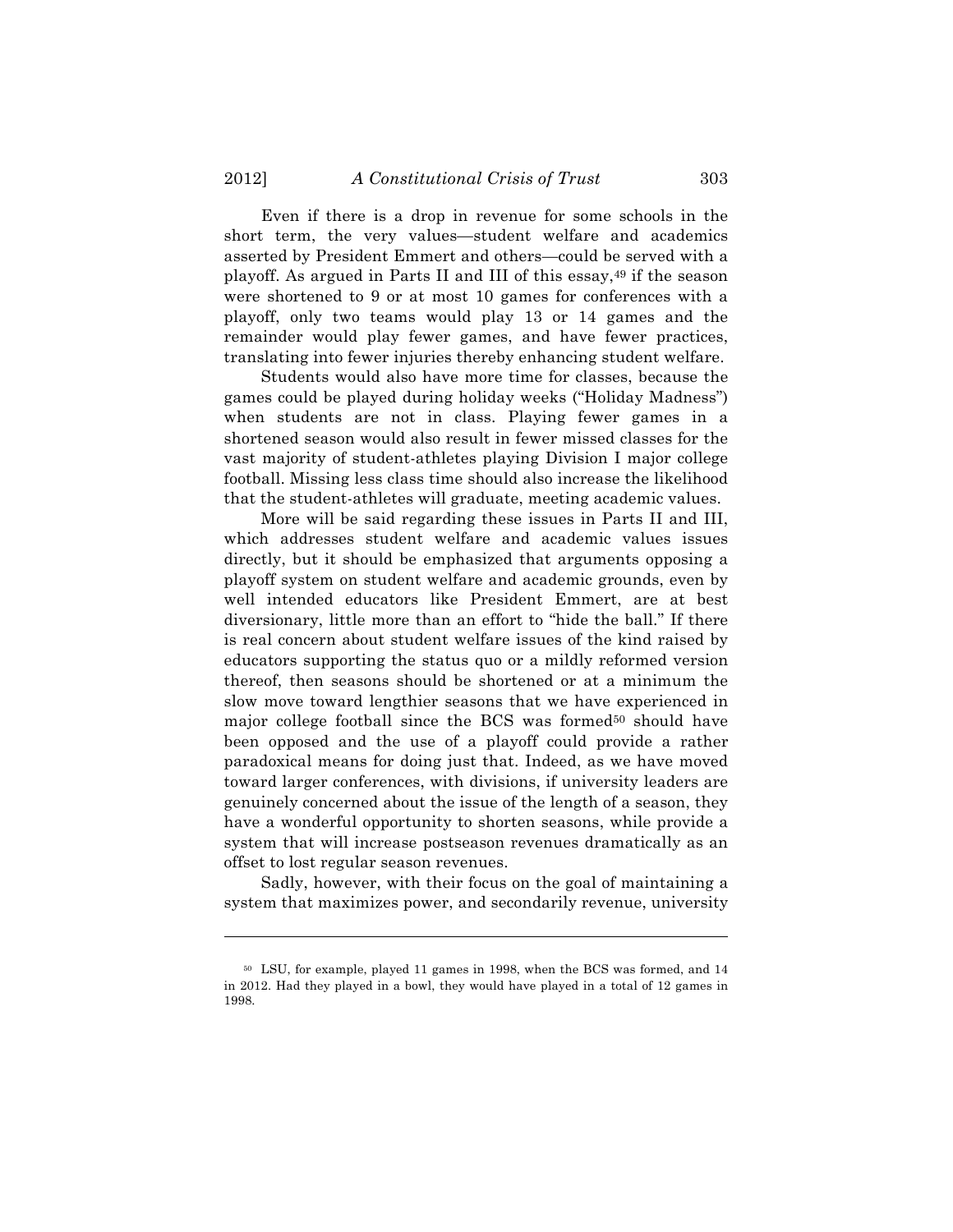Even if there is a drop in revenue for some schools in the short term, the very values—student welfare and academics asserted by President Emmert and others—could be served with a playoff. As argued in Parts II and III of this essay,<sup>49</sup> if the season were shortened to 9 or at most 10 games for conferences with a playoff, only two teams would play 13 or 14 games and the remainder would play fewer games, and have fewer practices, translating into fewer injuries thereby enhancing student welfare.

Students would also have more time for classes, because the games could be played during holiday weeks ("Holiday Madness") when students are not in class. Playing fewer games in a shortened season would also result in fewer missed classes for the vast majority of student-athletes playing Division I major college football. Missing less class time should also increase the likelihood that the student-athletes will graduate, meeting academic values.

More will be said regarding these issues in Parts II and III, which addresses student welfare and academic values issues directly, but it should be emphasized that arguments opposing a playoff system on student welfare and academic grounds, even by well intended educators like President Emmert, are at best diversionary, little more than an effort to "hide the ball." If there is real concern about student welfare issues of the kind raised by educators supporting the status quo or a mildly reformed version thereof, then seasons should be shortened or at a minimum the slow move toward lengthier seasons that we have experienced in major college football since the BCS was formed<sup>50</sup> should have been opposed and the use of a playoff could provide a rather paradoxical means for doing just that. Indeed, as we have moved toward larger conferences, with divisions, if university leaders are genuinely concerned about the issue of the length of a season, they have a wonderful opportunity to shorten seasons, while provide a system that will increase postseason revenues dramatically as an offset to lost regular season revenues.

Sadly, however, with their focus on the goal of maintaining a system that maximizes power, and secondarily revenue, university

<sup>50</sup> LSU, for example, played 11 games in 1998, when the BCS was formed, and 14 in 2012. Had they played in a bowl, they would have played in a total of 12 games in 1998.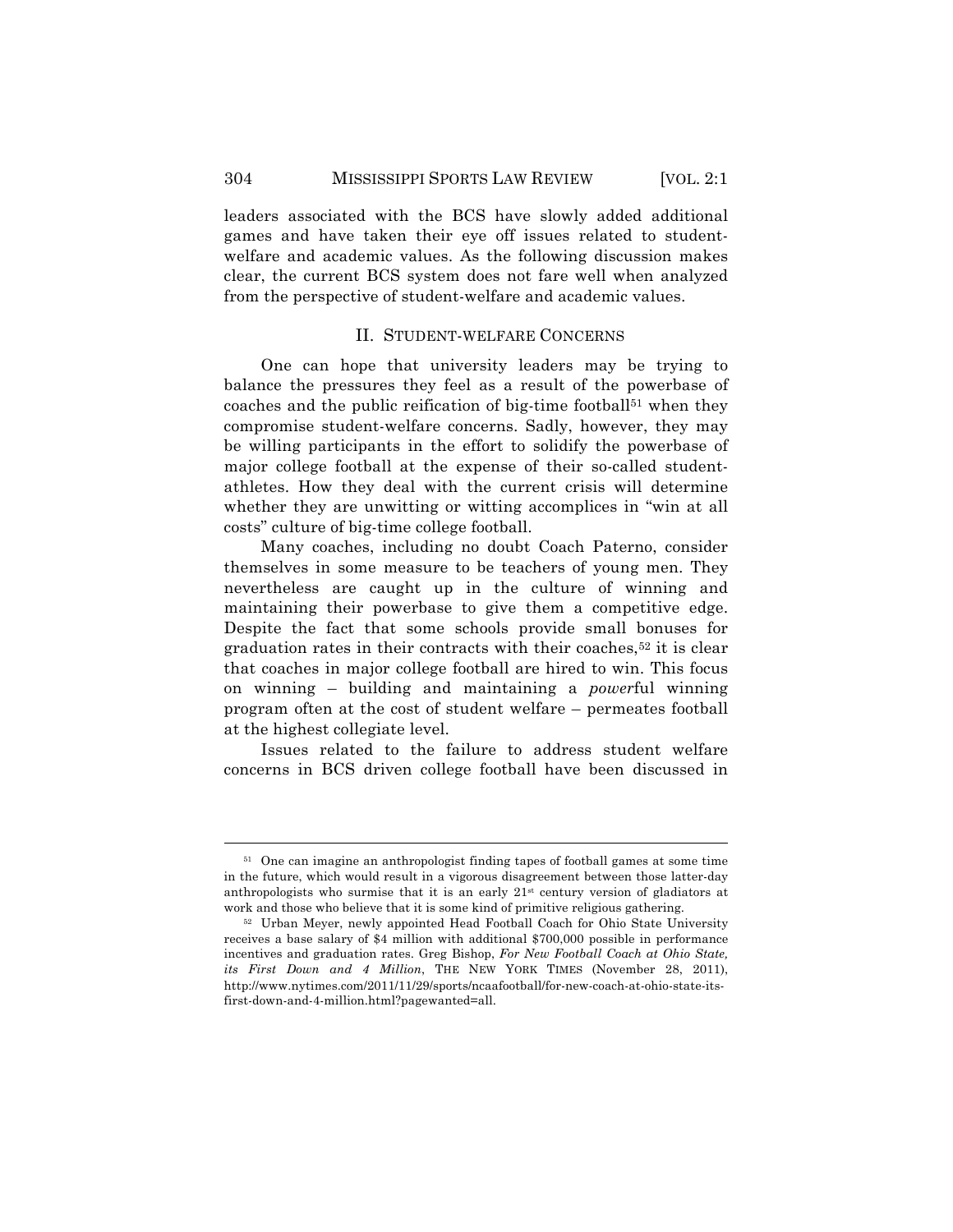leaders associated with the BCS have slowly added additional games and have taken their eye off issues related to studentwelfare and academic values. As the following discussion makes clear, the current BCS system does not fare well when analyzed from the perspective of student-welfare and academic values.

### II. STUDENT-WELFARE CONCERNS

One can hope that university leaders may be trying to balance the pressures they feel as a result of the powerbase of coaches and the public reification of big-time football<sup>51</sup> when they compromise student-welfare concerns. Sadly, however, they may be willing participants in the effort to solidify the powerbase of major college football at the expense of their so-called studentathletes. How they deal with the current crisis will determine whether they are unwitting or witting accomplices in "win at all costs" culture of big-time college football.

Many coaches, including no doubt Coach Paterno, consider themselves in some measure to be teachers of young men. They nevertheless are caught up in the culture of winning and maintaining their powerbase to give them a competitive edge. Despite the fact that some schools provide small bonuses for graduation rates in their contracts with their coaches,<sup>52</sup> it is clear that coaches in major college football are hired to win. This focus on winning – building and maintaining a *power*ful winning program often at the cost of student welfare – permeates football at the highest collegiate level.

Issues related to the failure to address student welfare concerns in BCS driven college football have been discussed in

<sup>&</sup>lt;sup>51</sup> One can imagine an anthropologist finding tapes of football games at some time in the future, which would result in a vigorous disagreement between those latter-day anthropologists who surmise that it is an early 21st century version of gladiators at work and those who believe that it is some kind of primitive religious gathering.

<sup>52</sup> Urban Meyer, newly appointed Head Football Coach for Ohio State University receives a base salary of \$4 million with additional \$700,000 possible in performance incentives and graduation rates. Greg Bishop, *For New Football Coach at Ohio State, its First Down and 4 Million*, THE NEW YORK TIMES (November 28, 2011), http://www.nytimes.com/2011/11/29/sports/ncaafootball/for-new-coach-at-ohio-state-itsfirst-down-and-4-million.html?pagewanted=all.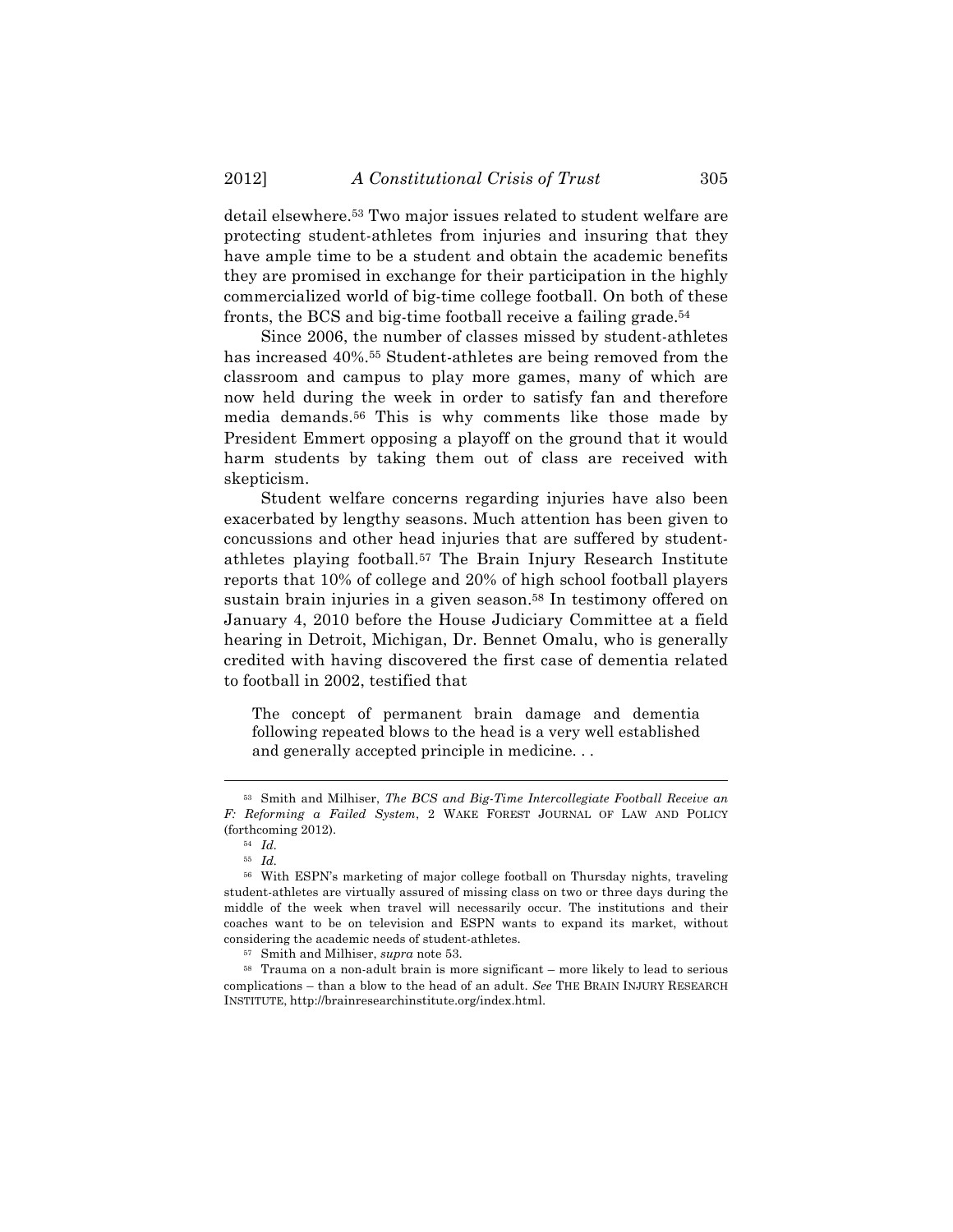detail elsewhere.53 Two major issues related to student welfare are protecting student-athletes from injuries and insuring that they have ample time to be a student and obtain the academic benefits they are promised in exchange for their participation in the highly commercialized world of big-time college football. On both of these fronts, the BCS and big-time football receive a failing grade.54

Since 2006, the number of classes missed by student-athletes has increased  $40\%$ .<sup>55</sup> Student-athletes are being removed from the classroom and campus to play more games, many of which are now held during the week in order to satisfy fan and therefore media demands.56 This is why comments like those made by President Emmert opposing a playoff on the ground that it would harm students by taking them out of class are received with skepticism.

Student welfare concerns regarding injuries have also been exacerbated by lengthy seasons. Much attention has been given to concussions and other head injuries that are suffered by studentathletes playing football.57 The Brain Injury Research Institute reports that 10% of college and 20% of high school football players sustain brain injuries in a given season.<sup>58</sup> In testimony offered on January 4, 2010 before the House Judiciary Committee at a field hearing in Detroit, Michigan, Dr. Bennet Omalu, who is generally credited with having discovered the first case of dementia related to football in 2002, testified that

The concept of permanent brain damage and dementia following repeated blows to the head is a very well established and generally accepted principle in medicine. . .

<sup>53</sup> Smith and Milhiser, *The BCS and Big-Time Intercollegiate Football Receive an F: Reforming a Failed System*, 2 WAKE FOREST JOURNAL OF LAW AND POLICY (forthcoming 2012).

<sup>54</sup> *Id.*

<sup>55</sup> *Id.*

<sup>56</sup> With ESPN's marketing of major college football on Thursday nights, traveling student-athletes are virtually assured of missing class on two or three days during the middle of the week when travel will necessarily occur. The institutions and their coaches want to be on television and ESPN wants to expand its market, without considering the academic needs of student-athletes.

<sup>57</sup> Smith and Milhiser, *supra* note 53.

<sup>58</sup> Trauma on a non-adult brain is more significant – more likely to lead to serious complications – than a blow to the head of an adult. *See* THE BRAIN INJURY RESEARCH INSTITUTE, http://brainresearchinstitute.org/index.html.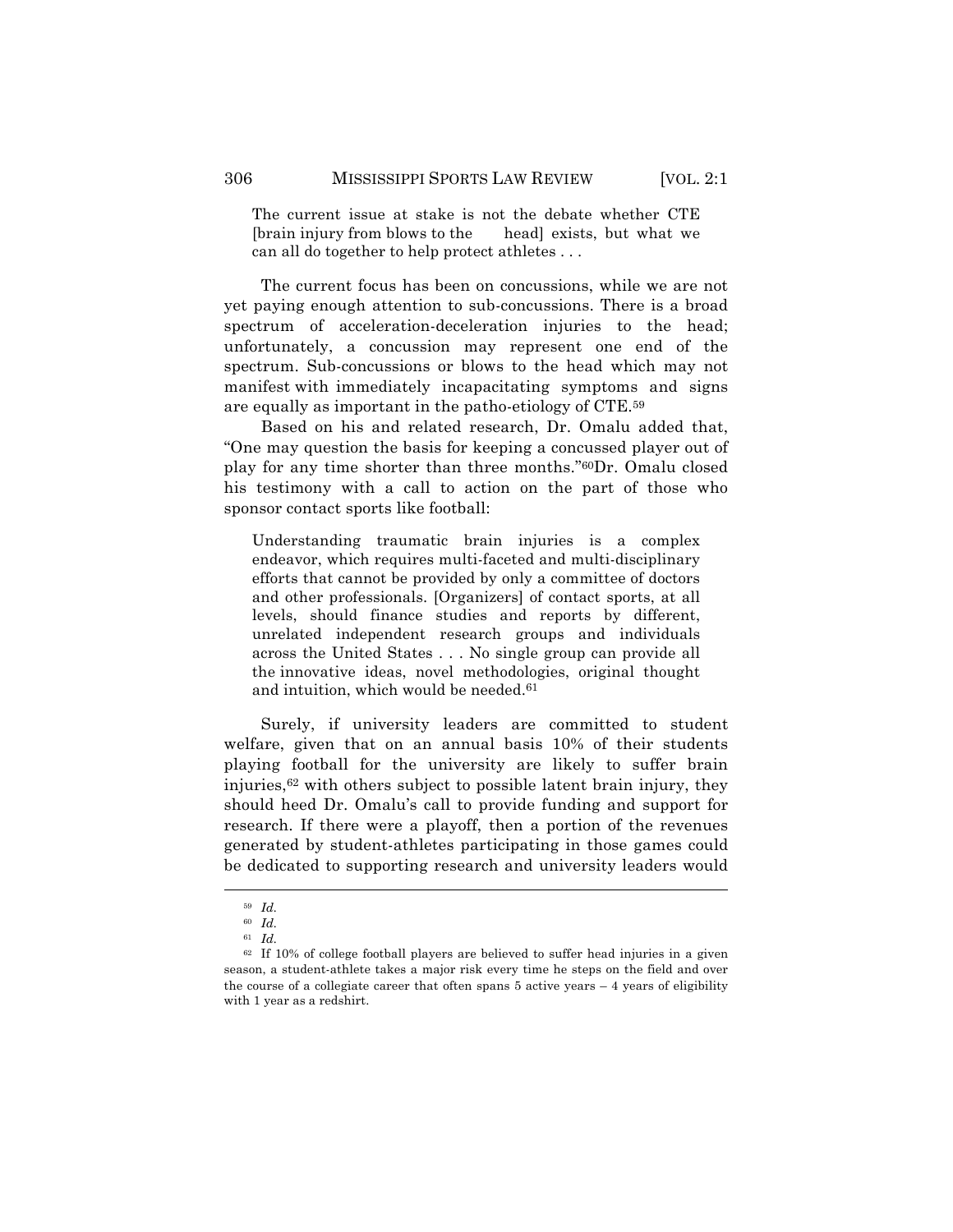The current issue at stake is not the debate whether CTE [brain injury from blows to the head] exists, but what we can all do together to help protect athletes . . .

The current focus has been on concussions, while we are not yet paying enough attention to sub-concussions. There is a broad spectrum of acceleration-deceleration injuries to the head; unfortunately, a concussion may represent one end of the spectrum. Sub-concussions or blows to the head which may not manifest with immediately incapacitating symptoms and signs are equally as important in the patho-etiology of CTE.59

Based on his and related research, Dr. Omalu added that, "One may question the basis for keeping a concussed player out of play for any time shorter than three months."60Dr. Omalu closed his testimony with a call to action on the part of those who sponsor contact sports like football:

Understanding traumatic brain injuries is a complex endeavor, which requires multi-faceted and multi-disciplinary efforts that cannot be provided by only a committee of doctors and other professionals. [Organizers] of contact sports, at all levels, should finance studies and reports by different, unrelated independent research groups and individuals across the United States . . . No single group can provide all the innovative ideas, novel methodologies, original thought and intuition, which would be needed.<sup>61</sup>

Surely, if university leaders are committed to student welfare, given that on an annual basis 10% of their students playing football for the university are likely to suffer brain injuries,62 with others subject to possible latent brain injury, they should heed Dr. Omalu's call to provide funding and support for research. If there were a playoff, then a portion of the revenues generated by student-athletes participating in those games could be dedicated to supporting research and university leaders would

<sup>59</sup> *Id.*

<sup>60</sup> *Id.*

<sup>61</sup> *Id.*

 $62$  If 10% of college football players are believed to suffer head injuries in a given season, a student-athlete takes a major risk every time he steps on the field and over the course of a collegiate career that often spans 5 active years – 4 years of eligibility with 1 year as a redshirt.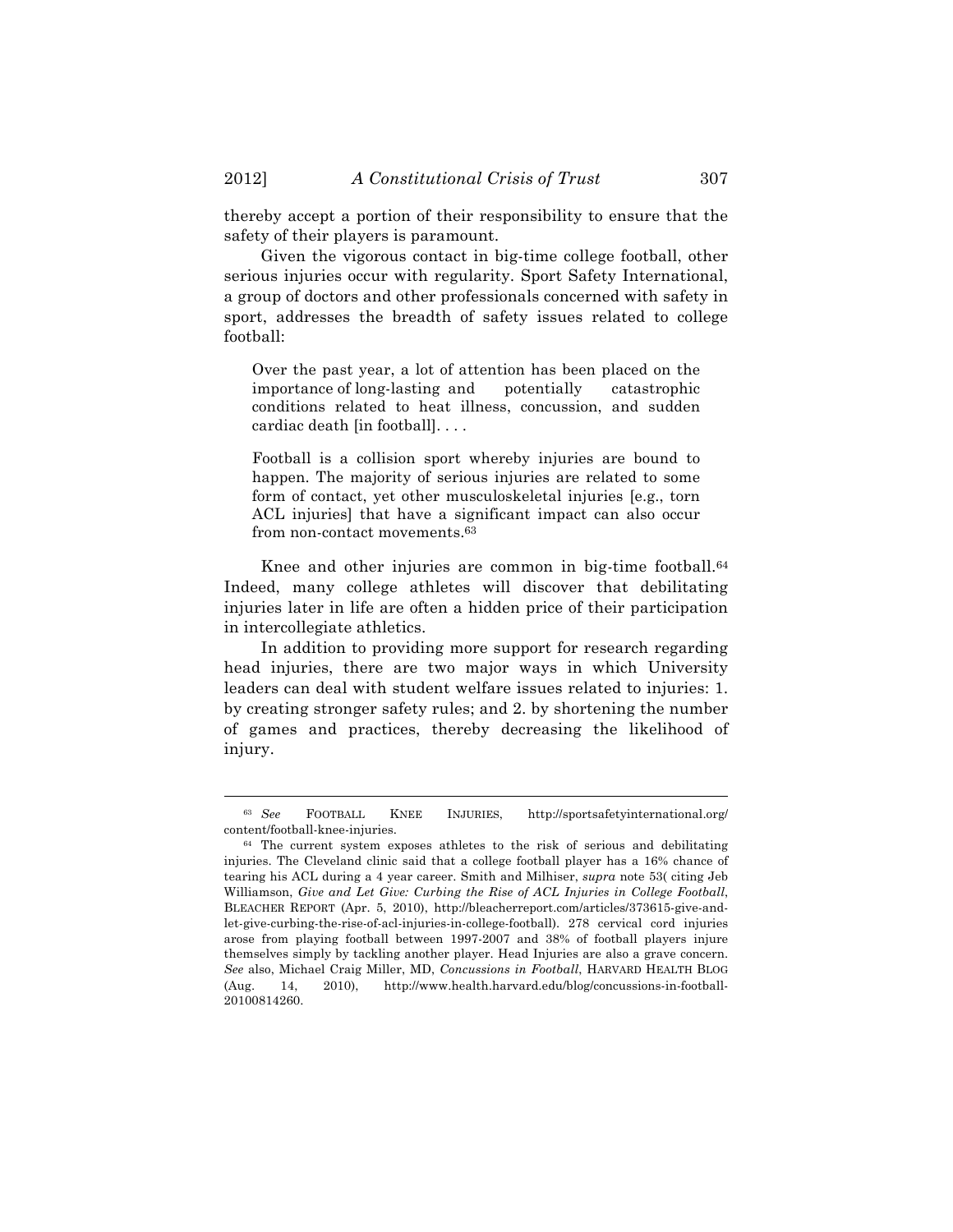thereby accept a portion of their responsibility to ensure that the safety of their players is paramount.

Given the vigorous contact in big-time college football, other serious injuries occur with regularity. Sport Safety International, a group of doctors and other professionals concerned with safety in sport, addresses the breadth of safety issues related to college football:

Over the past year, a lot of attention has been placed on the importance of long-lasting and potentially catastrophic conditions related to heat illness, concussion, and sudden cardiac death [in football]. . . .

Football is a collision sport whereby injuries are bound to happen. The majority of serious injuries are related to some form of contact, yet other musculoskeletal injuries [e.g., torn ACL injuries] that have a significant impact can also occur from non-contact movements.63

Knee and other injuries are common in big-time football.<sup>64</sup> Indeed, many college athletes will discover that debilitating injuries later in life are often a hidden price of their participation in intercollegiate athletics.

In addition to providing more support for research regarding head injuries, there are two major ways in which University leaders can deal with student welfare issues related to injuries: 1. by creating stronger safety rules; and 2. by shortening the number of games and practices, thereby decreasing the likelihood of injury.

<sup>!!!!!!!!!!!!!!!!!!!!!!!!!!!!!!!!!!!!!!!!!!!!!!!!!!!!!!!!!!!!!!!!!!!!!!!!!!!!!!!!!!!!!!!!!!!!!!!!!!!!!!!!!!!!!!!!!!!!!!!!!!!!!!!!!!!!!!!</sup> <sup>63</sup> *See* FOOTBALL KNEE INJURIES, http://sportsafetyinternational.org/ content/football-knee-injuries.

 $64$  The current system exposes athletes to the risk of serious and debilitating injuries. The Cleveland clinic said that a college football player has a 16% chance of tearing his ACL during a 4 year career. Smith and Milhiser, *supra* note 53( citing Jeb Williamson, *Give and Let Give: Curbing the Rise of ACL Injuries in College Football*, BLEACHER REPORT (Apr. 5, 2010), http://bleacherreport.com/articles/373615-give-andlet-give-curbing-the-rise-of-acl-injuries-in-college-football). 278 cervical cord injuries arose from playing football between 1997-2007 and 38% of football players injure themselves simply by tackling another player. Head Injuries are also a grave concern. *See* also, Michael Craig Miller, MD, *Concussions in Football*, HARVARD HEALTH BLOG (Aug. 14, 2010), http://www.health.harvard.edu/blog/concussions-in-football-20100814260.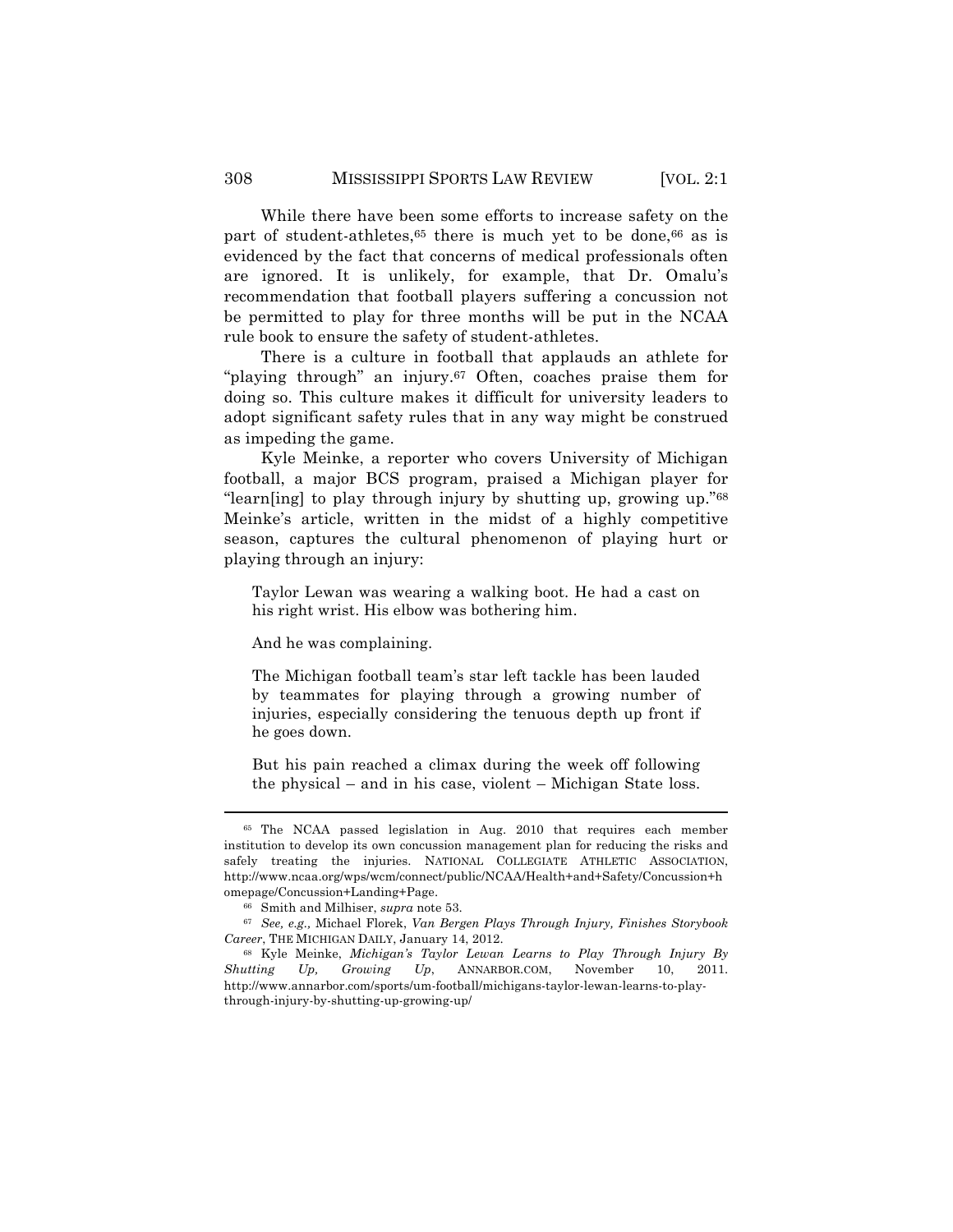While there have been some efforts to increase safety on the part of student-athletes,<sup>65</sup> there is much yet to be done,<sup>66</sup> as is evidenced by the fact that concerns of medical professionals often are ignored. It is unlikely, for example, that Dr. Omalu's recommendation that football players suffering a concussion not be permitted to play for three months will be put in the NCAA rule book to ensure the safety of student-athletes.

There is a culture in football that applauds an athlete for "playing through" an injury.<sup>67</sup> Often, coaches praise them for doing so. This culture makes it difficult for university leaders to adopt significant safety rules that in any way might be construed as impeding the game.

Kyle Meinke, a reporter who covers University of Michigan football, a major BCS program, praised a Michigan player for "learn[ing] to play through injury by shutting up, growing up."68 Meinke's article, written in the midst of a highly competitive season, captures the cultural phenomenon of playing hurt or playing through an injury:

Taylor Lewan was wearing a walking boot. He had a cast on his right wrist. His elbow was bothering him.

And he was complaining.

The Michigan football team's star left tackle has been lauded by teammates for playing through a growing number of injuries, especially considering the tenuous depth up front if he goes down.

But his pain reached a climax during the week off following the physical – and in his case, violent – Michigan State loss.

<sup>65</sup> The NCAA passed legislation in Aug. 2010 that requires each member institution to develop its own concussion management plan for reducing the risks and safely treating the injuries. NATIONAL COLLEGIATE ATHLETIC ASSOCIATION, http://www.ncaa.org/wps/wcm/connect/public/NCAA/Health+and+Safety/Concussion+h omepage/Concussion+Landing+Page.

<sup>66</sup> Smith and Milhiser, *supra* note 53.

<sup>67</sup> *See, e.g.,* Michael Florek, *Van Bergen Plays Through Injury, Finishes Storybook Career*, THE MICHIGAN DAILY, January 14, 2012.

<sup>68</sup> Kyle Meinke, *Michigan's Taylor Lewan Learns to Play Through Injury By Shutting Up, Growing Up*, ANNARBOR.COM, November 10, 2011. http://www.annarbor.com/sports/um-football/michigans-taylor-lewan-learns-to-playthrough-injury-by-shutting-up-growing-up/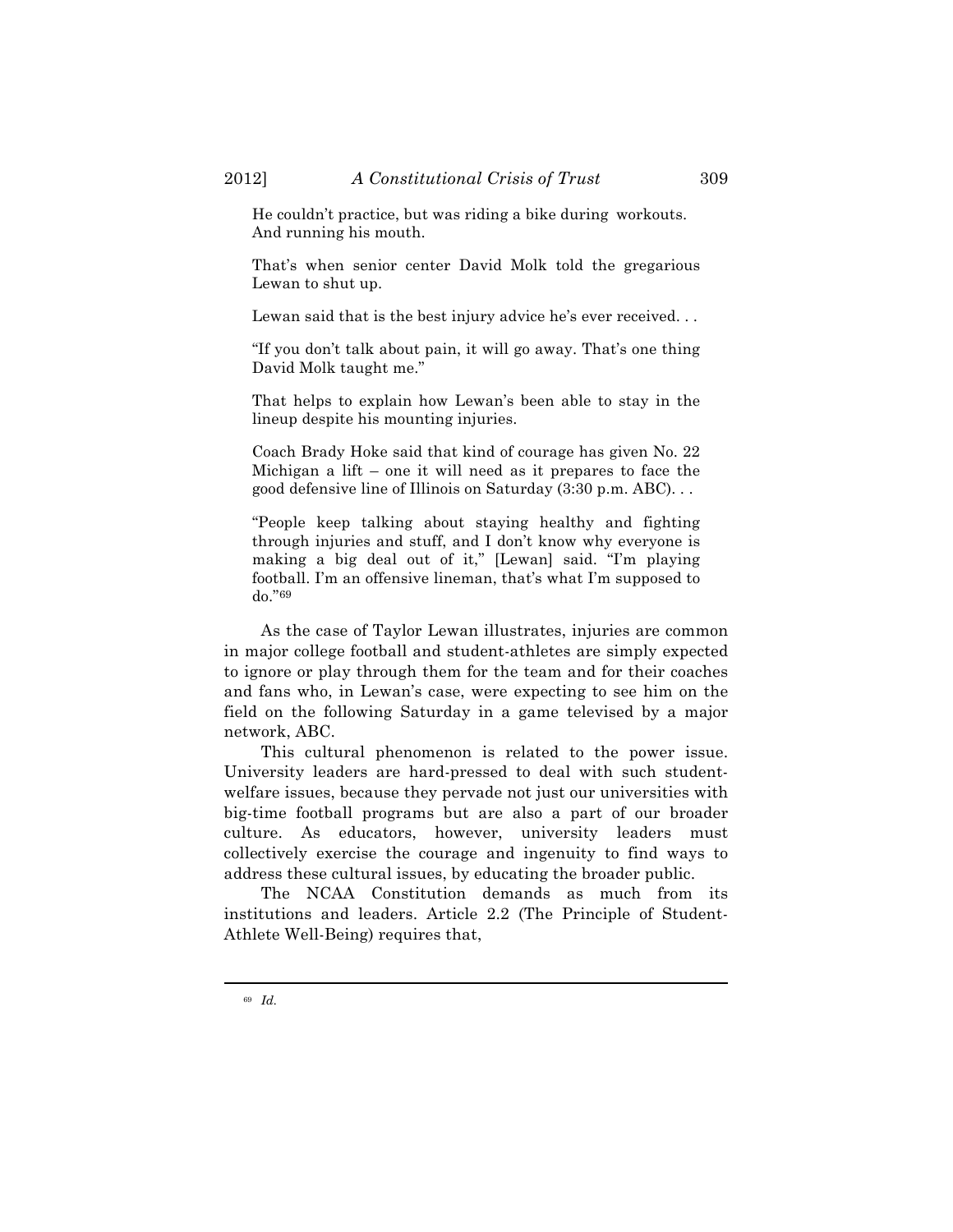He couldn't practice, but was riding a bike during workouts. And running his mouth.

That's when senior center David Molk told the gregarious Lewan to shut up.

Lewan said that is the best injury advice he's ever received. . .

"If you don't talk about pain, it will go away. That's one thing David Molk taught me."

That helps to explain how Lewan's been able to stay in the lineup despite his mounting injuries.

Coach Brady Hoke said that kind of courage has given No. 22 Michigan a lift – one it will need as it prepares to face the good defensive line of Illinois on Saturday (3:30 p.m. ABC). . .

"People keep talking about staying healthy and fighting through injuries and stuff, and I don't know why everyone is making a big deal out of it," [Lewan] said. "I'm playing football. I'm an offensive lineman, that's what I'm supposed to do."69

As the case of Taylor Lewan illustrates, injuries are common in major college football and student-athletes are simply expected to ignore or play through them for the team and for their coaches and fans who, in Lewan's case, were expecting to see him on the field on the following Saturday in a game televised by a major network, ABC.

This cultural phenomenon is related to the power issue. University leaders are hard-pressed to deal with such studentwelfare issues, because they pervade not just our universities with big-time football programs but are also a part of our broader culture. As educators, however, university leaders must collectively exercise the courage and ingenuity to find ways to address these cultural issues, by educating the broader public.

The NCAA Constitution demands as much from its institutions and leaders. Article 2.2 (The Principle of Student-Athlete Well-Being) requires that,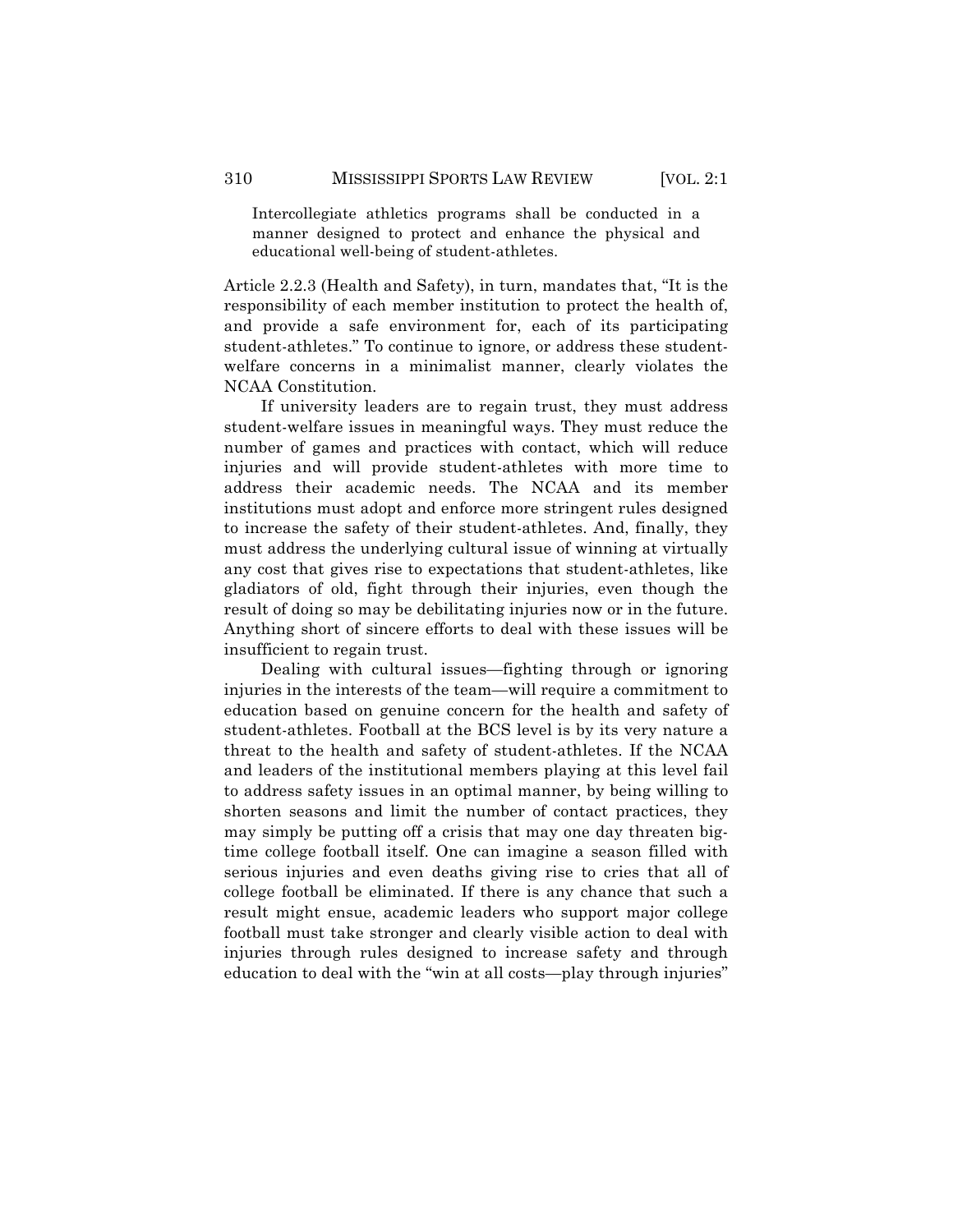Intercollegiate athletics programs shall be conducted in a manner designed to protect and enhance the physical and educational well-being of student-athletes.

Article 2.2.3 (Health and Safety), in turn, mandates that, "It is the responsibility of each member institution to protect the health of, and provide a safe environment for, each of its participating student-athletes." To continue to ignore, or address these studentwelfare concerns in a minimalist manner, clearly violates the NCAA Constitution.

If university leaders are to regain trust, they must address student-welfare issues in meaningful ways. They must reduce the number of games and practices with contact, which will reduce injuries and will provide student-athletes with more time to address their academic needs. The NCAA and its member institutions must adopt and enforce more stringent rules designed to increase the safety of their student-athletes. And, finally, they must address the underlying cultural issue of winning at virtually any cost that gives rise to expectations that student-athletes, like gladiators of old, fight through their injuries, even though the result of doing so may be debilitating injuries now or in the future. Anything short of sincere efforts to deal with these issues will be insufficient to regain trust.

Dealing with cultural issues—fighting through or ignoring injuries in the interests of the team—will require a commitment to education based on genuine concern for the health and safety of student-athletes. Football at the BCS level is by its very nature a threat to the health and safety of student-athletes. If the NCAA and leaders of the institutional members playing at this level fail to address safety issues in an optimal manner, by being willing to shorten seasons and limit the number of contact practices, they may simply be putting off a crisis that may one day threaten bigtime college football itself. One can imagine a season filled with serious injuries and even deaths giving rise to cries that all of college football be eliminated. If there is any chance that such a result might ensue, academic leaders who support major college football must take stronger and clearly visible action to deal with injuries through rules designed to increase safety and through education to deal with the "win at all costs—play through injuries"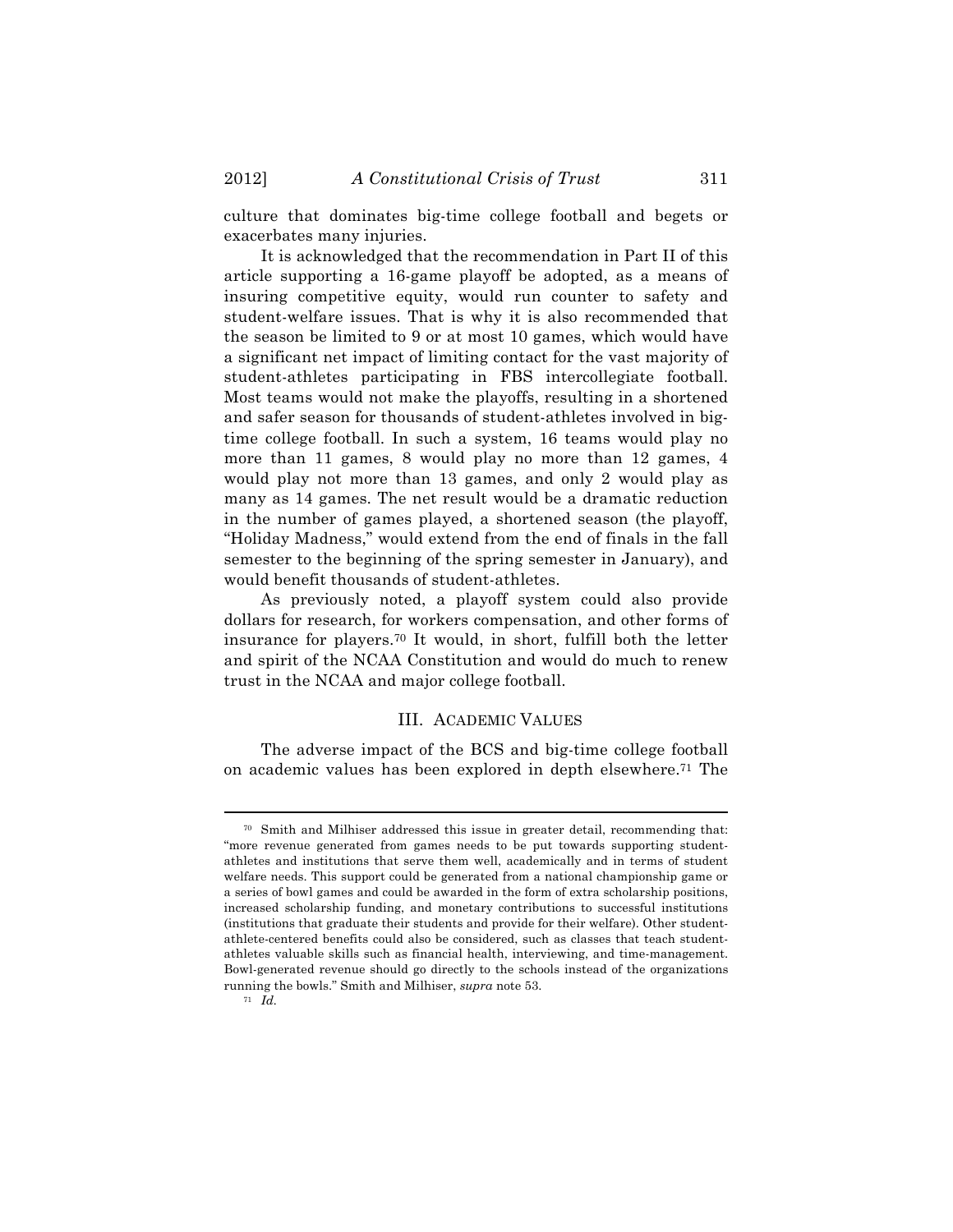culture that dominates big-time college football and begets or exacerbates many injuries.

It is acknowledged that the recommendation in Part II of this article supporting a 16-game playoff be adopted, as a means of insuring competitive equity, would run counter to safety and student-welfare issues. That is why it is also recommended that the season be limited to 9 or at most 10 games, which would have a significant net impact of limiting contact for the vast majority of student-athletes participating in FBS intercollegiate football. Most teams would not make the playoffs, resulting in a shortened and safer season for thousands of student-athletes involved in bigtime college football. In such a system, 16 teams would play no more than 11 games, 8 would play no more than 12 games, 4 would play not more than 13 games, and only 2 would play as many as 14 games. The net result would be a dramatic reduction in the number of games played, a shortened season (the playoff, "Holiday Madness," would extend from the end of finals in the fall semester to the beginning of the spring semester in January), and would benefit thousands of student-athletes.

As previously noted, a playoff system could also provide dollars for research, for workers compensation, and other forms of insurance for players.70 It would, in short, fulfill both the letter and spirit of the NCAA Constitution and would do much to renew trust in the NCAA and major college football.

### III. ACADEMIC VALUES

The adverse impact of the BCS and big-time college football on academic values has been explored in depth elsewhere.71 The

<sup>70</sup> Smith and Milhiser addressed this issue in greater detail, recommending that: "more revenue generated from games needs to be put towards supporting studentathletes and institutions that serve them well, academically and in terms of student welfare needs. This support could be generated from a national championship game or a series of bowl games and could be awarded in the form of extra scholarship positions, increased scholarship funding, and monetary contributions to successful institutions (institutions that graduate their students and provide for their welfare). Other studentathlete-centered benefits could also be considered, such as classes that teach studentathletes valuable skills such as financial health, interviewing, and time-management. Bowl-generated revenue should go directly to the schools instead of the organizations running the bowls." Smith and Milhiser, *supra* note 53.

 $71 \over Id.$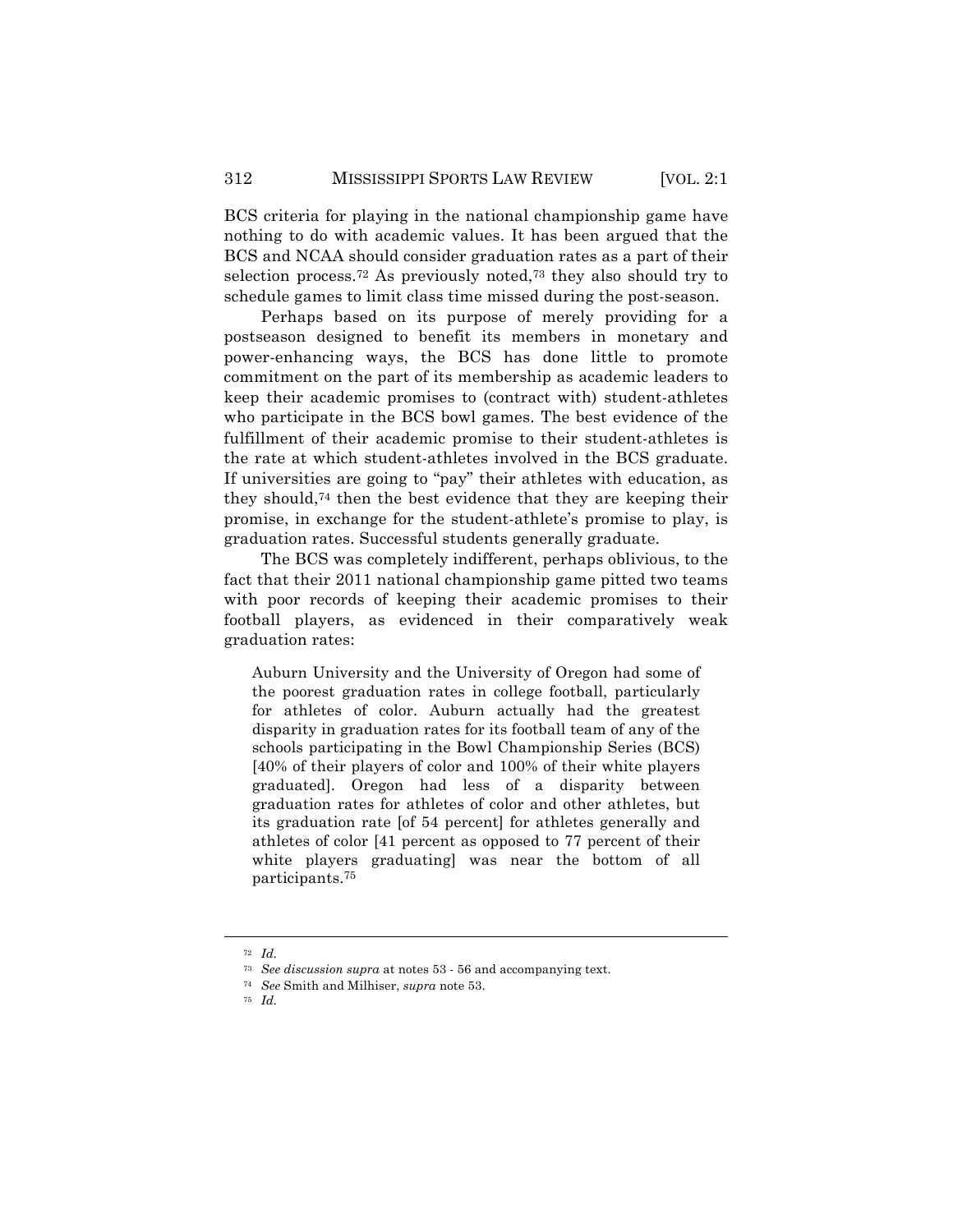BCS criteria for playing in the national championship game have nothing to do with academic values. It has been argued that the BCS and NCAA should consider graduation rates as a part of their selection process.<sup>72</sup> As previously noted,<sup>73</sup> they also should try to schedule games to limit class time missed during the post-season.

Perhaps based on its purpose of merely providing for a postseason designed to benefit its members in monetary and power-enhancing ways, the BCS has done little to promote commitment on the part of its membership as academic leaders to keep their academic promises to (contract with) student-athletes who participate in the BCS bowl games. The best evidence of the fulfillment of their academic promise to their student-athletes is the rate at which student-athletes involved in the BCS graduate. If universities are going to "pay" their athletes with education, as they should,74 then the best evidence that they are keeping their promise, in exchange for the student-athlete's promise to play, is graduation rates. Successful students generally graduate.

The BCS was completely indifferent, perhaps oblivious, to the fact that their 2011 national championship game pitted two teams with poor records of keeping their academic promises to their football players, as evidenced in their comparatively weak graduation rates:

Auburn University and the University of Oregon had some of the poorest graduation rates in college football, particularly for athletes of color. Auburn actually had the greatest disparity in graduation rates for its football team of any of the schools participating in the Bowl Championship Series (BCS) [40% of their players of color and 100% of their white players graduated]. Oregon had less of a disparity between graduation rates for athletes of color and other athletes, but its graduation rate [of 54 percent] for athletes generally and athletes of color [41 percent as opposed to 77 percent of their white players graduating] was near the bottom of all participants.75

<sup>72</sup> *Id.*

<sup>73</sup> *See discussion supra* at notes 53 - 56 and accompanying text.

<sup>74</sup> *See* Smith and Milhiser, *supra* note 53.

<sup>75</sup> *Id.*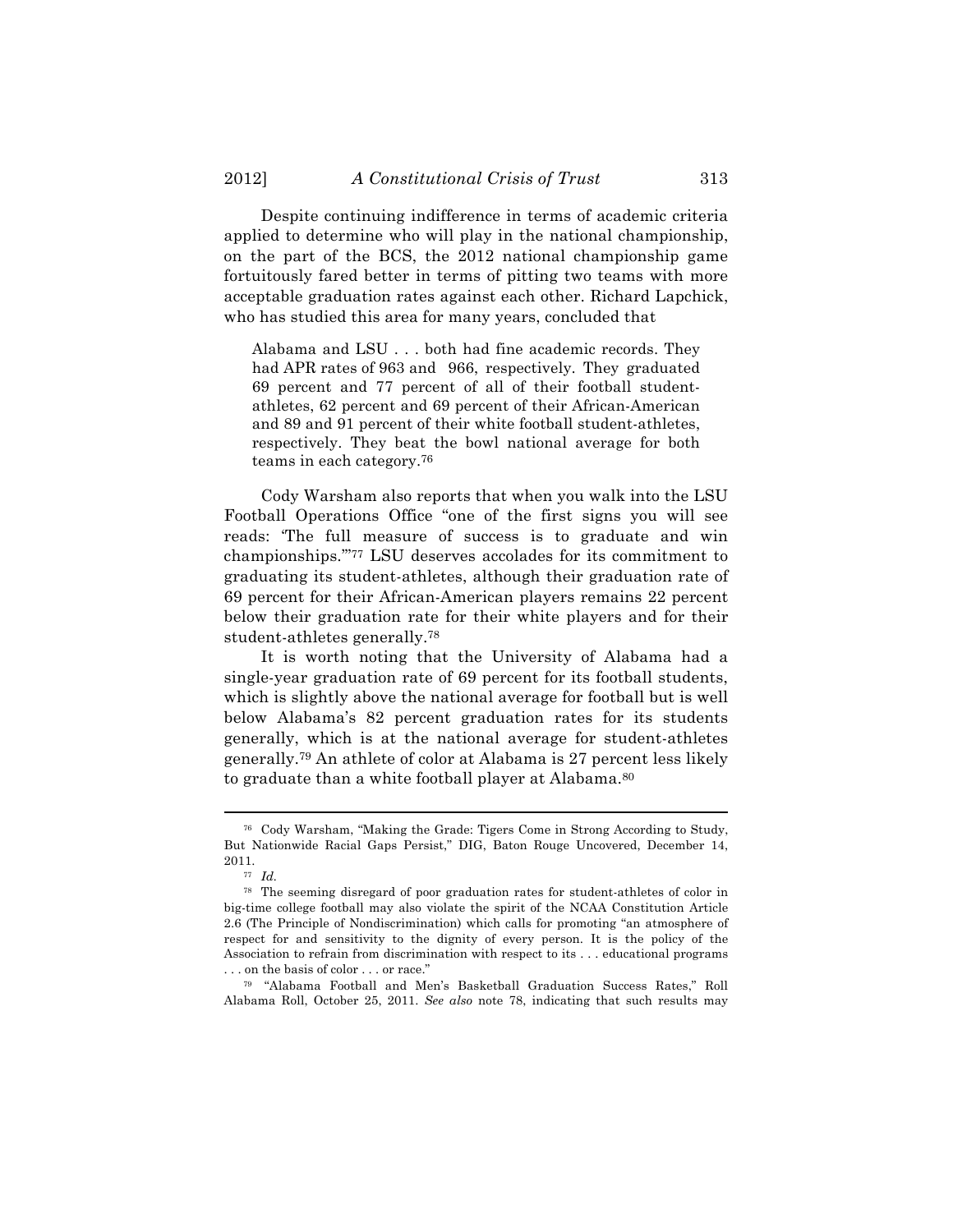Despite continuing indifference in terms of academic criteria applied to determine who will play in the national championship, on the part of the BCS, the 2012 national championship game fortuitously fared better in terms of pitting two teams with more acceptable graduation rates against each other. Richard Lapchick, who has studied this area for many years, concluded that

Alabama and LSU . . . both had fine academic records. They had APR rates of 963 and 966, respectively. They graduated 69 percent and 77 percent of all of their football studentathletes, 62 percent and 69 percent of their African-American and 89 and 91 percent of their white football student-athletes, respectively. They beat the bowl national average for both teams in each category.76

Cody Warsham also reports that when you walk into the LSU Football Operations Office "one of the first signs you will see reads: 'The full measure of success is to graduate and win championships.'"77 LSU deserves accolades for its commitment to graduating its student-athletes, although their graduation rate of 69 percent for their African-American players remains 22 percent below their graduation rate for their white players and for their student-athletes generally.78

It is worth noting that the University of Alabama had a single-year graduation rate of 69 percent for its football students, which is slightly above the national average for football but is well below Alabama's 82 percent graduation rates for its students generally, which is at the national average for student-athletes generally.79 An athlete of color at Alabama is 27 percent less likely to graduate than a white football player at Alabama.80

<sup>76</sup> Cody Warsham, "Making the Grade: Tigers Come in Strong According to Study, But Nationwide Racial Gaps Persist," DIG, Baton Rouge Uncovered, December 14, 2011.

<sup>77</sup> *Id.*

<sup>78</sup> The seeming disregard of poor graduation rates for student-athletes of color in big-time college football may also violate the spirit of the NCAA Constitution Article 2.6 (The Principle of Nondiscrimination) which calls for promoting "an atmosphere of respect for and sensitivity to the dignity of every person. It is the policy of the Association to refrain from discrimination with respect to its . . . educational programs . . . on the basis of color . . . or race."

<sup>79</sup> "Alabama Football and Men's Basketball Graduation Success Rates," Roll Alabama Roll, October 25, 2011. *See also* note 78, indicating that such results may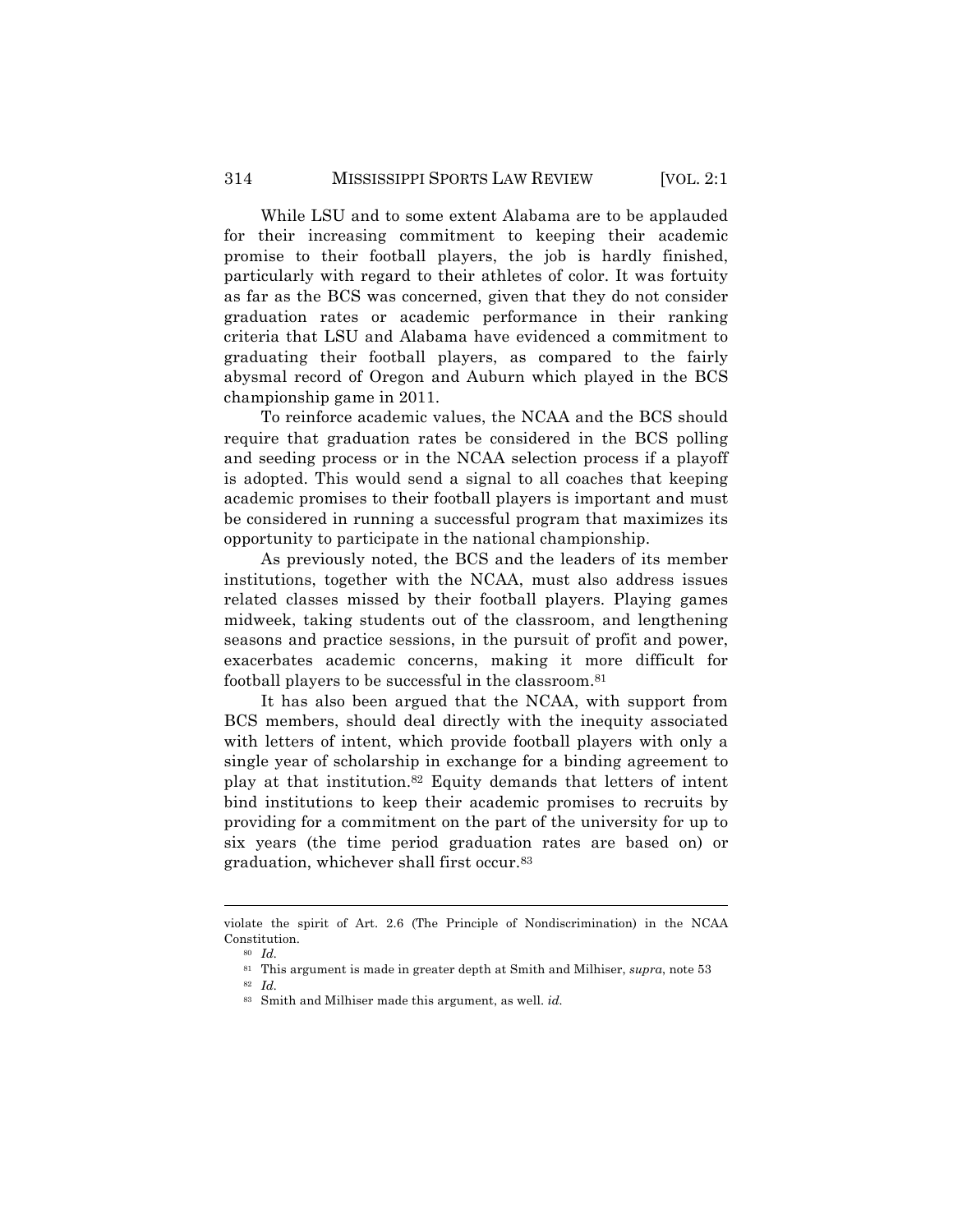While LSU and to some extent Alabama are to be applauded for their increasing commitment to keeping their academic promise to their football players, the job is hardly finished, particularly with regard to their athletes of color. It was fortuity as far as the BCS was concerned, given that they do not consider graduation rates or academic performance in their ranking criteria that LSU and Alabama have evidenced a commitment to graduating their football players, as compared to the fairly abysmal record of Oregon and Auburn which played in the BCS championship game in 2011.

To reinforce academic values, the NCAA and the BCS should require that graduation rates be considered in the BCS polling and seeding process or in the NCAA selection process if a playoff is adopted. This would send a signal to all coaches that keeping academic promises to their football players is important and must be considered in running a successful program that maximizes its opportunity to participate in the national championship.

As previously noted, the BCS and the leaders of its member institutions, together with the NCAA, must also address issues related classes missed by their football players. Playing games midweek, taking students out of the classroom, and lengthening seasons and practice sessions, in the pursuit of profit and power, exacerbates academic concerns, making it more difficult for football players to be successful in the classroom.81

It has also been argued that the NCAA, with support from BCS members, should deal directly with the inequity associated with letters of intent, which provide football players with only a single year of scholarship in exchange for a binding agreement to play at that institution.82 Equity demands that letters of intent bind institutions to keep their academic promises to recruits by providing for a commitment on the part of the university for up to six years (the time period graduation rates are based on) or graduation, whichever shall first occur.83

<sup>!!!!!!!!!!!!!!!!!!!!!!!!!!!!!!!!!!!!!!!!!!!!!!!!!!!!!!!!!!!!!!!!!!!!!!!!!!!!!!!!!!!!!!!!!!!!!!!!!!!!!!!!!!!!!!!!!!!!!!!!!!!!!!!!!!!!!!!</sup> violate the spirit of Art. 2.6 (The Principle of Nondiscrimination) in the NCAA Constitution.

<sup>80</sup> *Id.*

<sup>81</sup> This argument is made in greater depth at Smith and Milhiser, *supra*, note 53

<sup>82</sup> *Id.*

<sup>83</sup> Smith and Milhiser made this argument, as well. *id.*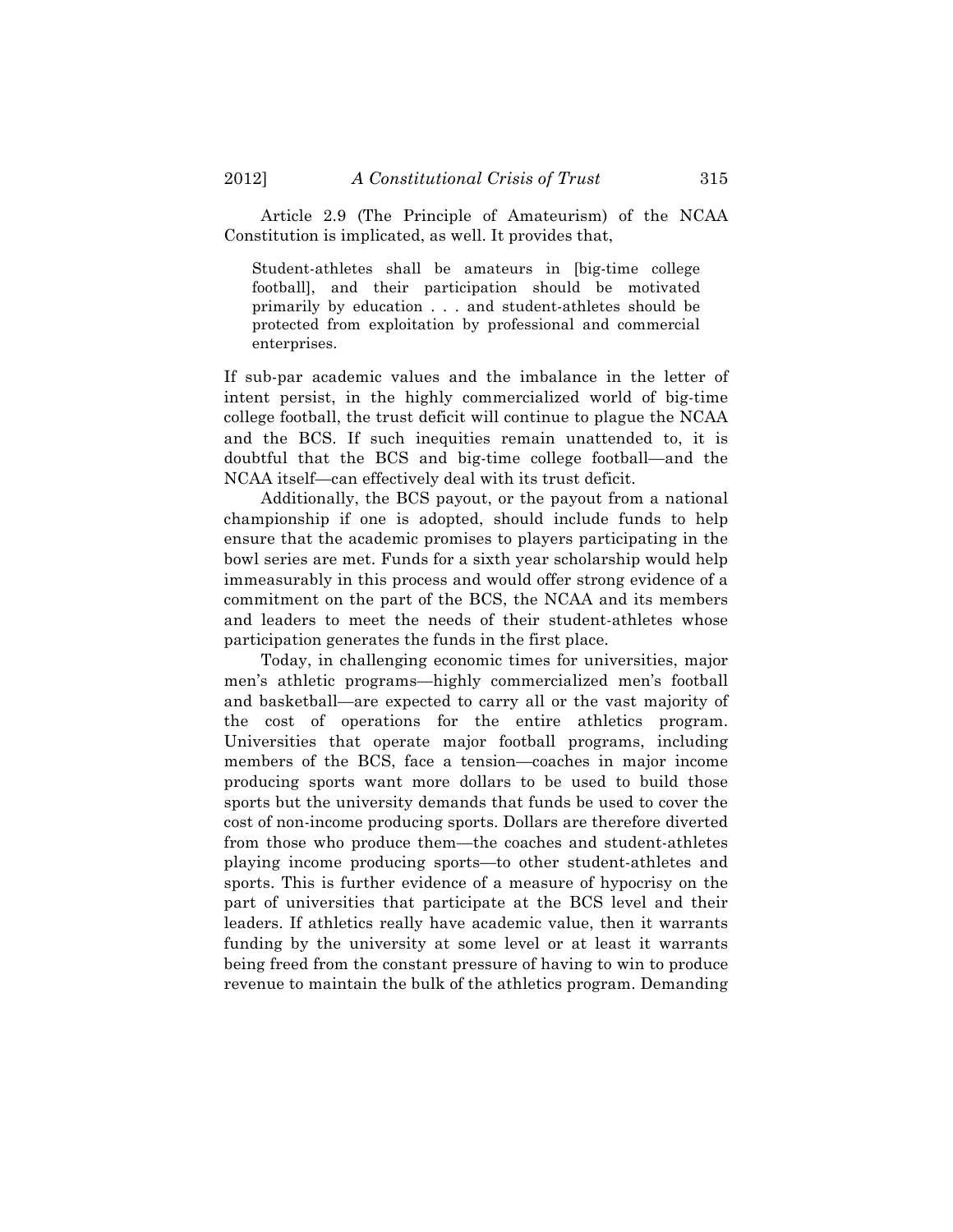Article 2.9 (The Principle of Amateurism) of the NCAA Constitution is implicated, as well. It provides that,

Student-athletes shall be amateurs in [big-time college football], and their participation should be motivated primarily by education . . . and student-athletes should be protected from exploitation by professional and commercial enterprises.

If sub-par academic values and the imbalance in the letter of intent persist, in the highly commercialized world of big-time college football, the trust deficit will continue to plague the NCAA and the BCS. If such inequities remain unattended to, it is doubtful that the BCS and big-time college football—and the NCAA itself—can effectively deal with its trust deficit.

Additionally, the BCS payout, or the payout from a national championship if one is adopted, should include funds to help ensure that the academic promises to players participating in the bowl series are met. Funds for a sixth year scholarship would help immeasurably in this process and would offer strong evidence of a commitment on the part of the BCS, the NCAA and its members and leaders to meet the needs of their student-athletes whose participation generates the funds in the first place.

Today, in challenging economic times for universities, major men's athletic programs—highly commercialized men's football and basketball—are expected to carry all or the vast majority of the cost of operations for the entire athletics program. Universities that operate major football programs, including members of the BCS, face a tension—coaches in major income producing sports want more dollars to be used to build those sports but the university demands that funds be used to cover the cost of non-income producing sports. Dollars are therefore diverted from those who produce them—the coaches and student-athletes playing income producing sports—to other student-athletes and sports. This is further evidence of a measure of hypocrisy on the part of universities that participate at the BCS level and their leaders. If athletics really have academic value, then it warrants funding by the university at some level or at least it warrants being freed from the constant pressure of having to win to produce revenue to maintain the bulk of the athletics program. Demanding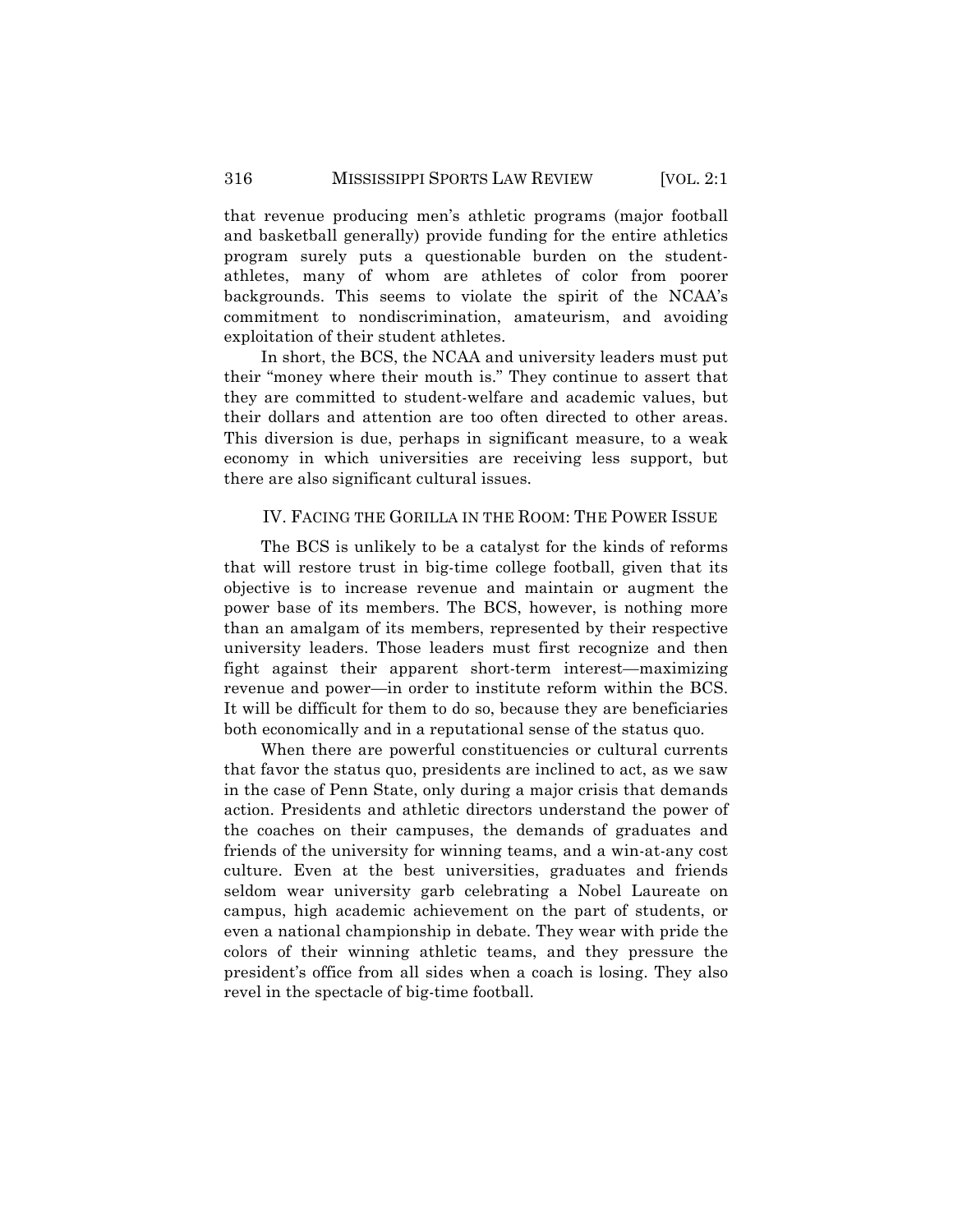that revenue producing men's athletic programs (major football and basketball generally) provide funding for the entire athletics program surely puts a questionable burden on the studentathletes, many of whom are athletes of color from poorer backgrounds. This seems to violate the spirit of the NCAA's commitment to nondiscrimination, amateurism, and avoiding exploitation of their student athletes.

In short, the BCS, the NCAA and university leaders must put their "money where their mouth is." They continue to assert that they are committed to student-welfare and academic values, but their dollars and attention are too often directed to other areas. This diversion is due, perhaps in significant measure, to a weak economy in which universities are receiving less support, but there are also significant cultural issues.

## IV. FACING THE GORILLA IN THE ROOM: THE POWER ISSUE

The BCS is unlikely to be a catalyst for the kinds of reforms that will restore trust in big-time college football, given that its objective is to increase revenue and maintain or augment the power base of its members. The BCS, however, is nothing more than an amalgam of its members, represented by their respective university leaders. Those leaders must first recognize and then fight against their apparent short-term interest—maximizing revenue and power—in order to institute reform within the BCS. It will be difficult for them to do so, because they are beneficiaries both economically and in a reputational sense of the status quo.

When there are powerful constituencies or cultural currents that favor the status quo, presidents are inclined to act, as we saw in the case of Penn State, only during a major crisis that demands action. Presidents and athletic directors understand the power of the coaches on their campuses, the demands of graduates and friends of the university for winning teams, and a win-at-any cost culture. Even at the best universities, graduates and friends seldom wear university garb celebrating a Nobel Laureate on campus, high academic achievement on the part of students, or even a national championship in debate. They wear with pride the colors of their winning athletic teams, and they pressure the president's office from all sides when a coach is losing. They also revel in the spectacle of big-time football.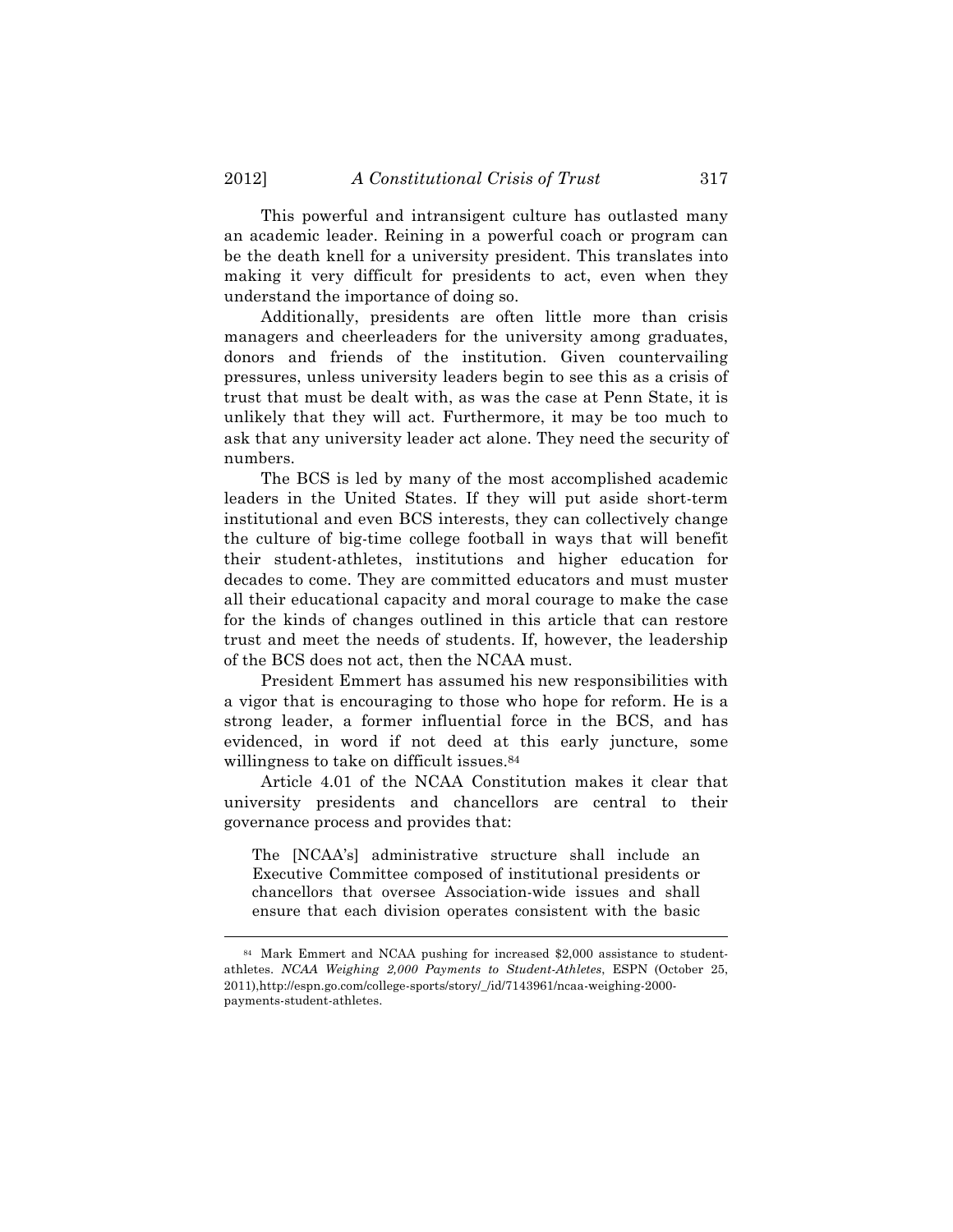This powerful and intransigent culture has outlasted many an academic leader. Reining in a powerful coach or program can be the death knell for a university president. This translates into making it very difficult for presidents to act, even when they understand the importance of doing so.

Additionally, presidents are often little more than crisis managers and cheerleaders for the university among graduates, donors and friends of the institution. Given countervailing pressures, unless university leaders begin to see this as a crisis of trust that must be dealt with, as was the case at Penn State, it is unlikely that they will act. Furthermore, it may be too much to ask that any university leader act alone. They need the security of numbers.

The BCS is led by many of the most accomplished academic leaders in the United States. If they will put aside short-term institutional and even BCS interests, they can collectively change the culture of big-time college football in ways that will benefit their student-athletes, institutions and higher education for decades to come. They are committed educators and must muster all their educational capacity and moral courage to make the case for the kinds of changes outlined in this article that can restore trust and meet the needs of students. If, however, the leadership of the BCS does not act, then the NCAA must.

President Emmert has assumed his new responsibilities with a vigor that is encouraging to those who hope for reform. He is a strong leader, a former influential force in the BCS, and has evidenced, in word if not deed at this early juncture, some willingness to take on difficult issues.<sup>84</sup>

Article 4.01 of the NCAA Constitution makes it clear that university presidents and chancellors are central to their governance process and provides that:

The [NCAA's] administrative structure shall include an Executive Committee composed of institutional presidents or chancellors that oversee Association-wide issues and shall ensure that each division operates consistent with the basic

<sup>84</sup> Mark Emmert and NCAA pushing for increased \$2,000 assistance to studentathletes. *NCAA Weighing 2,000 Payments to Student-Athletes*, ESPN (October 25, 2011),http://espn.go.com/college-sports/story/\_/id/7143961/ncaa-weighing-2000 payments-student-athletes.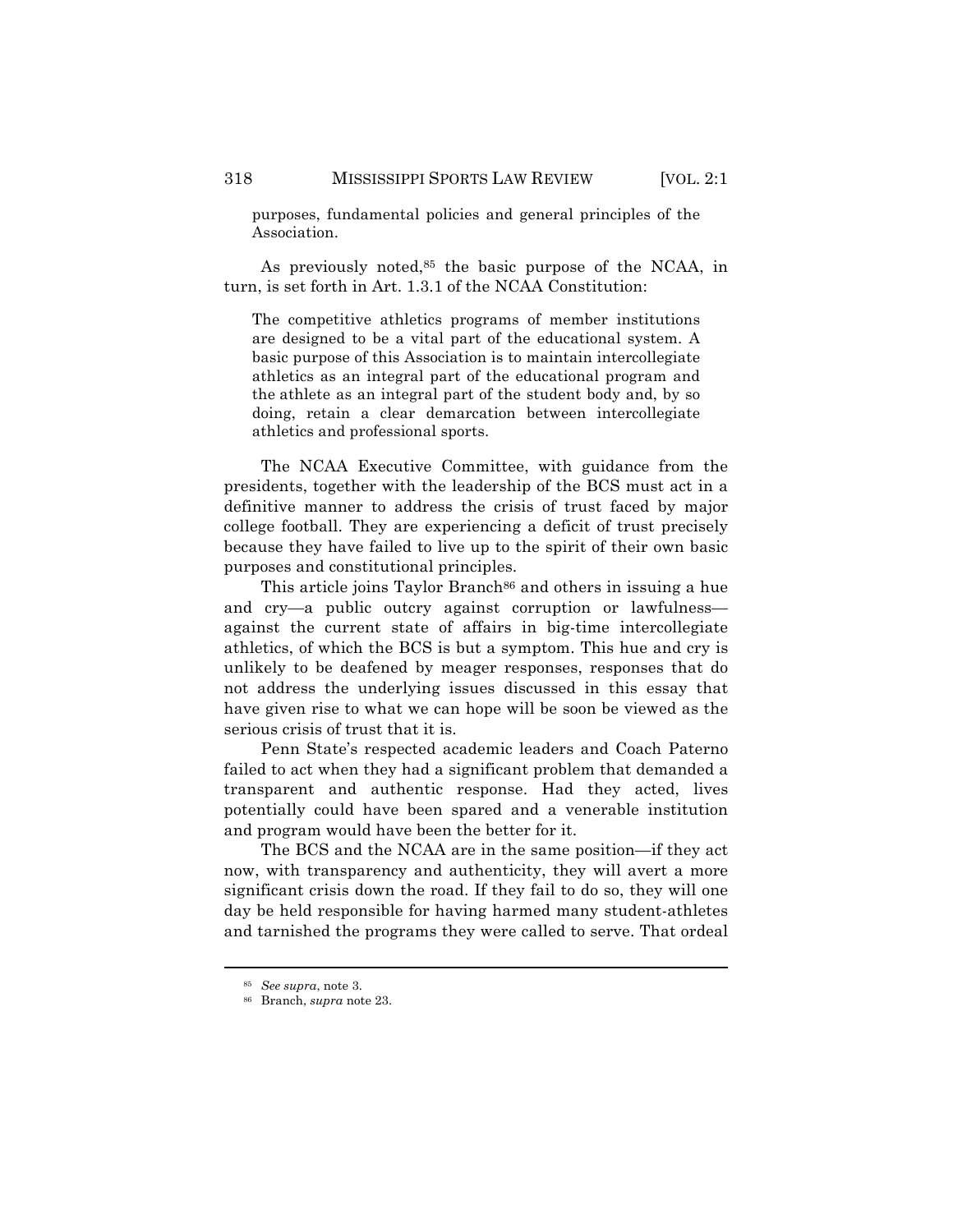purposes, fundamental policies and general principles of the Association.

As previously noted,<sup>85</sup> the basic purpose of the NCAA, in turn, is set forth in Art. 1.3.1 of the NCAA Constitution:

The competitive athletics programs of member institutions are designed to be a vital part of the educational system. A basic purpose of this Association is to maintain intercollegiate athletics as an integral part of the educational program and the athlete as an integral part of the student body and, by so doing, retain a clear demarcation between intercollegiate athletics and professional sports.

The NCAA Executive Committee, with guidance from the presidents, together with the leadership of the BCS must act in a definitive manner to address the crisis of trust faced by major college football. They are experiencing a deficit of trust precisely because they have failed to live up to the spirit of their own basic purposes and constitutional principles.

This article joins Taylor Branch<sup>86</sup> and others in issuing a hue and cry—a public outcry against corruption or lawfulnessagainst the current state of affairs in big-time intercollegiate athletics, of which the BCS is but a symptom. This hue and cry is unlikely to be deafened by meager responses, responses that do not address the underlying issues discussed in this essay that have given rise to what we can hope will be soon be viewed as the serious crisis of trust that it is.

Penn State's respected academic leaders and Coach Paterno failed to act when they had a significant problem that demanded a transparent and authentic response. Had they acted, lives potentially could have been spared and a venerable institution and program would have been the better for it.

The BCS and the NCAA are in the same position—if they act now, with transparency and authenticity, they will avert a more significant crisis down the road. If they fail to do so, they will one day be held responsible for having harmed many student-athletes and tarnished the programs they were called to serve. That ordeal

<sup>85</sup> *See supra*, note 3.

<sup>86</sup> Branch, *supra* note 23.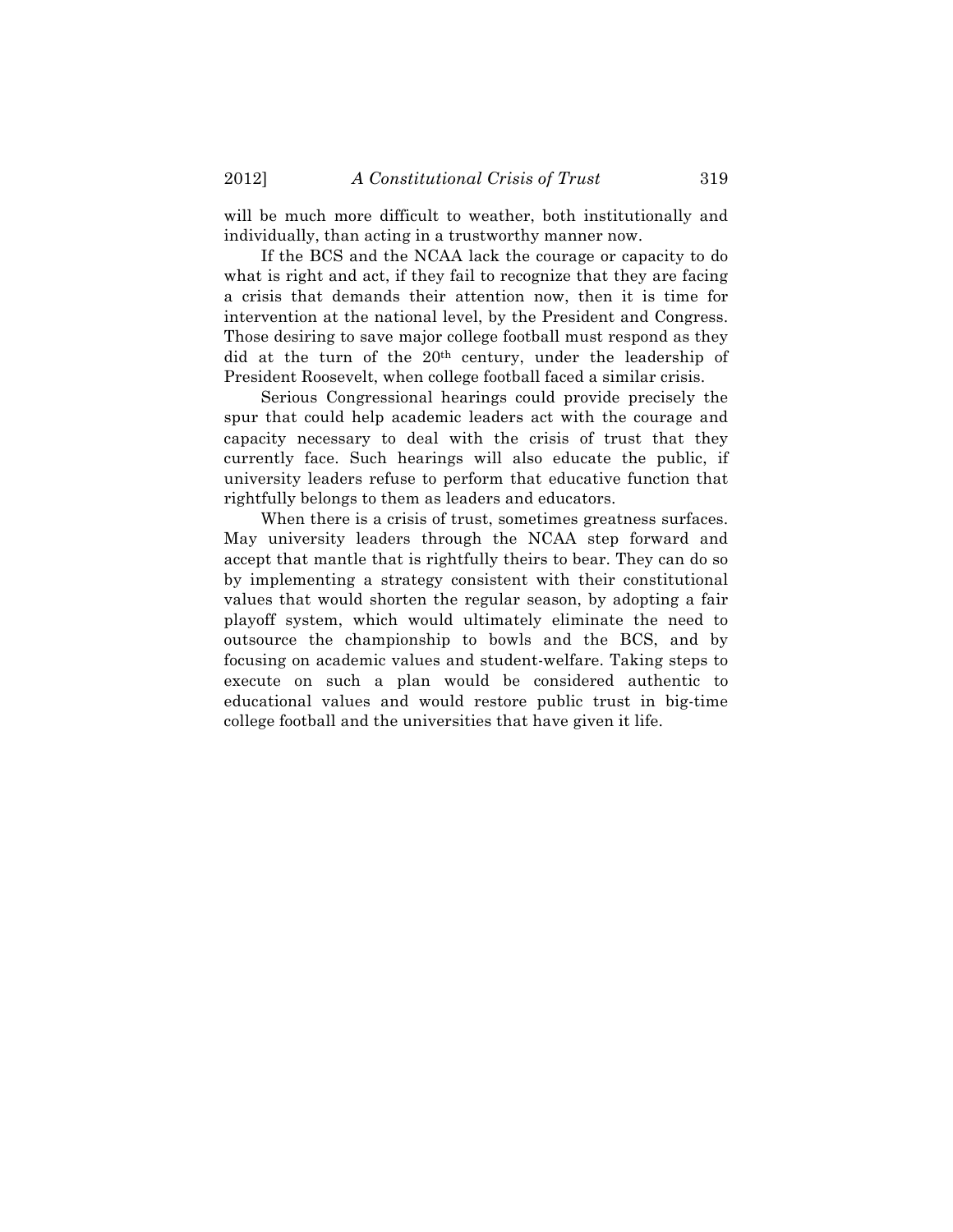will be much more difficult to weather, both institutionally and individually, than acting in a trustworthy manner now.

If the BCS and the NCAA lack the courage or capacity to do what is right and act, if they fail to recognize that they are facing a crisis that demands their attention now, then it is time for intervention at the national level, by the President and Congress. Those desiring to save major college football must respond as they did at the turn of the 20th century, under the leadership of President Roosevelt, when college football faced a similar crisis.

Serious Congressional hearings could provide precisely the spur that could help academic leaders act with the courage and capacity necessary to deal with the crisis of trust that they currently face. Such hearings will also educate the public, if university leaders refuse to perform that educative function that rightfully belongs to them as leaders and educators.

When there is a crisis of trust, sometimes greatness surfaces. May university leaders through the NCAA step forward and accept that mantle that is rightfully theirs to bear. They can do so by implementing a strategy consistent with their constitutional values that would shorten the regular season, by adopting a fair playoff system, which would ultimately eliminate the need to outsource the championship to bowls and the BCS, and by focusing on academic values and student-welfare. Taking steps to execute on such a plan would be considered authentic to educational values and would restore public trust in big-time college football and the universities that have given it life.